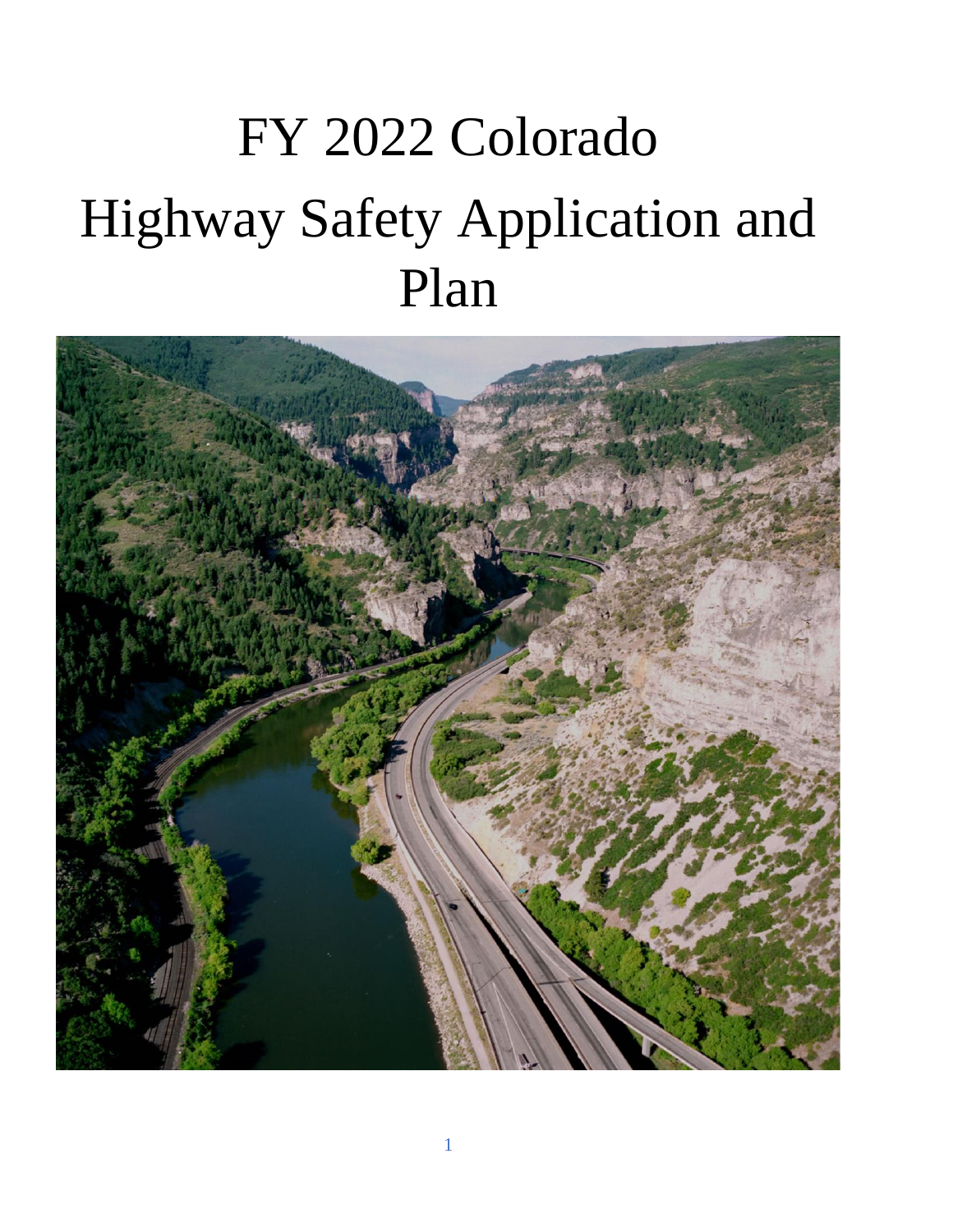# FY 2022 Colorado Highway Safety Application and Plan

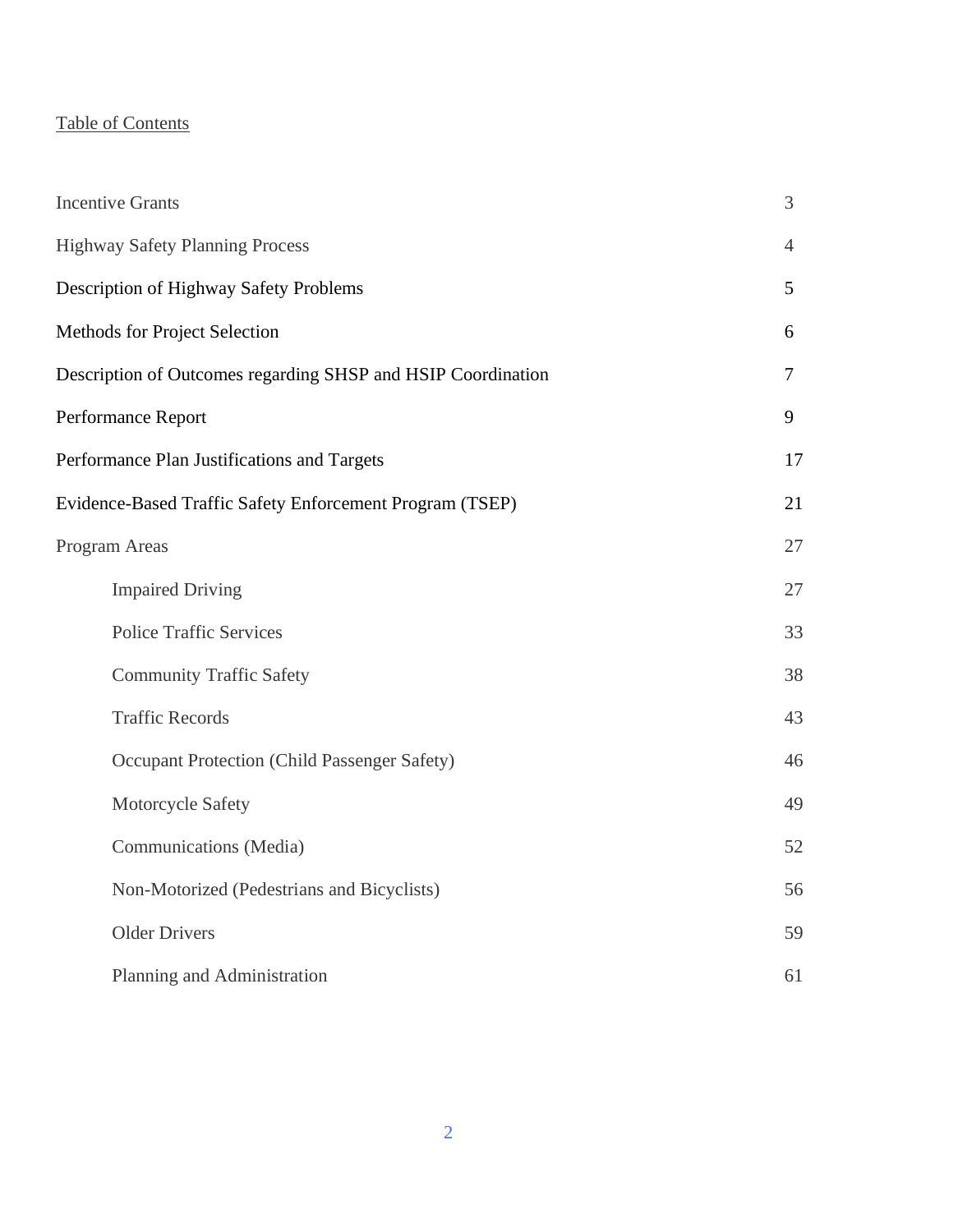# Table of Contents

| <b>Incentive Grants</b>                                      | 3  |
|--------------------------------------------------------------|----|
| <b>Highway Safety Planning Process</b>                       | 4  |
| Description of Highway Safety Problems                       | 5  |
| Methods for Project Selection                                | 6  |
| Description of Outcomes regarding SHSP and HSIP Coordination | 7  |
| Performance Report                                           | 9  |
| Performance Plan Justifications and Targets                  | 17 |
| Evidence-Based Traffic Safety Enforcement Program (TSEP)     | 21 |
| Program Areas                                                | 27 |
| <b>Impaired Driving</b>                                      | 27 |
| <b>Police Traffic Services</b>                               | 33 |
| <b>Community Traffic Safety</b>                              | 38 |
| <b>Traffic Records</b>                                       | 43 |
| Occupant Protection (Child Passenger Safety)                 | 46 |
| Motorcycle Safety                                            | 49 |
| Communications (Media)                                       | 52 |
| Non-Motorized (Pedestrians and Bicyclists)                   | 56 |
| <b>Older Drivers</b>                                         | 59 |
| Planning and Administration                                  | 61 |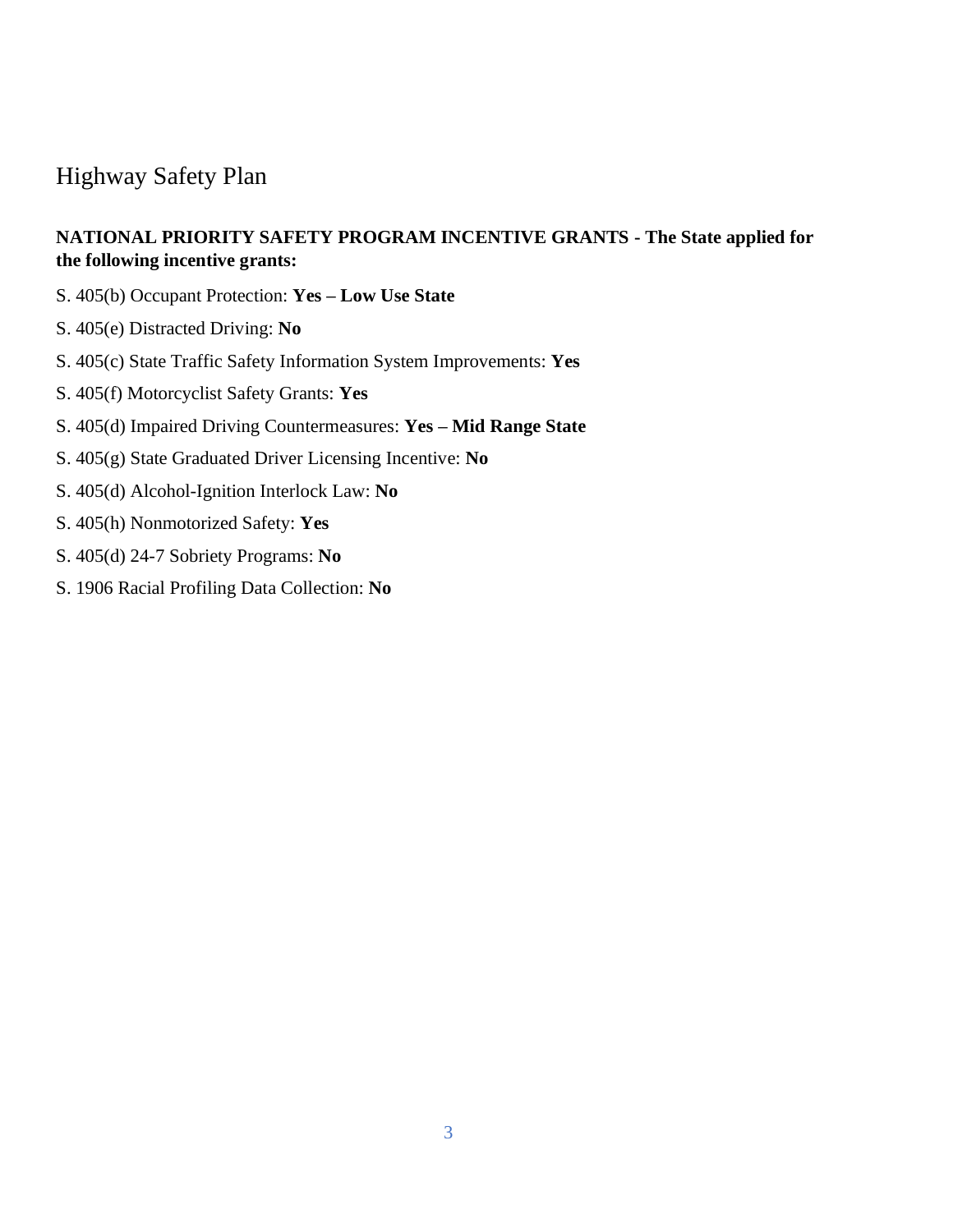# Highway Safety Plan

# **NATIONAL PRIORITY SAFETY PROGRAM INCENTIVE GRANTS - The State applied for the following incentive grants:**

- S. 405(b) Occupant Protection: **Yes – Low Use State**
- S. 405(e) Distracted Driving: **No**
- S. 405(c) State Traffic Safety Information System Improvements: **Yes**
- S. 405(f) Motorcyclist Safety Grants: **Yes**
- S. 405(d) Impaired Driving Countermeasures: **Yes – Mid Range State**
- S. 405(g) State Graduated Driver Licensing Incentive: **No**
- S. 405(d) Alcohol-Ignition Interlock Law: **No**
- S. 405(h) Nonmotorized Safety: **Yes**
- S. 405(d) 24-7 Sobriety Programs: **No**
- S. 1906 Racial Profiling Data Collection: **No**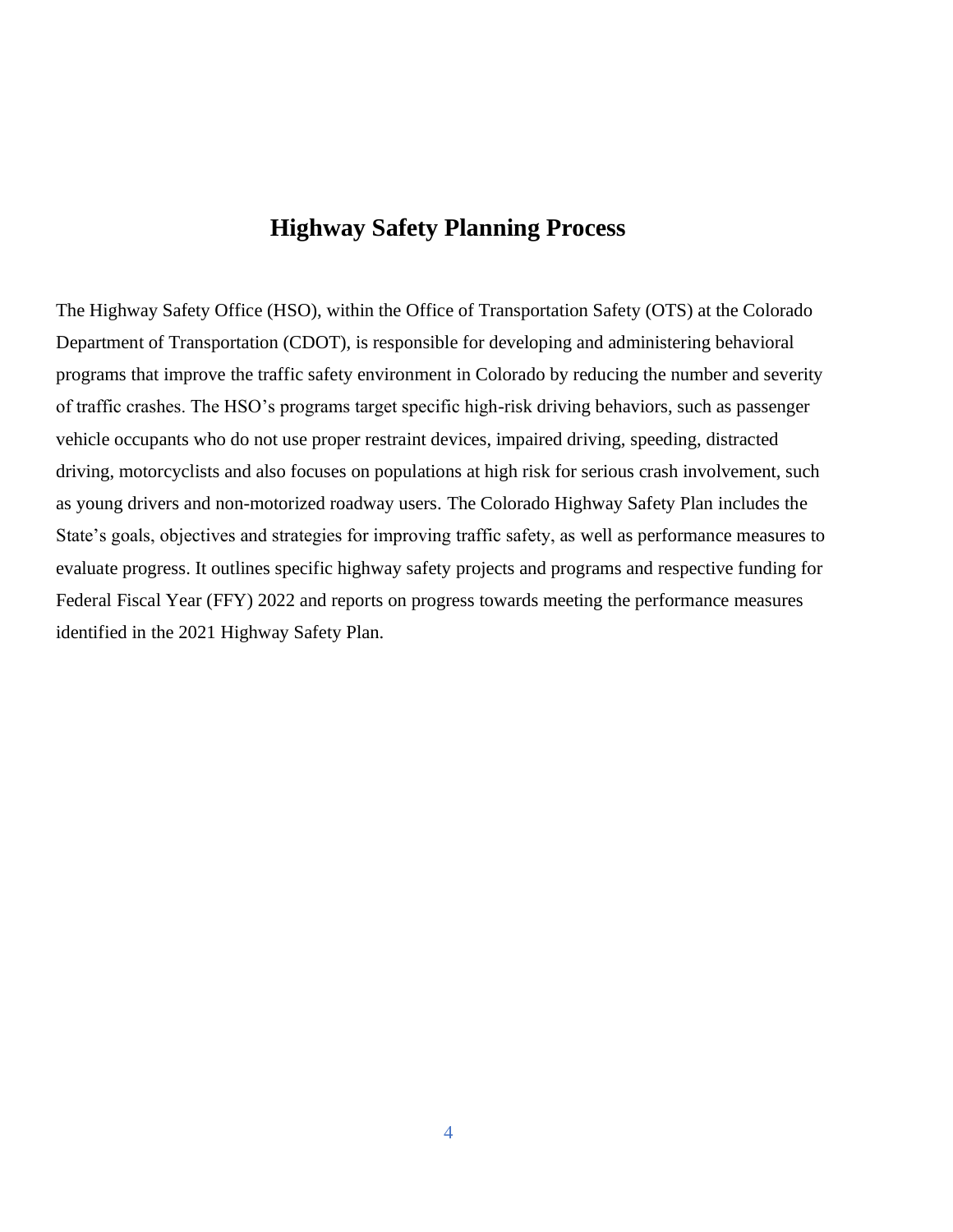# **Highway Safety Planning Process**

The Highway Safety Office (HSO), within the Office of Transportation Safety (OTS) at the Colorado Department of Transportation (CDOT), is responsible for developing and administering behavioral programs that improve the traffic safety environment in Colorado by reducing the number and severity of traffic crashes. The HSO's programs target specific high-risk driving behaviors, such as passenger vehicle occupants who do not use proper restraint devices, impaired driving, speeding, distracted driving, motorcyclists and also focuses on populations at high risk for serious crash involvement, such as young drivers and non-motorized roadway users. The Colorado Highway Safety Plan includes the State's goals, objectives and strategies for improving traffic safety, as well as performance measures to evaluate progress. It outlines specific highway safety projects and programs and respective funding for Federal Fiscal Year (FFY) 2022 and reports on progress towards meeting the performance measures identified in the 2021 Highway Safety Plan.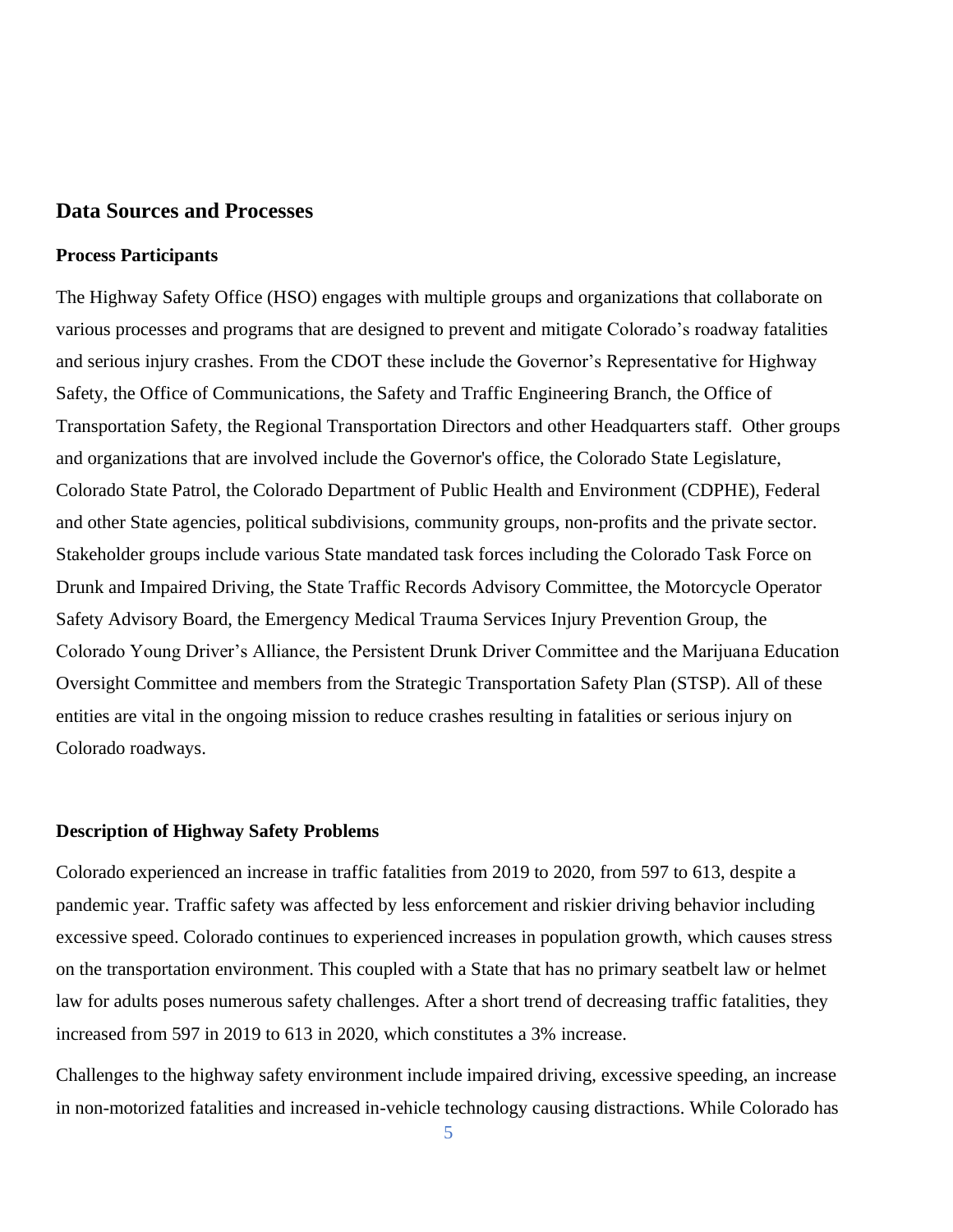#### **Data Sources and Processes**

#### **Process Participants**

The Highway Safety Office (HSO) engages with multiple groups and organizations that collaborate on various processes and programs that are designed to prevent and mitigate Colorado's roadway fatalities and serious injury crashes. From the CDOT these include the Governor's Representative for Highway Safety, the Office of Communications, the Safety and Traffic Engineering Branch, the Office of Transportation Safety, the Regional Transportation Directors and other Headquarters staff. Other groups and organizations that are involved include the Governor's office, the Colorado State Legislature, Colorado State Patrol, the Colorado Department of Public Health and Environment (CDPHE), Federal and other State agencies, political subdivisions, community groups, non-profits and the private sector. Stakeholder groups include various State mandated task forces including the Colorado Task Force on Drunk and Impaired Driving, the State Traffic Records Advisory Committee, the Motorcycle Operator Safety Advisory Board, the Emergency Medical Trauma Services Injury Prevention Group, the Colorado Young Driver's Alliance, the Persistent Drunk Driver Committee and the Marijuana Education Oversight Committee and members from the Strategic Transportation Safety Plan (STSP). All of these entities are vital in the ongoing mission to reduce crashes resulting in fatalities or serious injury on Colorado roadways.

#### **Description of Highway Safety Problems**

Colorado experienced an increase in traffic fatalities from 2019 to 2020, from 597 to 613, despite a pandemic year. Traffic safety was affected by less enforcement and riskier driving behavior including excessive speed. Colorado continues to experienced increases in population growth, which causes stress on the transportation environment. This coupled with a State that has no primary seatbelt law or helmet law for adults poses numerous safety challenges. After a short trend of decreasing traffic fatalities, they increased from 597 in 2019 to 613 in 2020, which constitutes a 3% increase.

Challenges to the highway safety environment include impaired driving, excessive speeding, an increase in non-motorized fatalities and increased in-vehicle technology causing distractions. While Colorado has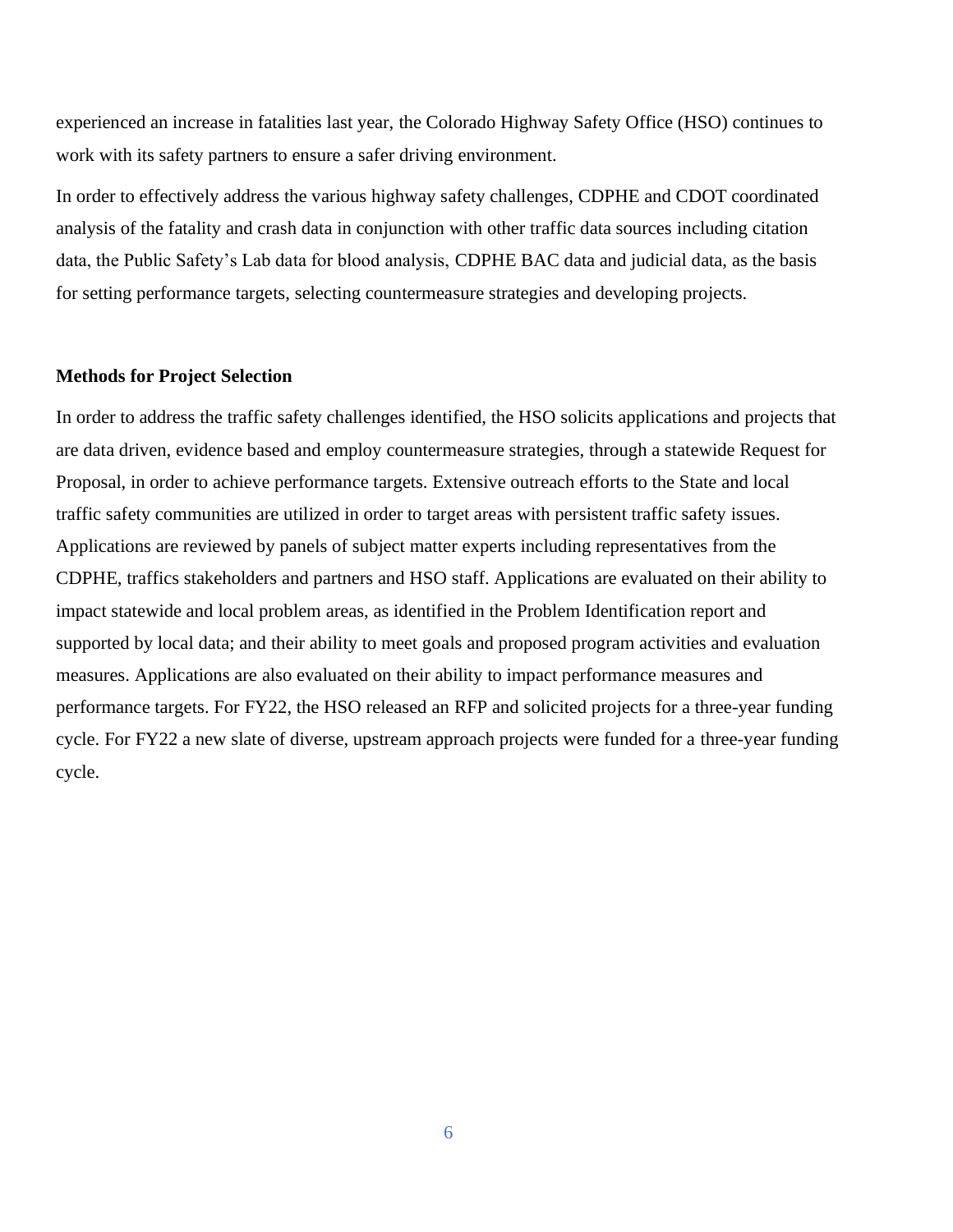experienced an increase in fatalities last year, the Colorado Highway Safety Office (HSO) continues to work with its safety partners to ensure a safer driving environment.

In order to effectively address the various highway safety challenges, CDPHE and CDOT coordinated analysis of the fatality and crash data in conjunction with other traffic data sources including citation data, the Public Safety's Lab data for blood analysis, CDPHE BAC data and judicial data, as the basis for setting performance targets, selecting countermeasure strategies and developing projects.

#### **Methods for Project Selection**

In order to address the traffic safety challenges identified, the HSO solicits applications and projects that are data driven, evidence based and employ countermeasure strategies, through a statewide Request for Proposal, in order to achieve performance targets. Extensive outreach efforts to the State and local traffic safety communities are utilized in order to target areas with persistent traffic safety issues. Applications are reviewed by panels of subject matter experts including representatives from the CDPHE, traffics stakeholders and partners and HSO staff. Applications are evaluated on their ability to impact statewide and local problem areas, as identified in the Problem Identification report and supported by local data; and their ability to meet goals and proposed program activities and evaluation measures. Applications are also evaluated on their ability to impact performance measures and performance targets. For FY22, the HSO released an RFP and solicited projects for a three-year funding cycle. For FY22 a new slate of diverse, upstream approach projects were funded for a three-year funding cycle.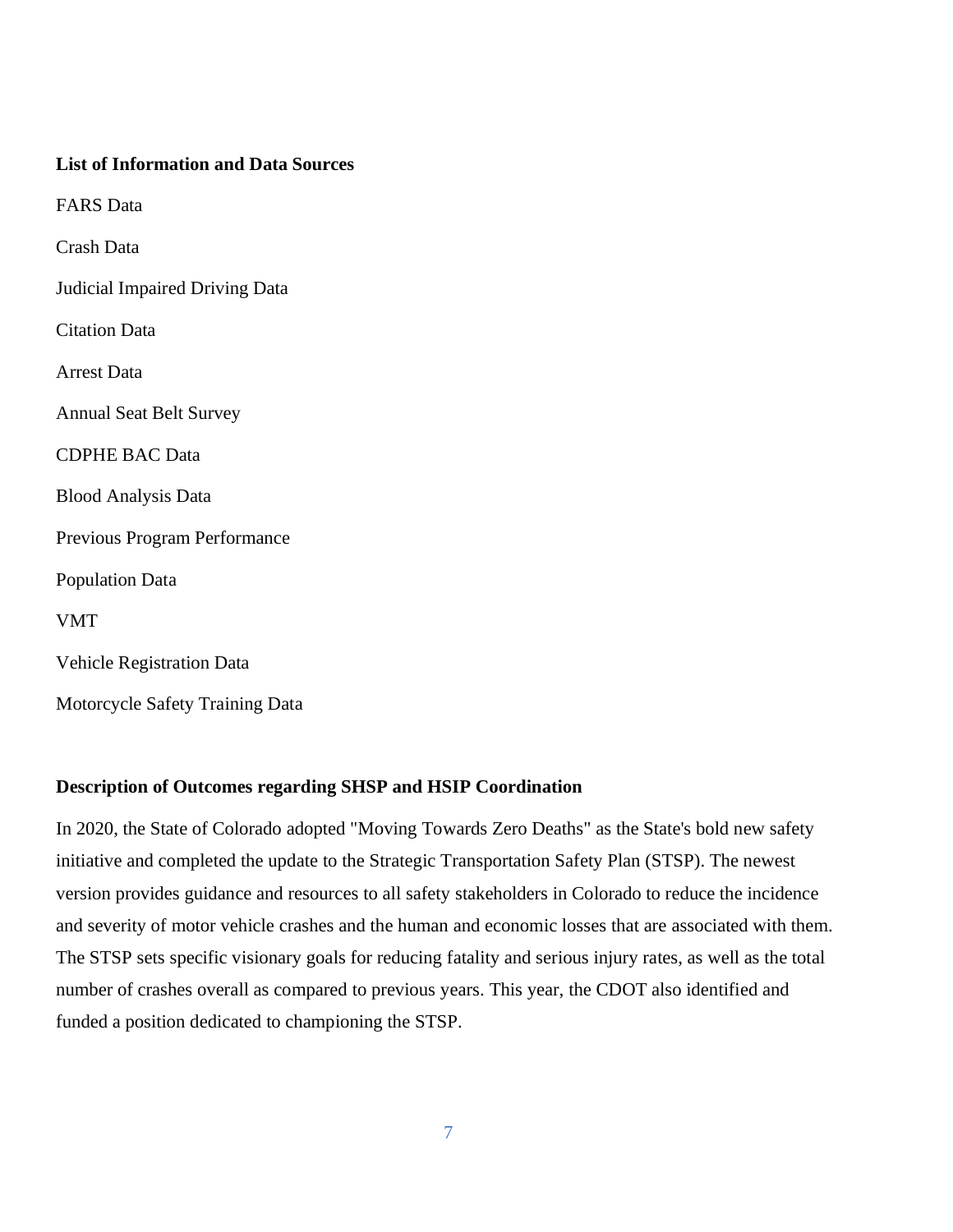| <b>List of Information and Data Sources</b> |
|---------------------------------------------|
| <b>FARS</b> Data                            |
| Crash Data                                  |
| <b>Judicial Impaired Driving Data</b>       |
| <b>Citation Data</b>                        |
| <b>Arrest Data</b>                          |
| <b>Annual Seat Belt Survey</b>              |
| <b>CDPHE BAC Data</b>                       |
| <b>Blood Analysis Data</b>                  |
| Previous Program Performance                |
| <b>Population Data</b>                      |
| <b>VMT</b>                                  |
| <b>Vehicle Registration Data</b>            |
| Motorcycle Safety Training Data             |

# **Description of Outcomes regarding SHSP and HSIP Coordination**

In 2020, the State of Colorado adopted "Moving Towards Zero Deaths" as the State's bold new safety initiative and completed the update to the Strategic Transportation Safety Plan (STSP). The newest version provides guidance and resources to all safety stakeholders in Colorado to reduce the incidence and severity of motor vehicle crashes and the human and economic losses that are associated with them. The STSP sets specific visionary goals for reducing fatality and serious injury rates, as well as the total number of crashes overall as compared to previous years. This year, the CDOT also identified and funded a position dedicated to championing the STSP.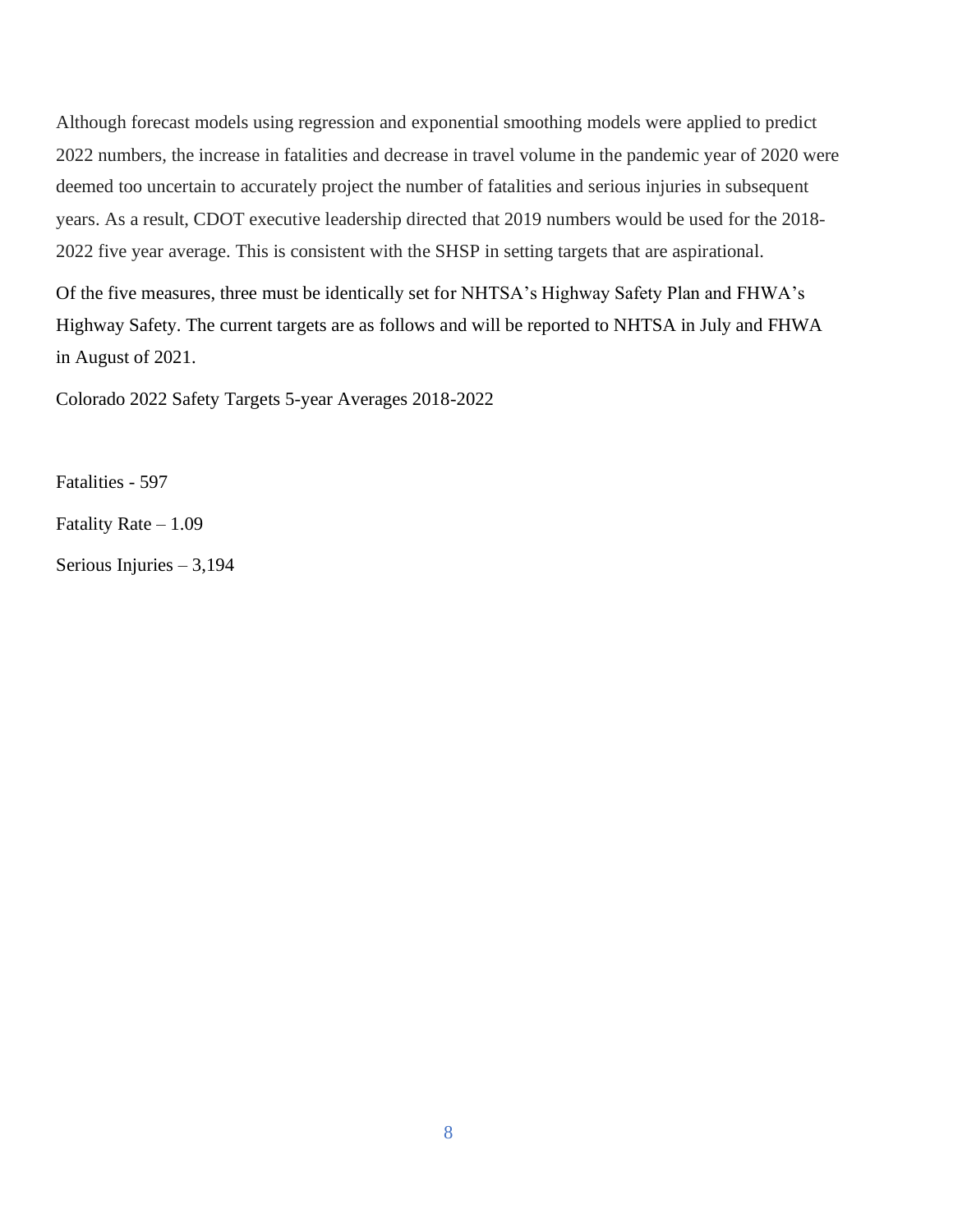Although forecast models using regression and exponential smoothing models were applied to predict 2022 numbers, the increase in fatalities and decrease in travel volume in the pandemic year of 2020 were deemed too uncertain to accurately project the number of fatalities and serious injuries in subsequent years. As a result, CDOT executive leadership directed that 2019 numbers would be used for the 2018- 2022 five year average. This is consistent with the SHSP in setting targets that are aspirational.

Of the five measures, three must be identically set for NHTSA's Highway Safety Plan and FHWA's Highway Safety. The current targets are as follows and will be reported to NHTSA in July and FHWA in August of 2021.

Colorado 2022 Safety Targets 5-year Averages 2018-2022

Fatalities - 597

Fatality Rate – 1.09

Serious Injuries – 3,194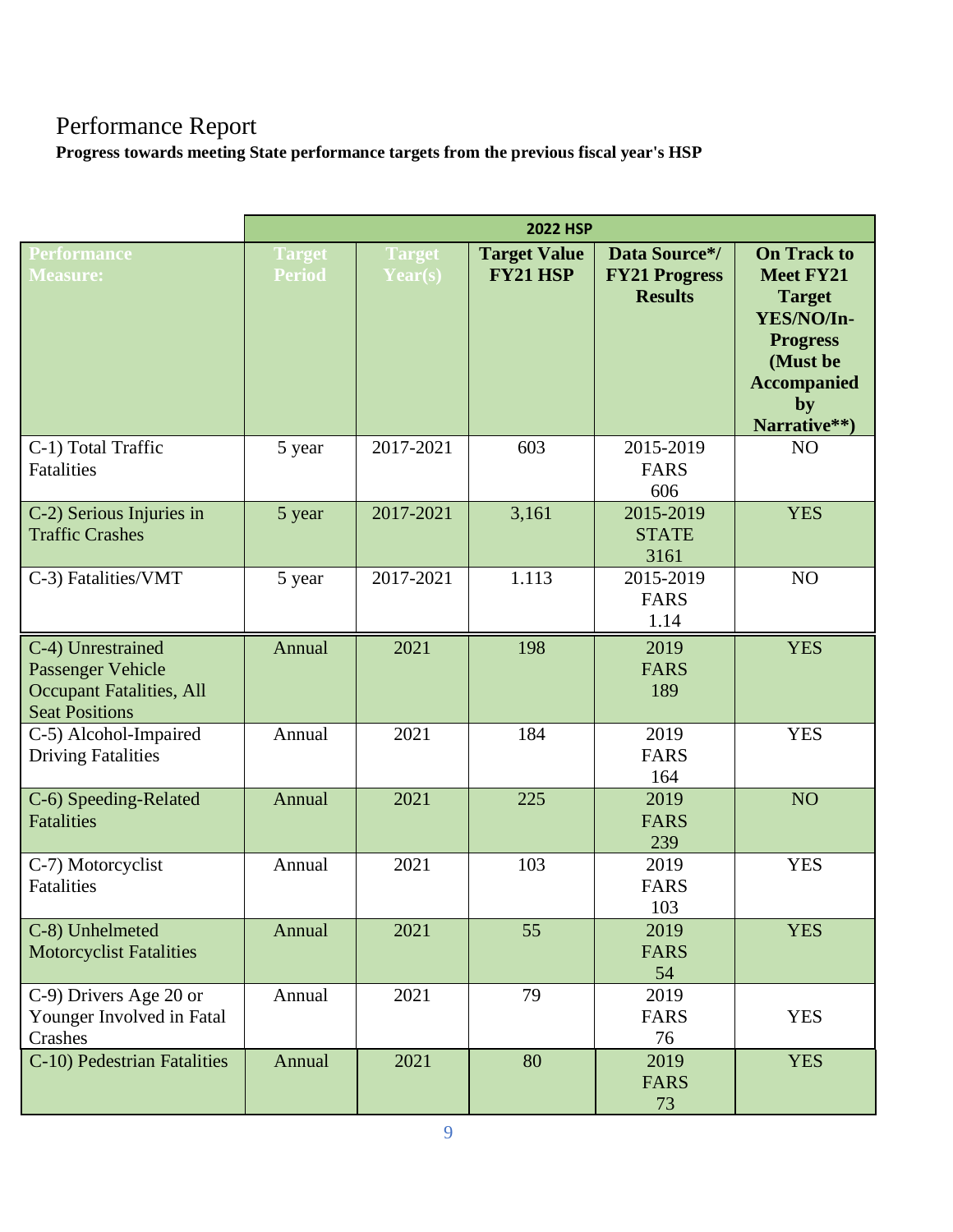# Performance Report

**Progress towards meeting State performance targets from the previous fiscal year's HSP**

|                                                                                                    | <b>2022 HSP</b>                |                          |                                        |                                                         |                                                                                                                                                  |
|----------------------------------------------------------------------------------------------------|--------------------------------|--------------------------|----------------------------------------|---------------------------------------------------------|--------------------------------------------------------------------------------------------------------------------------------------------------|
| <b>Performance</b><br><b>Measure:</b>                                                              | <b>Target</b><br><b>Period</b> | <b>Target</b><br>Year(s) | <b>Target Value</b><br><b>FY21 HSP</b> | Data Source*/<br><b>FY21 Progress</b><br><b>Results</b> | <b>On Track to</b><br><b>Meet FY21</b><br><b>Target</b><br>YES/NO/In-<br><b>Progress</b><br>(Must be<br><b>Accompanied</b><br>by<br>Narrative**) |
| C-1) Total Traffic<br>Fatalities                                                                   | 5 year                         | 2017-2021                | 603                                    | 2015-2019<br><b>FARS</b><br>606                         | N <sub>O</sub>                                                                                                                                   |
| C-2) Serious Injuries in<br><b>Traffic Crashes</b>                                                 | 5 year                         | 2017-2021                | 3,161                                  | 2015-2019<br><b>STATE</b><br>3161                       | <b>YES</b>                                                                                                                                       |
| C-3) Fatalities/VMT                                                                                | 5 year                         | 2017-2021                | 1.113                                  | 2015-2019<br><b>FARS</b><br>1.14                        | NO                                                                                                                                               |
| C-4) Unrestrained<br>Passenger Vehicle<br><b>Occupant Fatalities, All</b><br><b>Seat Positions</b> | Annual                         | 2021                     | 198                                    | 2019<br><b>FARS</b><br>189                              | <b>YES</b>                                                                                                                                       |
| C-5) Alcohol-Impaired<br><b>Driving Fatalities</b>                                                 | Annual                         | 2021                     | 184                                    | 2019<br><b>FARS</b><br>164                              | <b>YES</b>                                                                                                                                       |
| C-6) Speeding-Related<br><b>Fatalities</b>                                                         | Annual                         | 2021                     | 225                                    | 2019<br><b>FARS</b><br>239                              | NO <sub>1</sub>                                                                                                                                  |
| C-7) Motorcyclist<br><b>Fatalities</b>                                                             | Annual                         | 2021                     | 103                                    | 2019<br><b>FARS</b><br>103                              | <b>YES</b>                                                                                                                                       |
| C-8) Unhelmeted<br><b>Motorcyclist Fatalities</b>                                                  | Annual                         | 2021                     | 55                                     | 2019<br><b>FARS</b><br>54                               | <b>YES</b>                                                                                                                                       |
| C-9) Drivers Age 20 or<br>Younger Involved in Fatal<br>Crashes                                     | Annual                         | 2021                     | 79                                     | 2019<br><b>FARS</b><br>76                               | <b>YES</b>                                                                                                                                       |
| C-10) Pedestrian Fatalities                                                                        | Annual                         | 2021                     | 80                                     | 2019<br><b>FARS</b><br>73                               | <b>YES</b>                                                                                                                                       |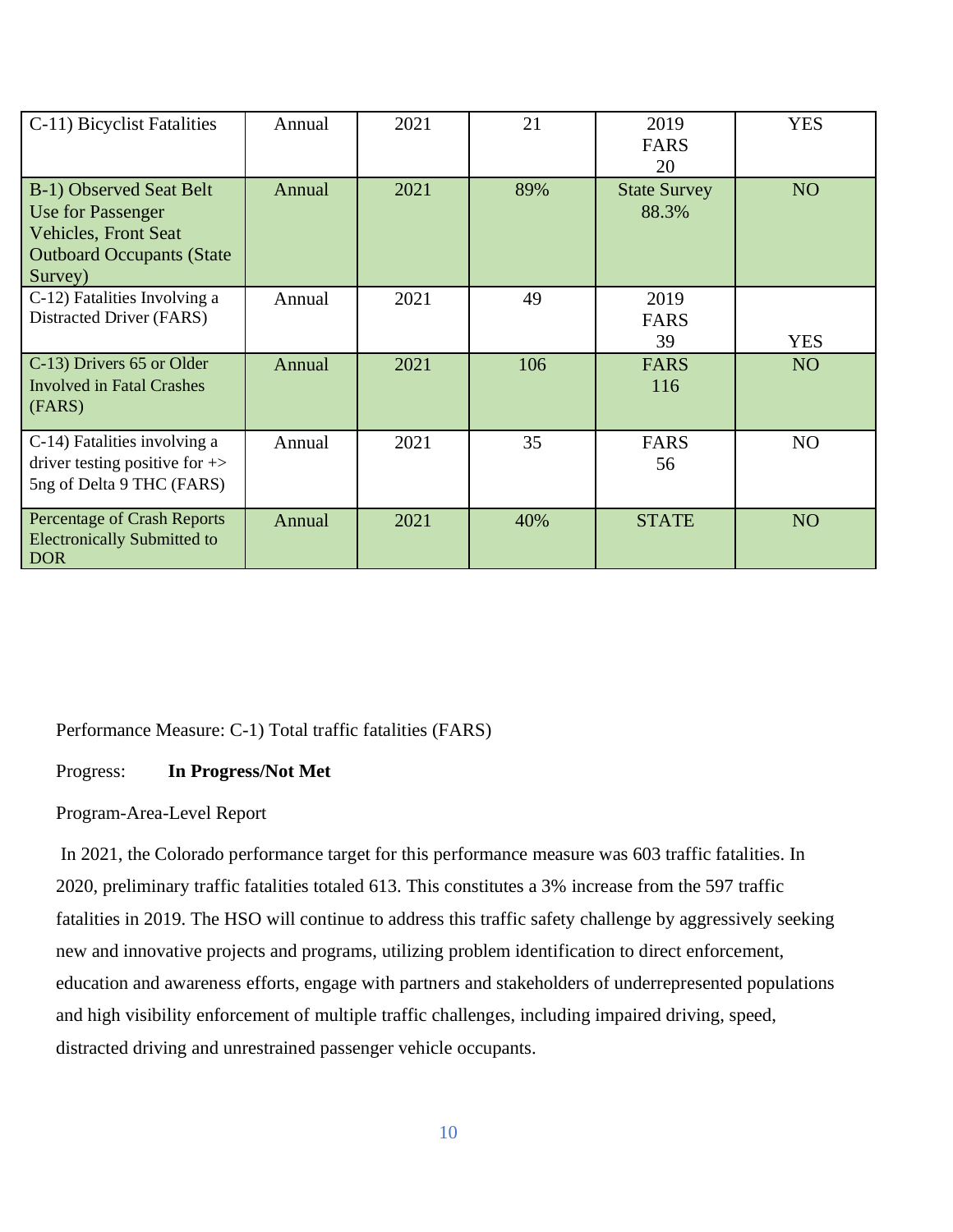| C-11) Bicyclist Fatalities                                                                                                  | Annual | 2021 | 21  | 2019<br><b>FARS</b><br>20    | <b>YES</b>      |
|-----------------------------------------------------------------------------------------------------------------------------|--------|------|-----|------------------------------|-----------------|
| B-1) Observed Seat Belt<br>Use for Passenger<br><b>Vehicles, Front Seat</b><br><b>Outboard Occupants (State)</b><br>Survey) | Annual | 2021 | 89% | <b>State Survey</b><br>88.3% | NO <sub>1</sub> |
| C-12) Fatalities Involving a<br>Distracted Driver (FARS)                                                                    | Annual | 2021 | 49  | 2019<br><b>FARS</b><br>39    | <b>YES</b>      |
| C-13) Drivers 65 or Older<br><b>Involved in Fatal Crashes</b><br>(FARS)                                                     | Annual | 2021 | 106 | <b>FARS</b><br>116           | NO <sub>1</sub> |
| C-14) Fatalities involving a<br>driver testing positive for $\rightarrow$<br>5ng of Delta 9 THC (FARS)                      | Annual | 2021 | 35  | <b>FARS</b><br>56            | NO              |
| Percentage of Crash Reports<br><b>Electronically Submitted to</b><br><b>DOR</b>                                             | Annual | 2021 | 40% | <b>STATE</b>                 | NO <sub>1</sub> |

Performance Measure: C-1) Total traffic fatalities (FARS)

Progress: **In Progress/Not Met**

# Program-Area-Level Report

In 2021, the Colorado performance target for this performance measure was 603 traffic fatalities. In 2020, preliminary traffic fatalities totaled 613. This constitutes a 3% increase from the 597 traffic fatalities in 2019. The HSO will continue to address this traffic safety challenge by aggressively seeking new and innovative projects and programs, utilizing problem identification to direct enforcement, education and awareness efforts, engage with partners and stakeholders of underrepresented populations and high visibility enforcement of multiple traffic challenges, including impaired driving, speed, distracted driving and unrestrained passenger vehicle occupants.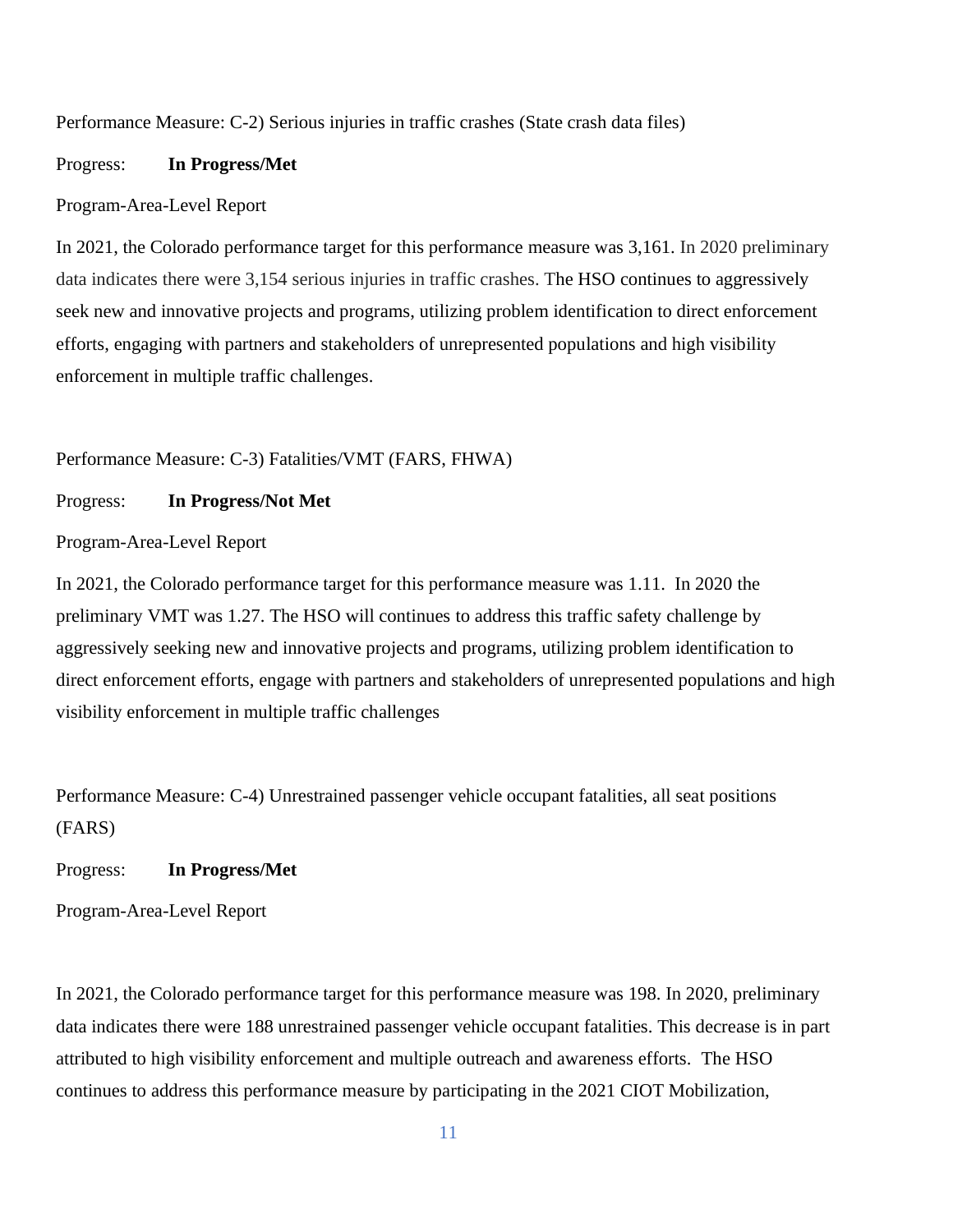Performance Measure: C-2) Serious injuries in traffic crashes (State crash data files)

#### Progress: **In Progress/Met**

#### Program-Area-Level Report

In 2021, the Colorado performance target for this performance measure was 3,161. In 2020 preliminary data indicates there were 3,154 serious injuries in traffic crashes. The HSO continues to aggressively seek new and innovative projects and programs, utilizing problem identification to direct enforcement efforts, engaging with partners and stakeholders of unrepresented populations and high visibility enforcement in multiple traffic challenges.

Performance Measure: C-3) Fatalities/VMT (FARS, FHWA)

Progress: **In Progress/Not Met**

Program-Area-Level Report

In 2021, the Colorado performance target for this performance measure was 1.11. In 2020 the preliminary VMT was 1.27. The HSO will continues to address this traffic safety challenge by aggressively seeking new and innovative projects and programs, utilizing problem identification to direct enforcement efforts, engage with partners and stakeholders of unrepresented populations and high visibility enforcement in multiple traffic challenges

Performance Measure: C-4) Unrestrained passenger vehicle occupant fatalities, all seat positions (FARS)

Progress: **In Progress/Met**

Program-Area-Level Report

In 2021, the Colorado performance target for this performance measure was 198. In 2020, preliminary data indicates there were 188 unrestrained passenger vehicle occupant fatalities. This decrease is in part attributed to high visibility enforcement and multiple outreach and awareness efforts. The HSO continues to address this performance measure by participating in the 2021 CIOT Mobilization,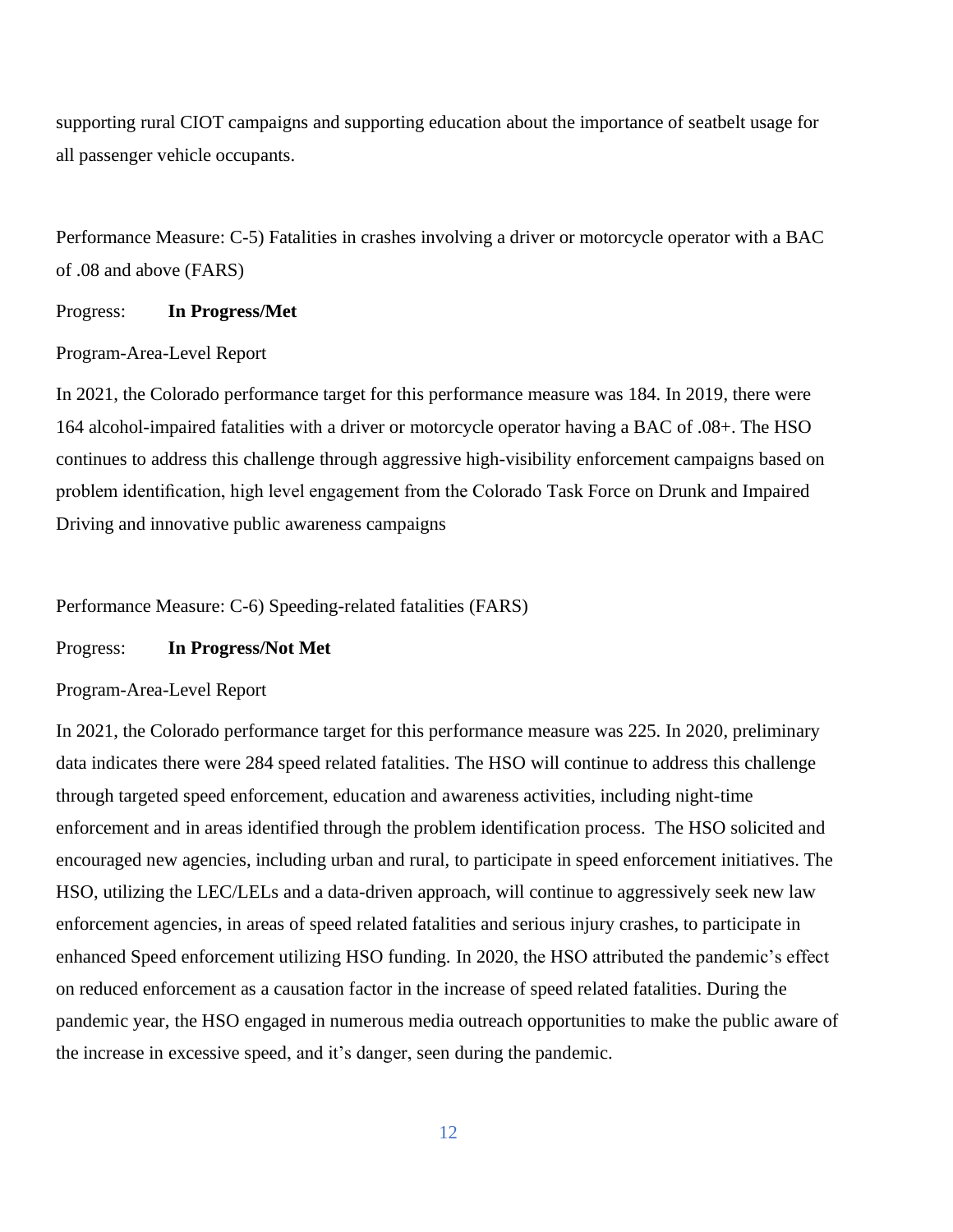supporting rural CIOT campaigns and supporting education about the importance of seatbelt usage for all passenger vehicle occupants.

Performance Measure: C-5) Fatalities in crashes involving a driver or motorcycle operator with a BAC of .08 and above (FARS)

#### Progress: **In Progress/Met**

#### Program-Area-Level Report

In 2021, the Colorado performance target for this performance measure was 184. In 2019, there were 164 alcohol-impaired fatalities with a driver or motorcycle operator having a BAC of .08+. The HSO continues to address this challenge through aggressive high-visibility enforcement campaigns based on problem identification, high level engagement from the Colorado Task Force on Drunk and Impaired Driving and innovative public awareness campaigns

#### Performance Measure: C-6) Speeding-related fatalities (FARS)

Progress: **In Progress/Not Met**

#### Program-Area-Level Report

In 2021, the Colorado performance target for this performance measure was 225. In 2020, preliminary data indicates there were 284 speed related fatalities. The HSO will continue to address this challenge through targeted speed enforcement, education and awareness activities, including night-time enforcement and in areas identified through the problem identification process. The HSO solicited and encouraged new agencies, including urban and rural, to participate in speed enforcement initiatives. The HSO, utilizing the LEC/LELs and a data-driven approach, will continue to aggressively seek new law enforcement agencies, in areas of speed related fatalities and serious injury crashes, to participate in enhanced Speed enforcement utilizing HSO funding. In 2020, the HSO attributed the pandemic's effect on reduced enforcement as a causation factor in the increase of speed related fatalities. During the pandemic year, the HSO engaged in numerous media outreach opportunities to make the public aware of the increase in excessive speed, and it's danger, seen during the pandemic.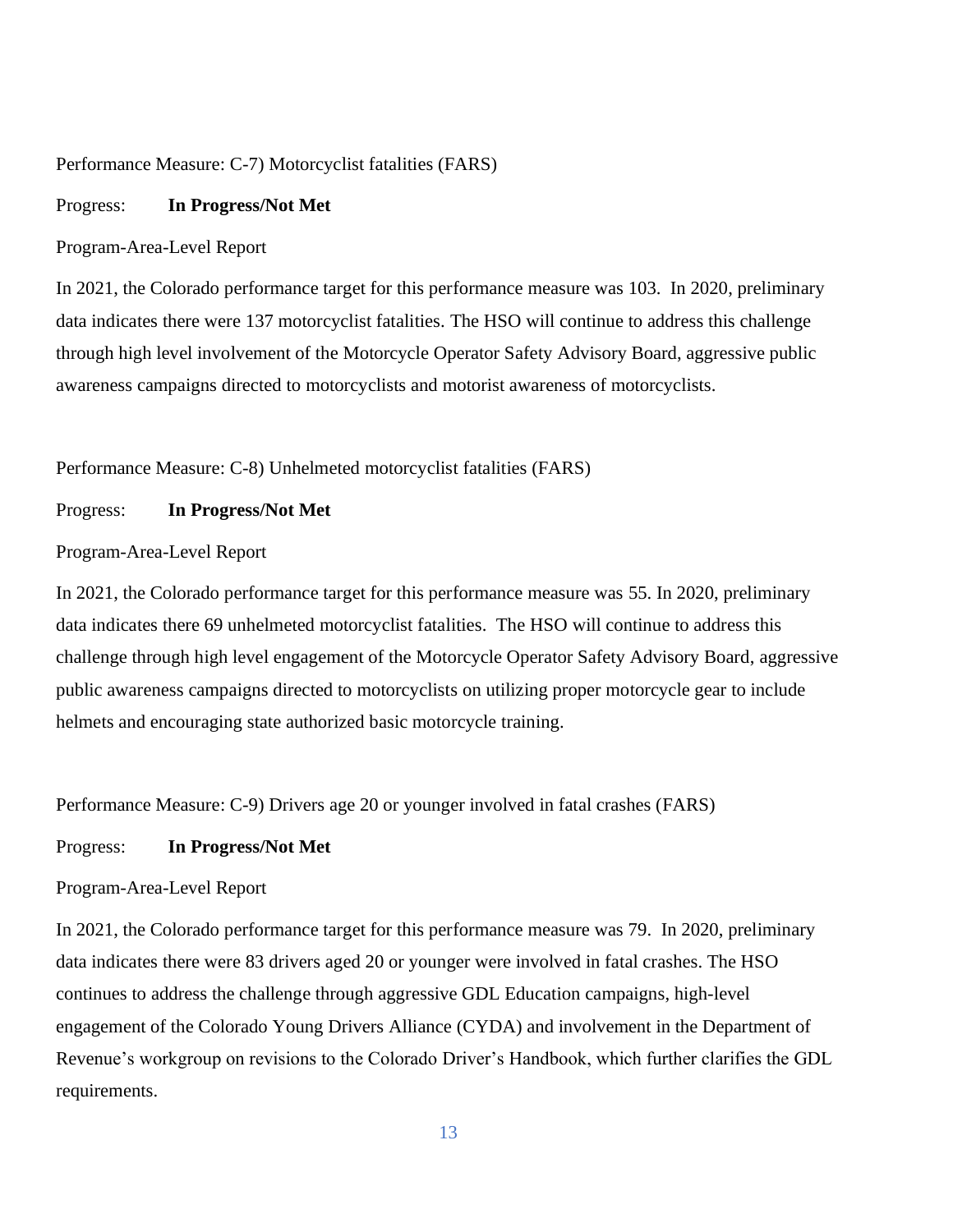#### Performance Measure: C-7) Motorcyclist fatalities (FARS)

#### Progress: **In Progress/Not Met**

#### Program-Area-Level Report

In 2021, the Colorado performance target for this performance measure was 103. In 2020, preliminary data indicates there were 137 motorcyclist fatalities. The HSO will continue to address this challenge through high level involvement of the Motorcycle Operator Safety Advisory Board, aggressive public awareness campaigns directed to motorcyclists and motorist awareness of motorcyclists.

Performance Measure: C-8) Unhelmeted motorcyclist fatalities (FARS)

#### Progress: **In Progress/Not Met**

Program-Area-Level Report

In 2021, the Colorado performance target for this performance measure was 55. In 2020, preliminary data indicates there 69 unhelmeted motorcyclist fatalities. The HSO will continue to address this challenge through high level engagement of the Motorcycle Operator Safety Advisory Board, aggressive public awareness campaigns directed to motorcyclists on utilizing proper motorcycle gear to include helmets and encouraging state authorized basic motorcycle training.

Performance Measure: C-9) Drivers age 20 or younger involved in fatal crashes (FARS)

#### Progress: **In Progress/Not Met**

#### Program-Area-Level Report

In 2021, the Colorado performance target for this performance measure was 79. In 2020, preliminary data indicates there were 83 drivers aged 20 or younger were involved in fatal crashes. The HSO continues to address the challenge through aggressive GDL Education campaigns, high-level engagement of the Colorado Young Drivers Alliance (CYDA) and involvement in the Department of Revenue's workgroup on revisions to the Colorado Driver's Handbook, which further clarifies the GDL requirements.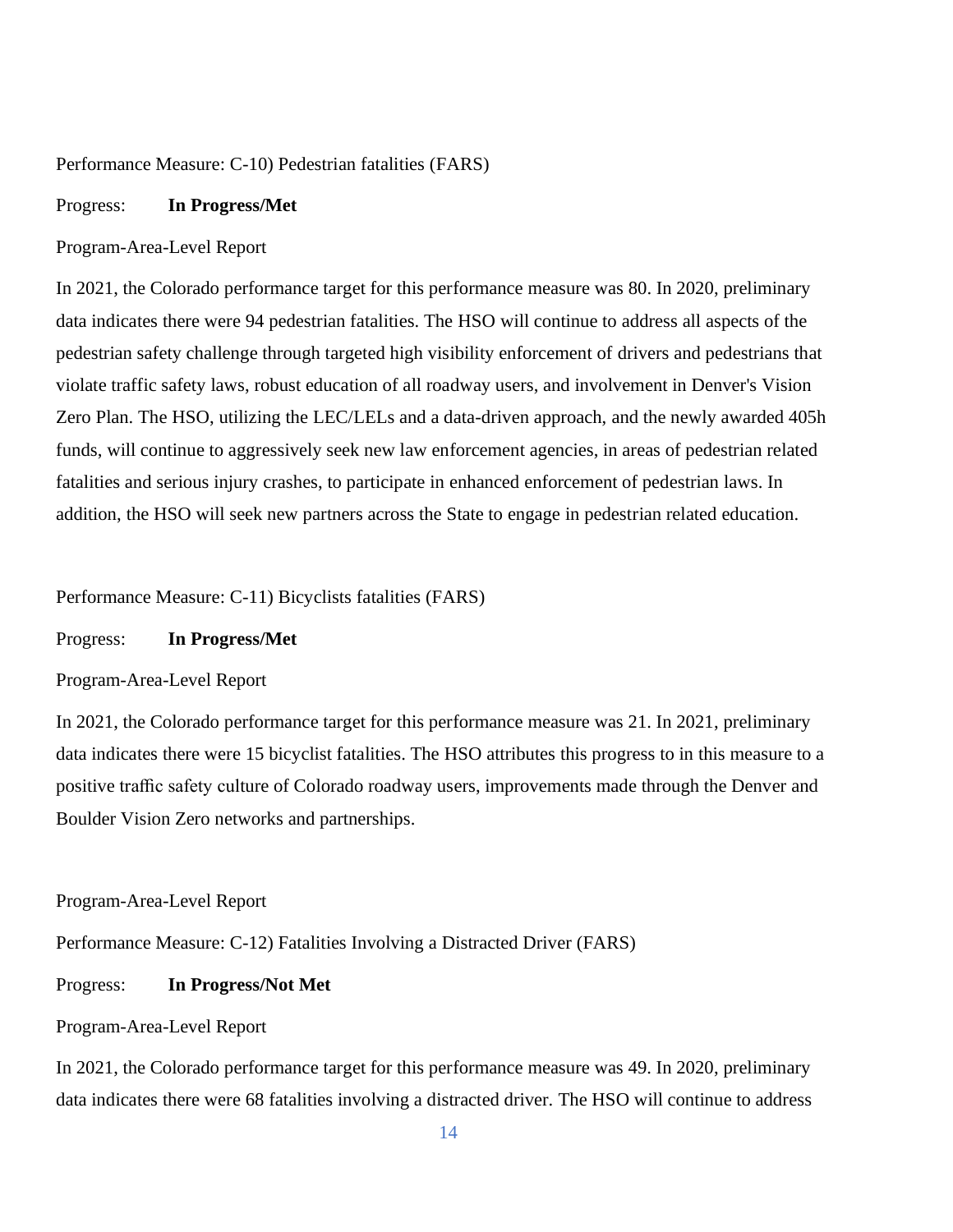#### Performance Measure: C-10) Pedestrian fatalities (FARS)

#### Progress: **In Progress/Met**

#### Program-Area-Level Report

In 2021, the Colorado performance target for this performance measure was 80. In 2020, preliminary data indicates there were 94 pedestrian fatalities. The HSO will continue to address all aspects of the pedestrian safety challenge through targeted high visibility enforcement of drivers and pedestrians that violate traffic safety laws, robust education of all roadway users, and involvement in Denver's Vision Zero Plan. The HSO, utilizing the LEC/LELs and a data-driven approach, and the newly awarded 405h funds, will continue to aggressively seek new law enforcement agencies, in areas of pedestrian related fatalities and serious injury crashes, to participate in enhanced enforcement of pedestrian laws. In addition, the HSO will seek new partners across the State to engage in pedestrian related education.

Performance Measure: C-11) Bicyclists fatalities (FARS)

Progress: **In Progress/Met**

Program-Area-Level Report

In 2021, the Colorado performance target for this performance measure was 21. In 2021, preliminary data indicates there were 15 bicyclist fatalities. The HSO attributes this progress to in this measure to a positive traffic safety culture of Colorado roadway users, improvements made through the Denver and Boulder Vision Zero networks and partnerships.

Program-Area-Level Report

Performance Measure: C-12) Fatalities Involving a Distracted Driver (FARS)

Progress: **In Progress/Not Met**

#### Program-Area-Level Report

In 2021, the Colorado performance target for this performance measure was 49. In 2020, preliminary data indicates there were 68 fatalities involving a distracted driver. The HSO will continue to address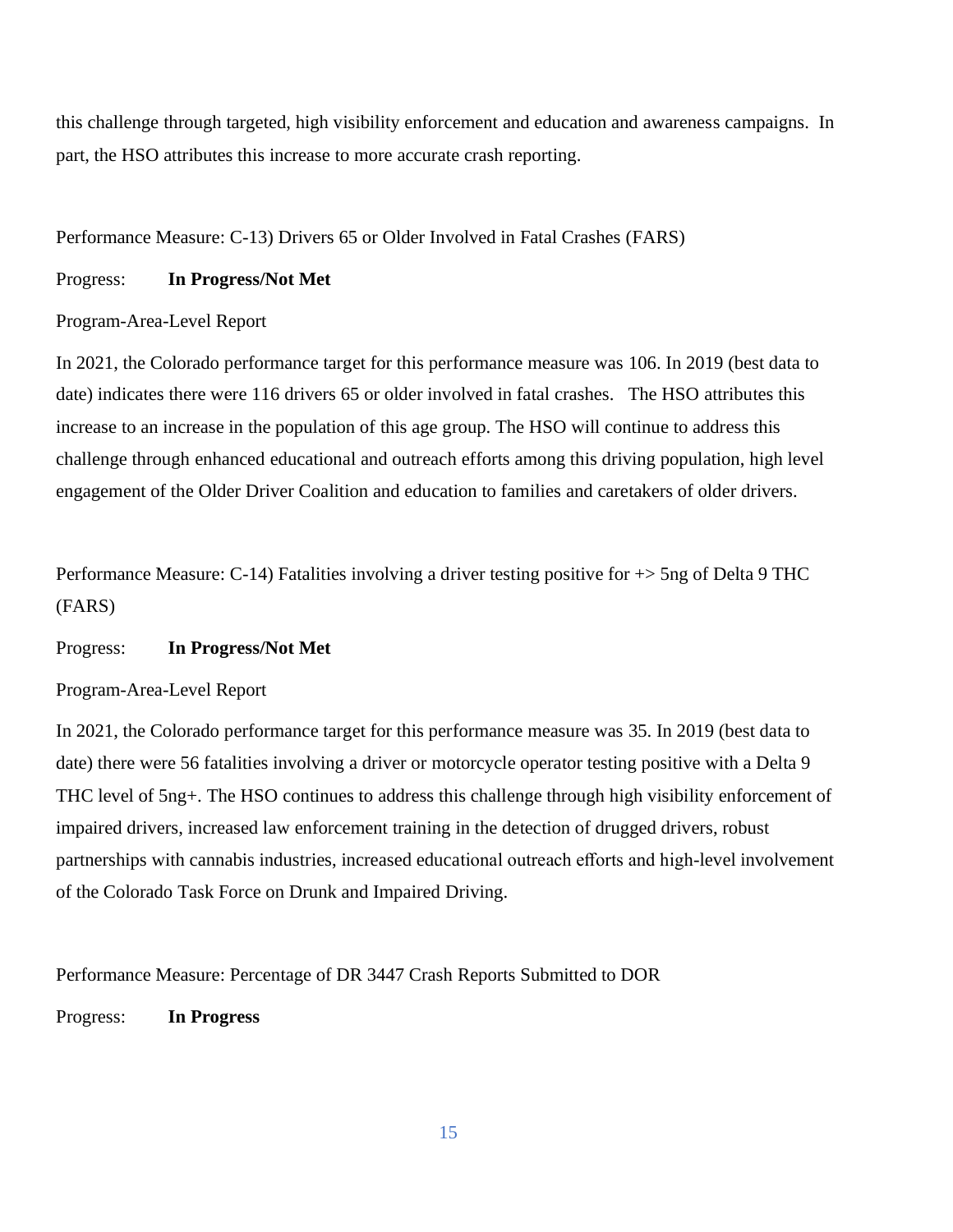this challenge through targeted, high visibility enforcement and education and awareness campaigns. In part, the HSO attributes this increase to more accurate crash reporting.

Performance Measure: C-13) Drivers 65 or Older Involved in Fatal Crashes (FARS)

## Progress: **In Progress/Not Met**

# Program-Area-Level Report

In 2021, the Colorado performance target for this performance measure was 106. In 2019 (best data to date) indicates there were 116 drivers 65 or older involved in fatal crashes. The HSO attributes this increase to an increase in the population of this age group. The HSO will continue to address this challenge through enhanced educational and outreach efforts among this driving population, high level engagement of the Older Driver Coalition and education to families and caretakers of older drivers.

Performance Measure: C-14) Fatalities involving a driver testing positive for  $\rightarrow$  5ng of Delta 9 THC (FARS)

#### Progress: **In Progress/Not Met**

# Program-Area-Level Report

In 2021, the Colorado performance target for this performance measure was 35. In 2019 (best data to date) there were 56 fatalities involving a driver or motorcycle operator testing positive with a Delta 9 THC level of 5ng+. The HSO continues to address this challenge through high visibility enforcement of impaired drivers, increased law enforcement training in the detection of drugged drivers, robust partnerships with cannabis industries, increased educational outreach efforts and high-level involvement of the Colorado Task Force on Drunk and Impaired Driving.

Performance Measure: Percentage of DR 3447 Crash Reports Submitted to DOR

Progress: **In Progress**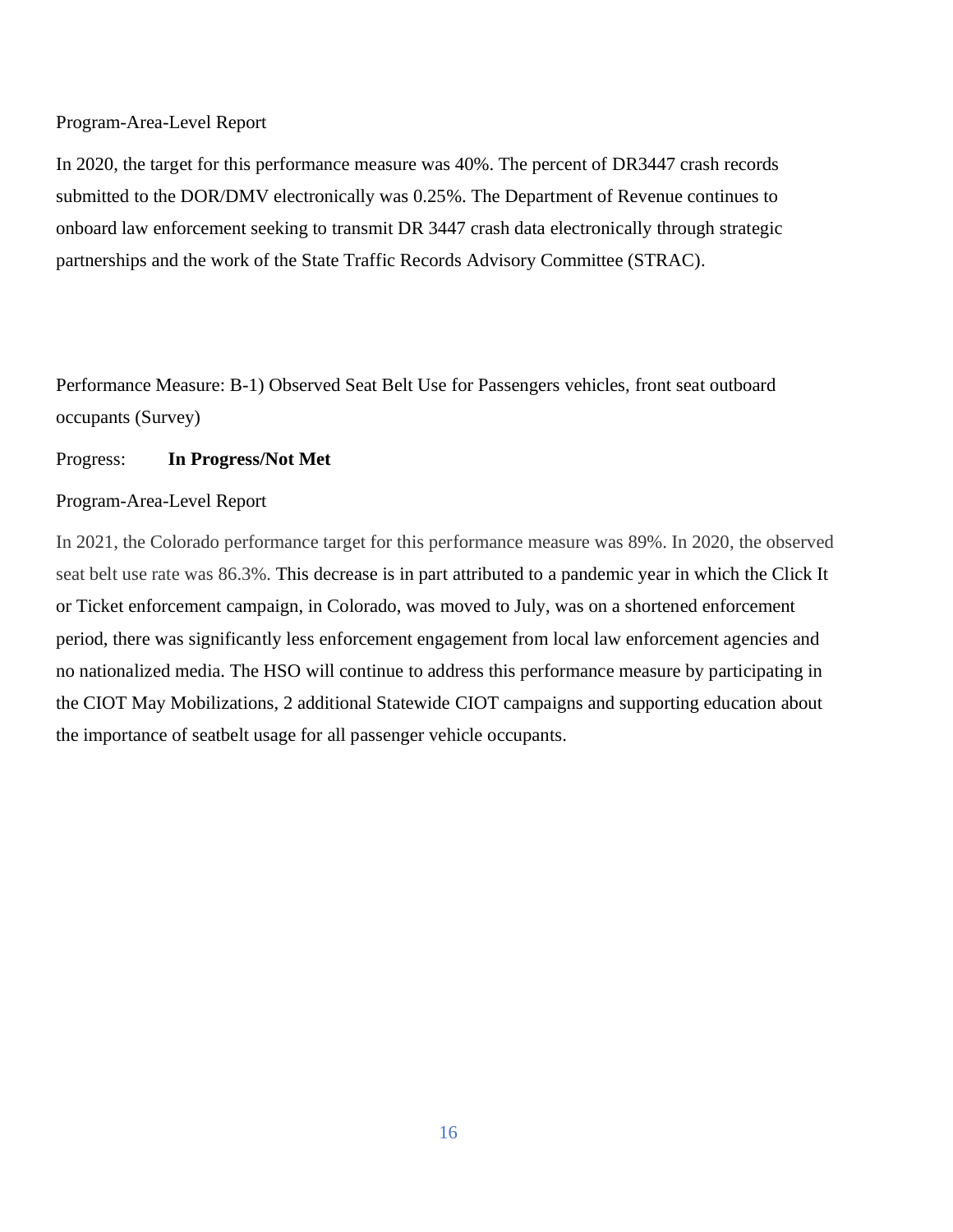#### Program-Area-Level Report

In 2020, the target for this performance measure was 40%. The percent of DR3447 crash records submitted to the DOR/DMV electronically was 0.25%. The Department of Revenue continues to onboard law enforcement seeking to transmit DR 3447 crash data electronically through strategic partnerships and the work of the State Traffic Records Advisory Committee (STRAC).

Performance Measure: B-1) Observed Seat Belt Use for Passengers vehicles, front seat outboard occupants (Survey)

#### Progress: **In Progress/Not Met**

#### Program-Area-Level Report

In 2021, the Colorado performance target for this performance measure was 89%. In 2020, the observed seat belt use rate was 86.3%. This decrease is in part attributed to a pandemic year in which the Click It or Ticket enforcement campaign, in Colorado, was moved to July, was on a shortened enforcement period, there was significantly less enforcement engagement from local law enforcement agencies and no nationalized media. The HSO will continue to address this performance measure by participating in the CIOT May Mobilizations, 2 additional Statewide CIOT campaigns and supporting education about the importance of seatbelt usage for all passenger vehicle occupants.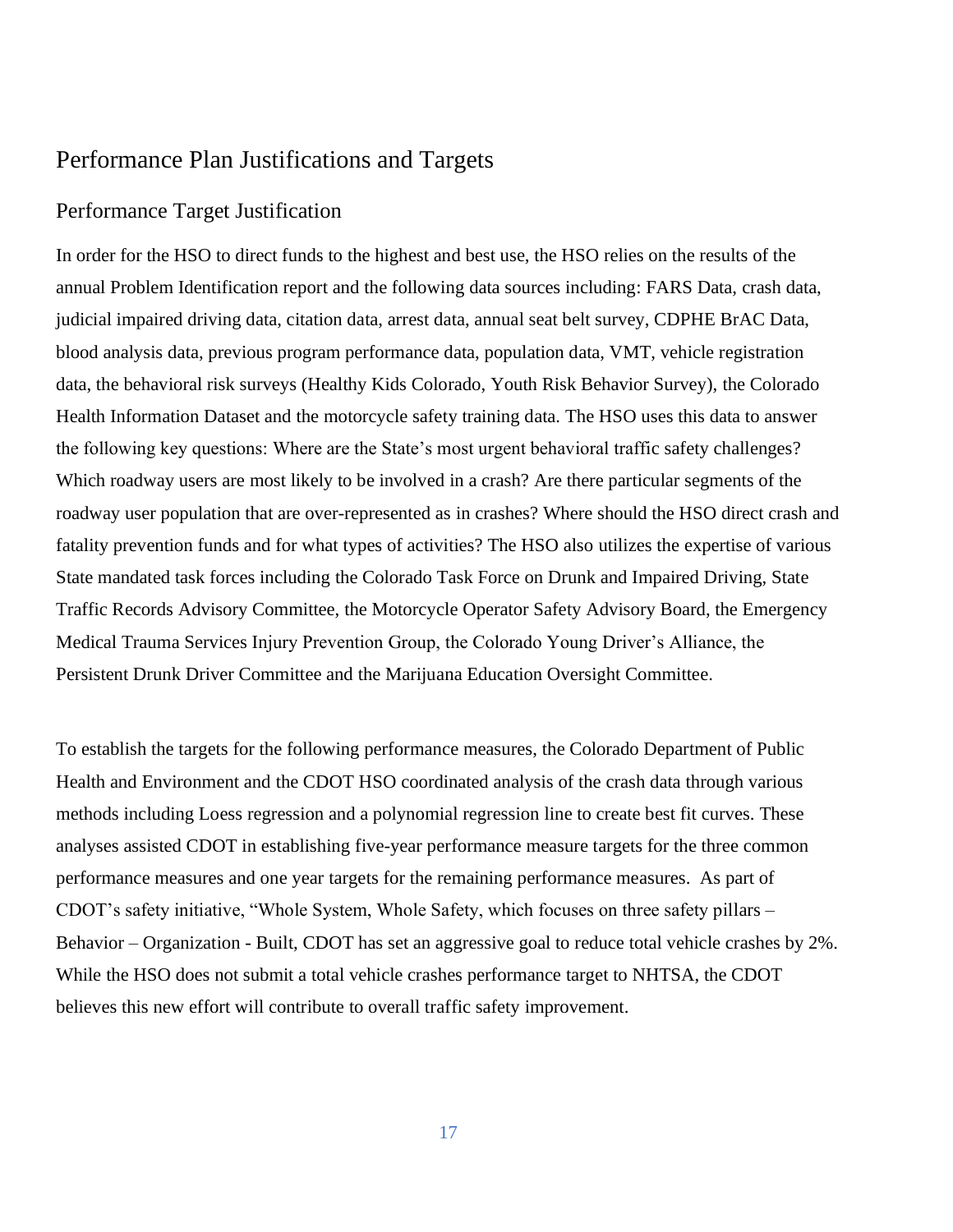# Performance Plan Justifications and Targets

# Performance Target Justification

In order for the HSO to direct funds to the highest and best use, the HSO relies on the results of the annual Problem Identification report and the following data sources including: FARS Data, crash data, judicial impaired driving data, citation data, arrest data, annual seat belt survey, CDPHE BrAC Data, blood analysis data, previous program performance data, population data, VMT, vehicle registration data, the behavioral risk surveys (Healthy Kids Colorado, Youth Risk Behavior Survey), the Colorado Health Information Dataset and the motorcycle safety training data. The HSO uses this data to answer the following key questions: Where are the State's most urgent behavioral traffic safety challenges? Which roadway users are most likely to be involved in a crash? Are there particular segments of the roadway user population that are over-represented as in crashes? Where should the HSO direct crash and fatality prevention funds and for what types of activities? The HSO also utilizes the expertise of various State mandated task forces including the Colorado Task Force on Drunk and Impaired Driving, State Traffic Records Advisory Committee, the Motorcycle Operator Safety Advisory Board, the Emergency Medical Trauma Services Injury Prevention Group, the Colorado Young Driver's Alliance, the Persistent Drunk Driver Committee and the Marijuana Education Oversight Committee.

To establish the targets for the following performance measures, the Colorado Department of Public Health and Environment and the CDOT HSO coordinated analysis of the crash data through various methods including Loess regression and a polynomial regression line to create best fit curves. These analyses assisted CDOT in establishing five-year performance measure targets for the three common performance measures and one year targets for the remaining performance measures. As part of CDOT's safety initiative, "Whole System, Whole Safety, which focuses on three safety pillars – Behavior – Organization - Built, CDOT has set an aggressive goal to reduce total vehicle crashes by 2%. While the HSO does not submit a total vehicle crashes performance target to NHTSA, the CDOT believes this new effort will contribute to overall traffic safety improvement.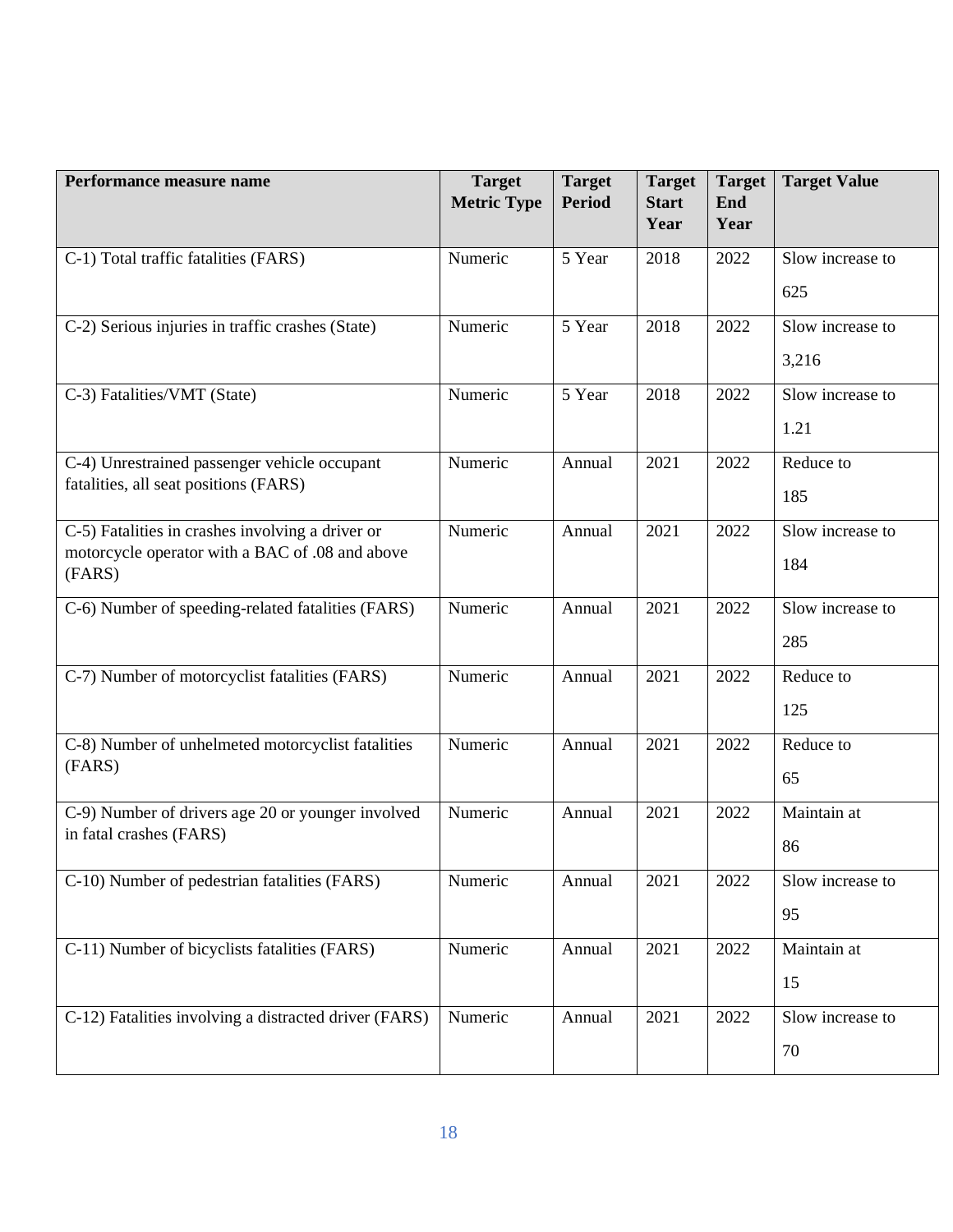| Performance measure name                                  | <b>Target</b><br><b>Metric Type</b> | <b>Target</b><br><b>Period</b> | <b>Target</b><br><b>Start</b><br>Year | <b>Target</b><br>End<br>Year | <b>Target Value</b> |
|-----------------------------------------------------------|-------------------------------------|--------------------------------|---------------------------------------|------------------------------|---------------------|
| C-1) Total traffic fatalities (FARS)                      | Numeric                             | 5 Year                         | 2018                                  | 2022                         | Slow increase to    |
|                                                           |                                     |                                |                                       |                              | 625                 |
| C-2) Serious injuries in traffic crashes (State)          | Numeric                             | 5 Year                         | 2018                                  | 2022                         | Slow increase to    |
|                                                           |                                     |                                |                                       |                              | 3,216               |
| C-3) Fatalities/VMT (State)                               | Numeric                             | 5 Year                         | 2018                                  | 2022                         | Slow increase to    |
|                                                           |                                     |                                |                                       |                              | 1.21                |
| C-4) Unrestrained passenger vehicle occupant              | Numeric                             | Annual                         | 2021                                  | 2022                         | Reduce to           |
| fatalities, all seat positions (FARS)                     |                                     |                                |                                       |                              | 185                 |
| C-5) Fatalities in crashes involving a driver or          | Numeric                             | Annual                         | 2021                                  | 2022                         | Slow increase to    |
| motorcycle operator with a BAC of .08 and above<br>(FARS) |                                     |                                |                                       |                              | 184                 |
| C-6) Number of speeding-related fatalities (FARS)         | Numeric                             | Annual                         | 2021                                  | 2022                         | Slow increase to    |
|                                                           |                                     |                                |                                       |                              | 285                 |
| C-7) Number of motorcyclist fatalities (FARS)             | Numeric                             | Annual                         | 2021                                  | 2022                         | Reduce to           |
|                                                           |                                     |                                |                                       |                              | 125                 |
| C-8) Number of unhelmeted motorcyclist fatalities         | Numeric                             | Annual                         | 2021                                  | 2022                         | Reduce to           |
| (FARS)                                                    |                                     |                                |                                       |                              | 65                  |
| C-9) Number of drivers age 20 or younger involved         | Numeric                             | Annual                         | 2021                                  | 2022                         | Maintain at         |
| in fatal crashes (FARS)                                   |                                     |                                |                                       |                              | 86                  |
| C-10) Number of pedestrian fatalities (FARS)              | Numeric                             | Annual                         | 2021                                  | 2022                         | Slow increase to    |
|                                                           |                                     |                                |                                       |                              | 95                  |
| C-11) Number of bicyclists fatalities (FARS)              | Numeric                             | Annual                         | 2021                                  | 2022                         | Maintain at         |
|                                                           |                                     |                                |                                       |                              | 15                  |
| C-12) Fatalities involving a distracted driver (FARS)     | Numeric                             | Annual                         | 2021                                  | 2022                         | Slow increase to    |
|                                                           |                                     |                                |                                       |                              | 70                  |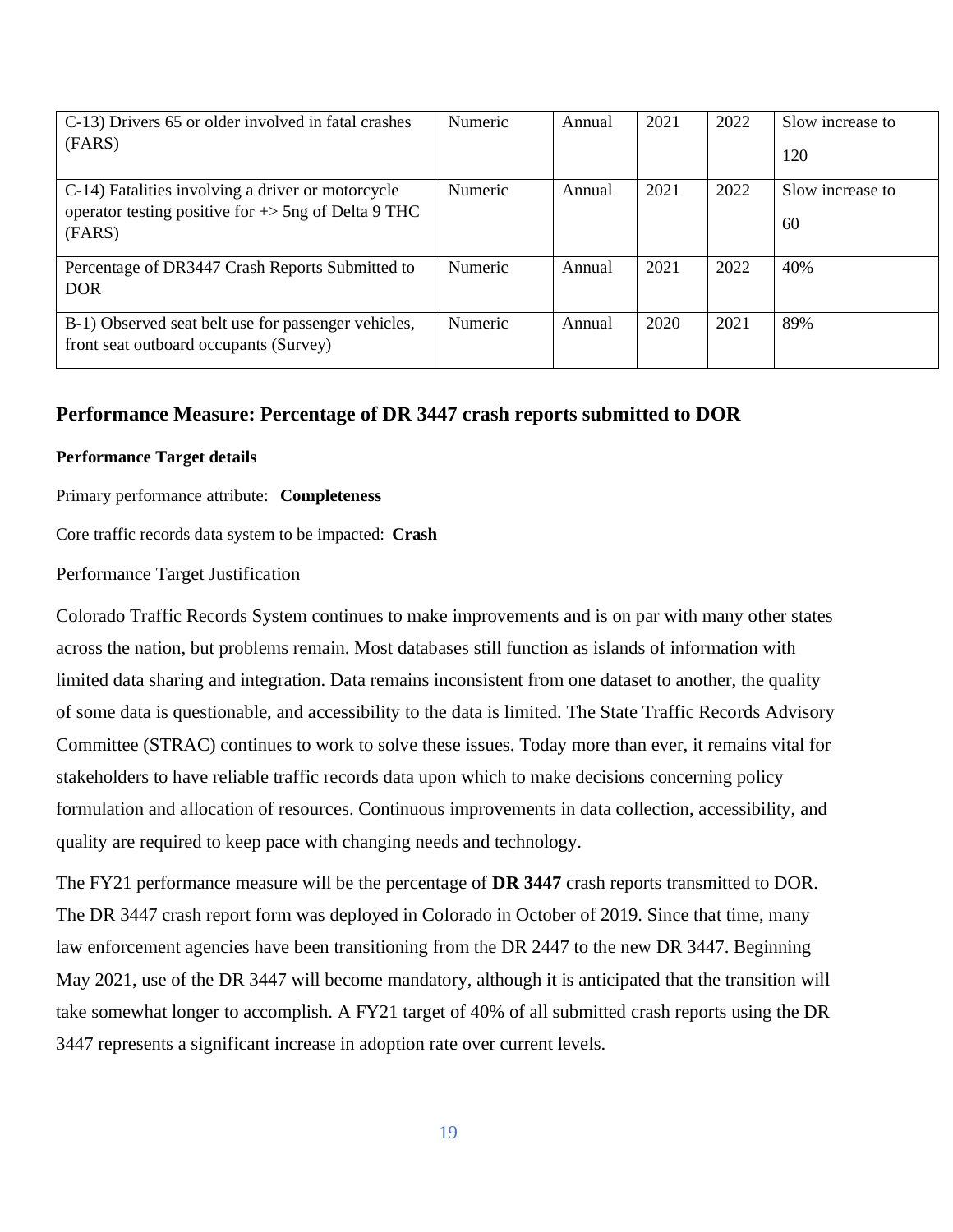| C-13) Drivers 65 or older involved in fatal crashes                                                                 | Numeric        | Annual | 2021 | 2022 | Slow increase to |
|---------------------------------------------------------------------------------------------------------------------|----------------|--------|------|------|------------------|
| (FARS)                                                                                                              |                |        |      |      | 120              |
| C-14) Fatalities involving a driver or motorcycle<br>operator testing positive for $\rightarrow$ 5ng of Delta 9 THC | <b>Numeric</b> | Annual | 2021 | 2022 | Slow increase to |
| (FARS)                                                                                                              |                |        |      |      | 60               |
| Percentage of DR3447 Crash Reports Submitted to<br><b>DOR</b>                                                       | <b>Numeric</b> | Annual | 2021 | 2022 | 40%              |
| B-1) Observed seat belt use for passenger vehicles,<br>front seat outboard occupants (Survey)                       | Numeric        | Annual | 2020 | 2021 | 89%              |

# **Performance Measure: Percentage of DR 3447 crash reports submitted to DOR**

#### **Performance Target details**

Primary performance attribute: **Completeness**

Core traffic records data system to be impacted: **Crash**

Performance Target Justification

Colorado Traffic Records System continues to make improvements and is on par with many other states across the nation, but problems remain. Most databases still function as islands of information with limited data sharing and integration. Data remains inconsistent from one dataset to another, the quality of some data is questionable, and accessibility to the data is limited. The State Traffic Records Advisory Committee (STRAC) continues to work to solve these issues. Today more than ever, it remains vital for stakeholders to have reliable traffic records data upon which to make decisions concerning policy formulation and allocation of resources. Continuous improvements in data collection, accessibility, and quality are required to keep pace with changing needs and technology.

The FY21 performance measure will be the percentage of **DR 3447** crash reports transmitted to DOR. The DR 3447 crash report form was deployed in Colorado in October of 2019. Since that time, many law enforcement agencies have been transitioning from the DR 2447 to the new DR 3447. Beginning May 2021, use of the DR 3447 will become mandatory, although it is anticipated that the transition will take somewhat longer to accomplish. A FY21 target of 40% of all submitted crash reports using the DR 3447 represents a significant increase in adoption rate over current levels.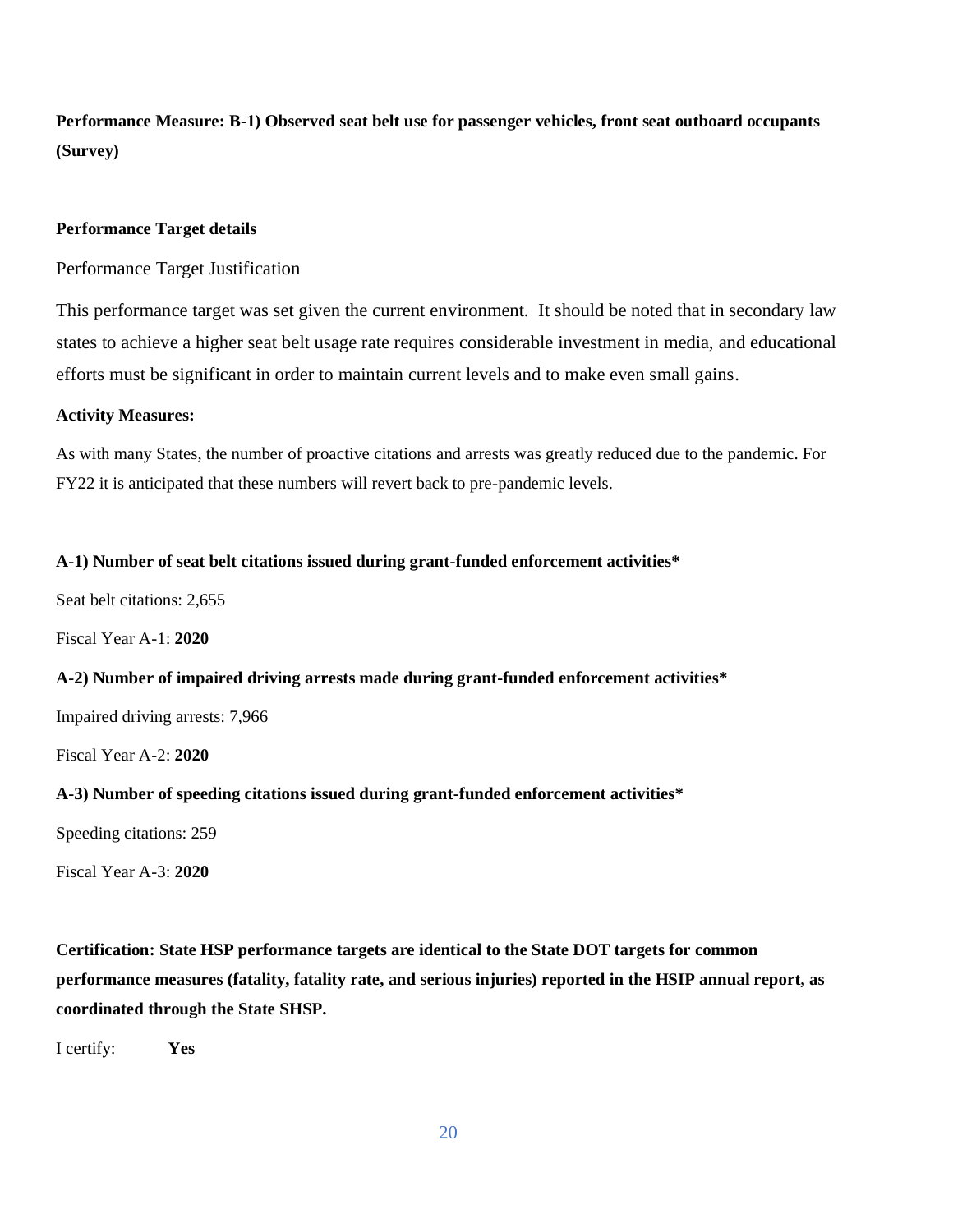**Performance Measure: B-1) Observed seat belt use for passenger vehicles, front seat outboard occupants (Survey)**

#### **Performance Target details**

Performance Target Justification

This performance target was set given the current environment. It should be noted that in secondary law states to achieve a higher seat belt usage rate requires considerable investment in media, and educational efforts must be significant in order to maintain current levels and to make even small gains.

#### **Activity Measures:**

As with many States, the number of proactive citations and arrests was greatly reduced due to the pandemic. For FY22 it is anticipated that these numbers will revert back to pre-pandemic levels.

#### **A-1) Number of seat belt citations issued during grant-funded enforcement activities\***

Seat belt citations: 2,655

Fiscal Year A-1: **2020**

#### **A-2) Number of impaired driving arrests made during grant-funded enforcement activities\***

Impaired driving arrests: 7,966

Fiscal Year A-2: **2020**

#### **A-3) Number of speeding citations issued during grant-funded enforcement activities\***

Speeding citations: 259

Fiscal Year A-3: **2020**

**Certification: State HSP performance targets are identical to the State DOT targets for common performance measures (fatality, fatality rate, and serious injuries) reported in the HSIP annual report, as coordinated through the State SHSP.**

I certify: **Yes**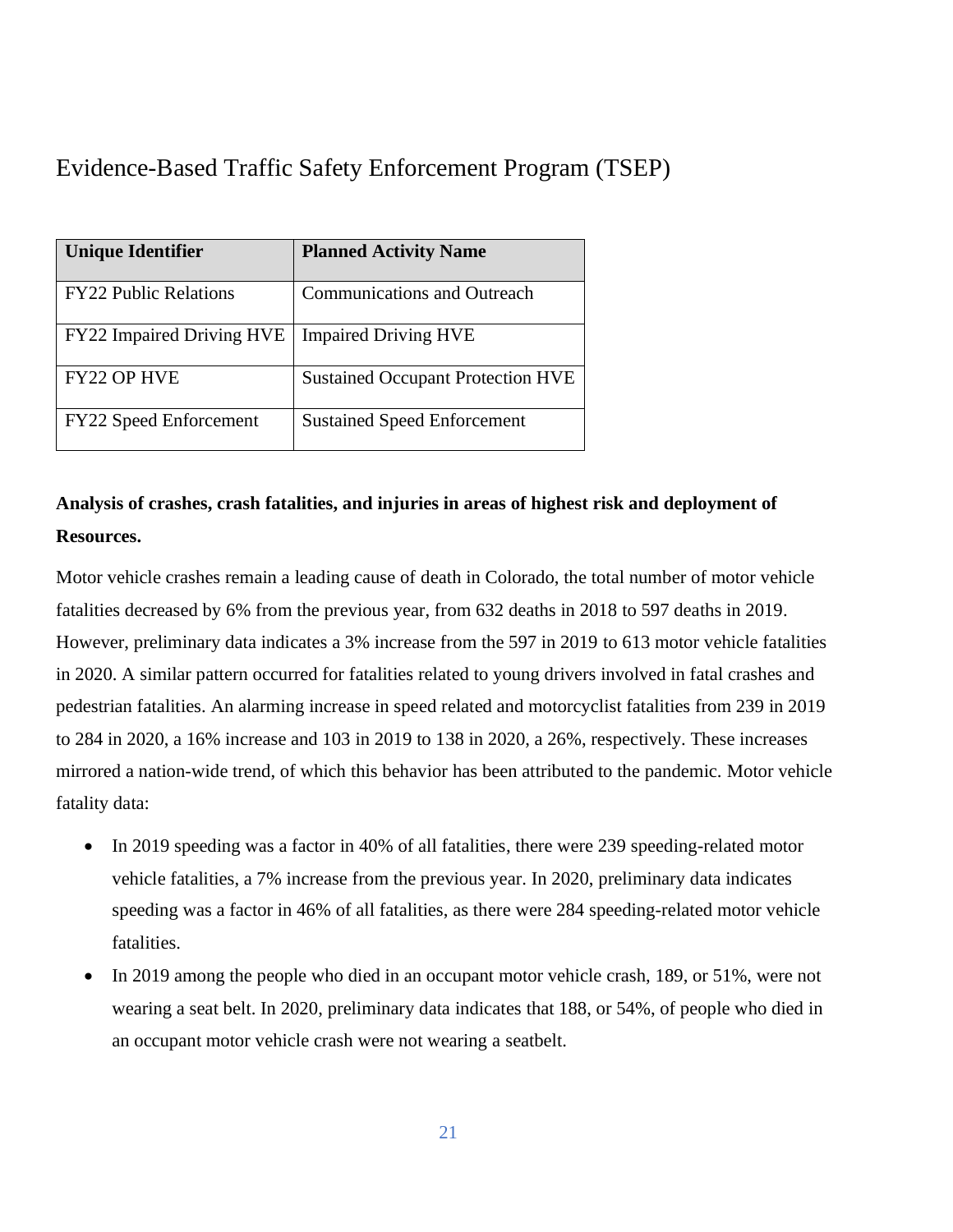Evidence-Based Traffic Safety Enforcement Program (TSEP)

| <b>Unique Identifier</b>         | <b>Planned Activity Name</b>             |
|----------------------------------|------------------------------------------|
| <b>FY22 Public Relations</b>     | <b>Communications and Outreach</b>       |
| <b>FY22 Impaired Driving HVE</b> | <b>Impaired Driving HVE</b>              |
| <b>FY22 OP HVE</b>               | <b>Sustained Occupant Protection HVE</b> |
| <b>FY22 Speed Enforcement</b>    | <b>Sustained Speed Enforcement</b>       |

# **Analysis of crashes, crash fatalities, and injuries in areas of highest risk and deployment of Resources.**

Motor vehicle crashes remain a leading cause of death in Colorado, the total number of motor vehicle fatalities decreased by 6% from the previous year, from 632 deaths in 2018 to 597 deaths in 2019. However, preliminary data indicates a 3% increase from the 597 in 2019 to 613 motor vehicle fatalities in 2020. A similar pattern occurred for fatalities related to young drivers involved in fatal crashes and pedestrian fatalities. An alarming increase in speed related and motorcyclist fatalities from 239 in 2019 to 284 in 2020, a 16% increase and 103 in 2019 to 138 in 2020, a 26%, respectively. These increases mirrored a nation-wide trend, of which this behavior has been attributed to the pandemic. Motor vehicle fatality data:

- In 2019 speeding was a factor in 40% of all fatalities, there were 239 speeding-related motor vehicle fatalities, a 7% increase from the previous year. In 2020, preliminary data indicates speeding was a factor in 46% of all fatalities, as there were 284 speeding-related motor vehicle fatalities.
- In 2019 among the people who died in an occupant motor vehicle crash, 189, or 51%, were not wearing a seat belt. In 2020, preliminary data indicates that 188, or 54%, of people who died in an occupant motor vehicle crash were not wearing a seatbelt.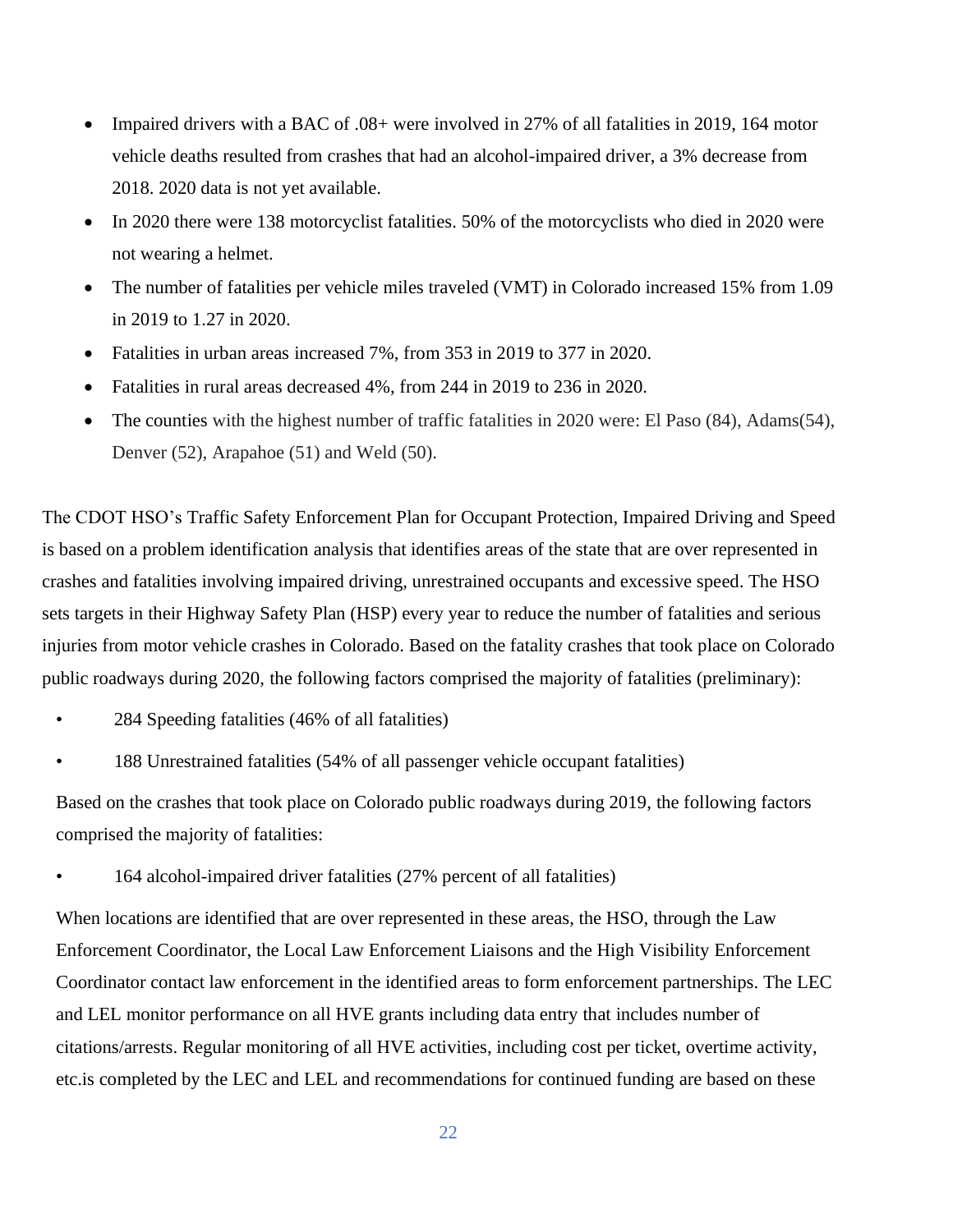- Impaired drivers with a BAC of .08+ were involved in 27% of all fatalities in 2019, 164 motor vehicle deaths resulted from crashes that had an alcohol-impaired driver, a 3% decrease from 2018. 2020 data is not yet available.
- In 2020 there were 138 motorcyclist fatalities. 50% of the motorcyclists who died in 2020 were not wearing a helmet.
- The number of fatalities per vehicle miles traveled (VMT) in Colorado increased 15% from 1.09 in 2019 to 1.27 in 2020.
- Fatalities in urban areas increased 7%, from 353 in 2019 to 377 in 2020.
- Fatalities in rural areas decreased 4%, from 244 in 2019 to 236 in 2020.
- The counties with the highest number of traffic fatalities in 2020 were: El Paso (84), Adams (54), Denver (52), Arapahoe (51) and Weld (50).

The CDOT HSO's Traffic Safety Enforcement Plan for Occupant Protection, Impaired Driving and Speed is based on a problem identification analysis that identifies areas of the state that are over represented in crashes and fatalities involving impaired driving, unrestrained occupants and excessive speed. The HSO sets targets in their Highway Safety Plan (HSP) every year to reduce the number of fatalities and serious injuries from motor vehicle crashes in Colorado. Based on the fatality crashes that took place on Colorado public roadways during 2020, the following factors comprised the majority of fatalities (preliminary):

- 284 Speeding fatalities (46% of all fatalities)
- 188 Unrestrained fatalities (54% of all passenger vehicle occupant fatalities)

Based on the crashes that took place on Colorado public roadways during 2019, the following factors comprised the majority of fatalities:

• 164 alcohol-impaired driver fatalities (27% percent of all fatalities)

When locations are identified that are over represented in these areas, the HSO, through the Law Enforcement Coordinator, the Local Law Enforcement Liaisons and the High Visibility Enforcement Coordinator contact law enforcement in the identified areas to form enforcement partnerships. The LEC and LEL monitor performance on all HVE grants including data entry that includes number of citations/arrests. Regular monitoring of all HVE activities, including cost per ticket, overtime activity, etc.is completed by the LEC and LEL and recommendations for continued funding are based on these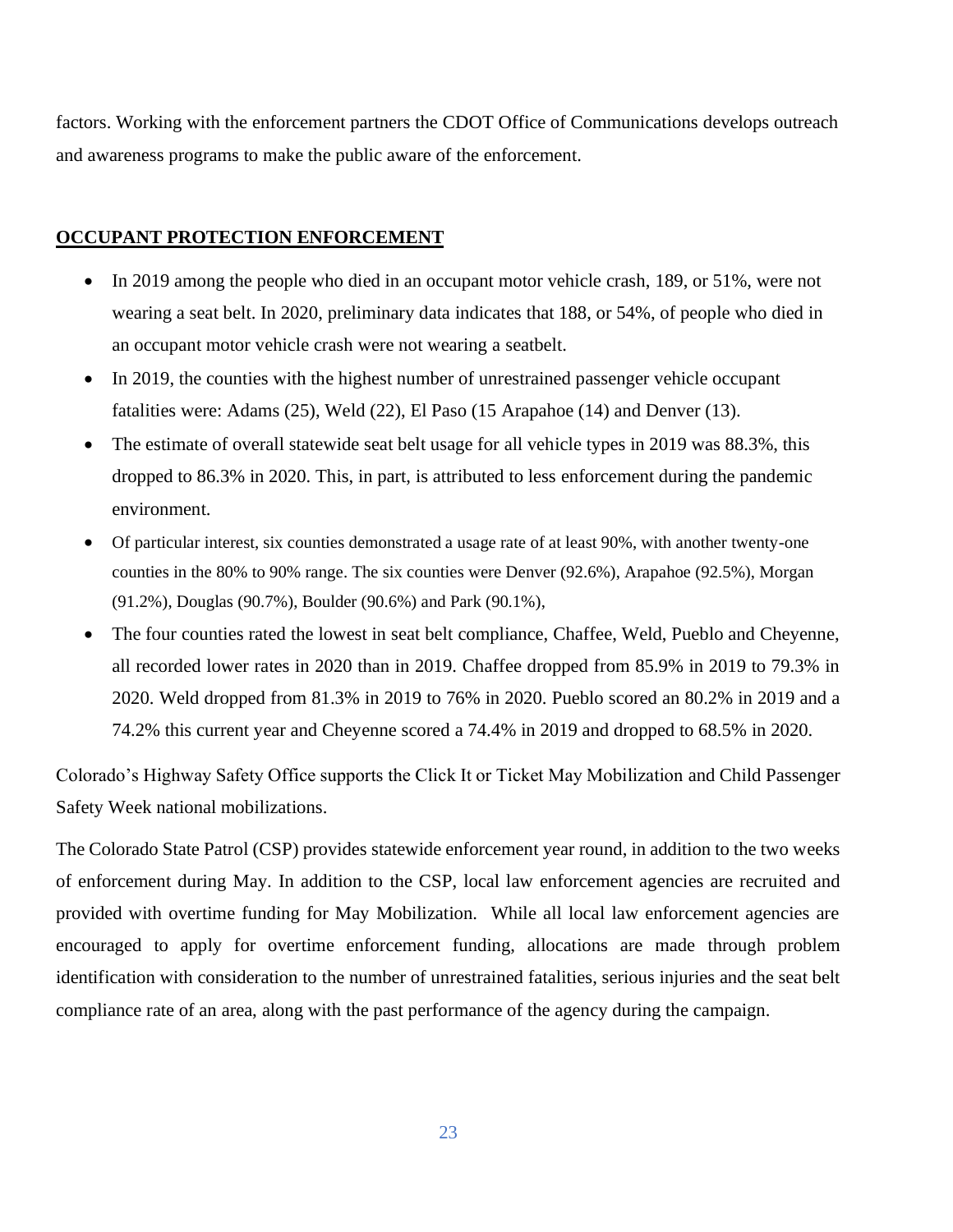factors. Working with the enforcement partners the CDOT Office of Communications develops outreach and awareness programs to make the public aware of the enforcement.

# **OCCUPANT PROTECTION ENFORCEMENT**

- In 2019 among the people who died in an occupant motor vehicle crash, 189, or 51%, were not wearing a seat belt. In 2020, preliminary data indicates that 188, or 54%, of people who died in an occupant motor vehicle crash were not wearing a seatbelt.
- In 2019, the counties with the highest number of unrestrained passenger vehicle occupant fatalities were: Adams (25), Weld (22), El Paso (15 Arapahoe (14) and Denver (13).
- The estimate of overall statewide seat belt usage for all vehicle types in 2019 was 88.3%, this dropped to 86.3% in 2020. This, in part, is attributed to less enforcement during the pandemic environment.
- Of particular interest, six counties demonstrated a usage rate of at least 90%, with another twenty-one counties in the 80% to 90% range. The six counties were Denver (92.6%), Arapahoe (92.5%), Morgan (91.2%), Douglas (90.7%), Boulder (90.6%) and Park (90.1%),
- The four counties rated the lowest in seat belt compliance, Chaffee, Weld, Pueblo and Cheyenne, all recorded lower rates in 2020 than in 2019. Chaffee dropped from 85.9% in 2019 to 79.3% in 2020. Weld dropped from 81.3% in 2019 to 76% in 2020. Pueblo scored an 80.2% in 2019 and a 74.2% this current year and Cheyenne scored a 74.4% in 2019 and dropped to 68.5% in 2020.

Colorado's Highway Safety Office supports the Click It or Ticket May Mobilization and Child Passenger Safety Week national mobilizations.

The Colorado State Patrol (CSP) provides statewide enforcement year round, in addition to the two weeks of enforcement during May. In addition to the CSP, local law enforcement agencies are recruited and provided with overtime funding for May Mobilization. While all local law enforcement agencies are encouraged to apply for overtime enforcement funding, allocations are made through problem identification with consideration to the number of unrestrained fatalities, serious injuries and the seat belt compliance rate of an area, along with the past performance of the agency during the campaign.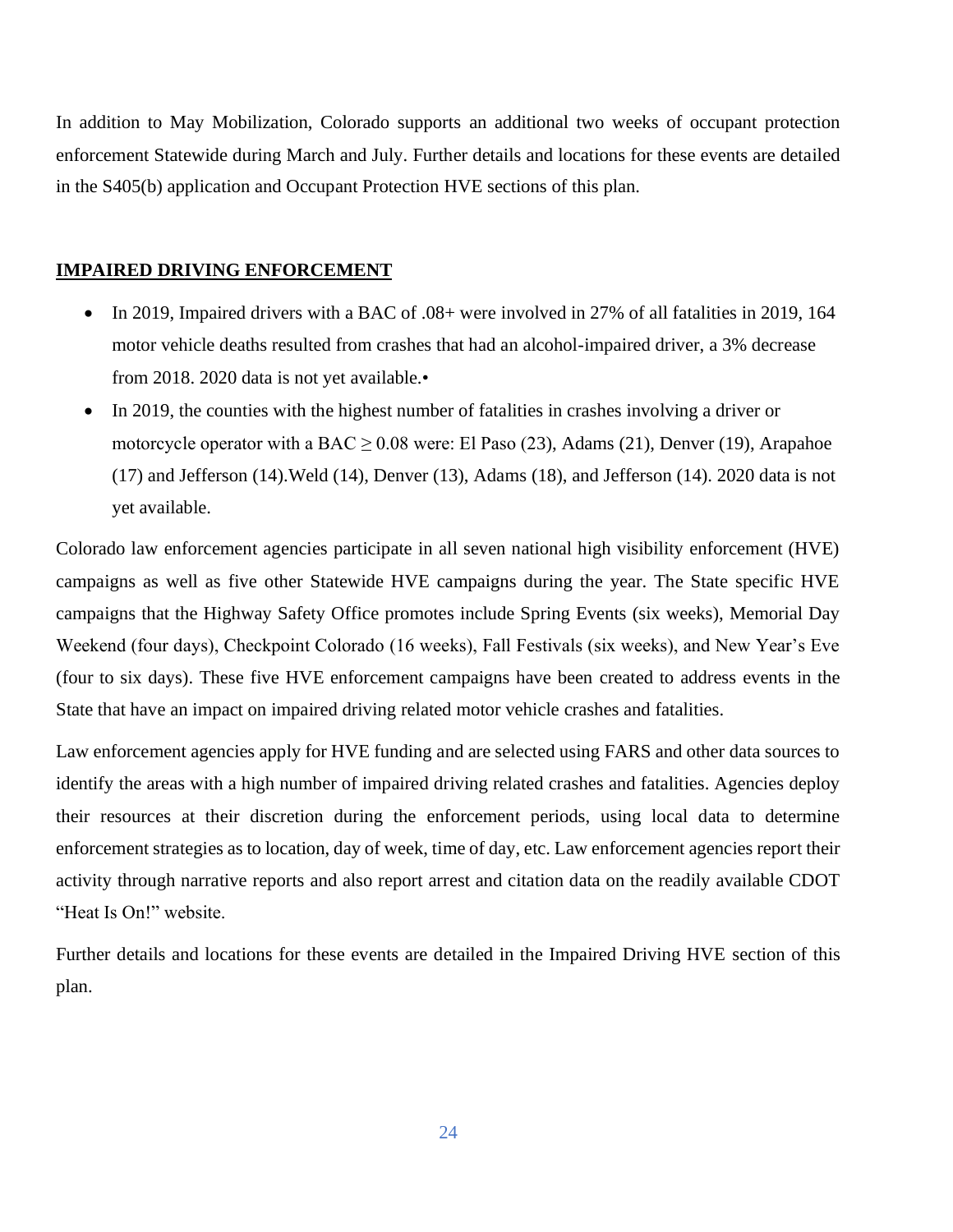In addition to May Mobilization, Colorado supports an additional two weeks of occupant protection enforcement Statewide during March and July. Further details and locations for these events are detailed in the S405(b) application and Occupant Protection HVE sections of this plan.

#### **IMPAIRED DRIVING ENFORCEMENT**

- In 2019, Impaired drivers with a BAC of .08+ were involved in 27% of all fatalities in 2019, 164 motor vehicle deaths resulted from crashes that had an alcohol-impaired driver, a 3% decrease from 2018. 2020 data is not yet available.•
- In 2019, the counties with the highest number of fatalities in crashes involving a driver or motorcycle operator with a BAC  $\geq$  0.08 were: El Paso (23), Adams (21), Denver (19), Arapahoe (17) and Jefferson (14).Weld (14), Denver (13), Adams (18), and Jefferson (14). 2020 data is not yet available.

Colorado law enforcement agencies participate in all seven national high visibility enforcement (HVE) campaigns as well as five other Statewide HVE campaigns during the year. The State specific HVE campaigns that the Highway Safety Office promotes include Spring Events (six weeks), Memorial Day Weekend (four days), Checkpoint Colorado (16 weeks), Fall Festivals (six weeks), and New Year's Eve (four to six days). These five HVE enforcement campaigns have been created to address events in the State that have an impact on impaired driving related motor vehicle crashes and fatalities.

Law enforcement agencies apply for HVE funding and are selected using FARS and other data sources to identify the areas with a high number of impaired driving related crashes and fatalities. Agencies deploy their resources at their discretion during the enforcement periods, using local data to determine enforcement strategies as to location, day of week, time of day, etc. Law enforcement agencies report their activity through narrative reports and also report arrest and citation data on the readily available CDOT "Heat Is On!" website.

Further details and locations for these events are detailed in the Impaired Driving HVE section of this plan.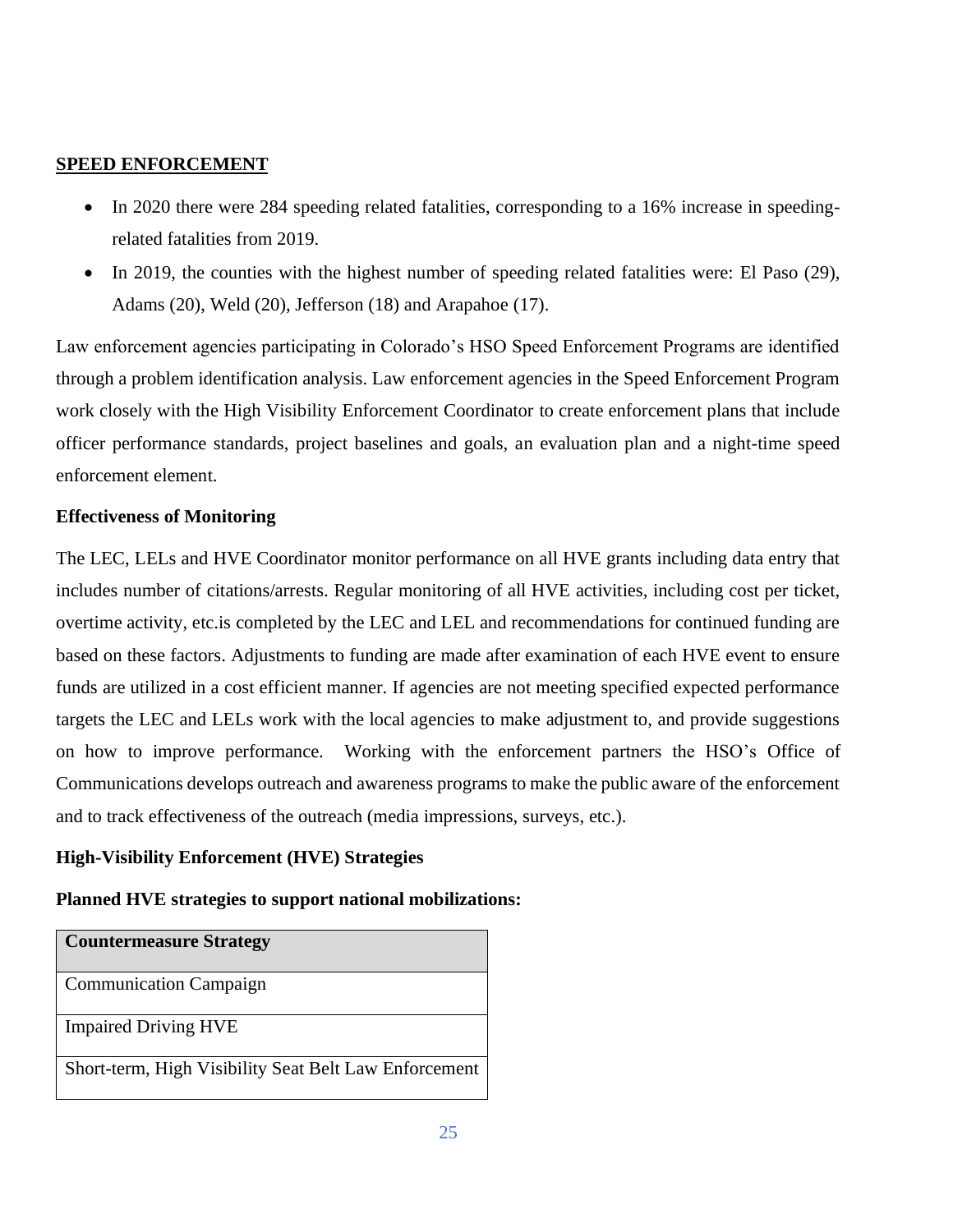# **SPEED ENFORCEMENT**

- In 2020 there were 284 speeding related fatalities, corresponding to a 16% increase in speedingrelated fatalities from 2019.
- In 2019, the counties with the highest number of speeding related fatalities were: El Paso (29), Adams (20), Weld (20), Jefferson (18) and Arapahoe (17).

Law enforcement agencies participating in Colorado's HSO Speed Enforcement Programs are identified through a problem identification analysis. Law enforcement agencies in the Speed Enforcement Program work closely with the High Visibility Enforcement Coordinator to create enforcement plans that include officer performance standards, project baselines and goals, an evaluation plan and a night-time speed enforcement element.

# **Effectiveness of Monitoring**

The LEC, LELs and HVE Coordinator monitor performance on all HVE grants including data entry that includes number of citations/arrests. Regular monitoring of all HVE activities, including cost per ticket, overtime activity, etc.is completed by the LEC and LEL and recommendations for continued funding are based on these factors. Adjustments to funding are made after examination of each HVE event to ensure funds are utilized in a cost efficient manner. If agencies are not meeting specified expected performance targets the LEC and LELs work with the local agencies to make adjustment to, and provide suggestions on how to improve performance. Working with the enforcement partners the HSO's Office of Communications develops outreach and awareness programs to make the public aware of the enforcement and to track effectiveness of the outreach (media impressions, surveys, etc.).

# **High-Visibility Enforcement (HVE) Strategies**

# **Planned HVE strategies to support national mobilizations:**

| <b>Countermeasure Strategy</b>                        |
|-------------------------------------------------------|
| <b>Communication Campaign</b>                         |
| <b>Impaired Driving HVE</b>                           |
| Short-term, High Visibility Seat Belt Law Enforcement |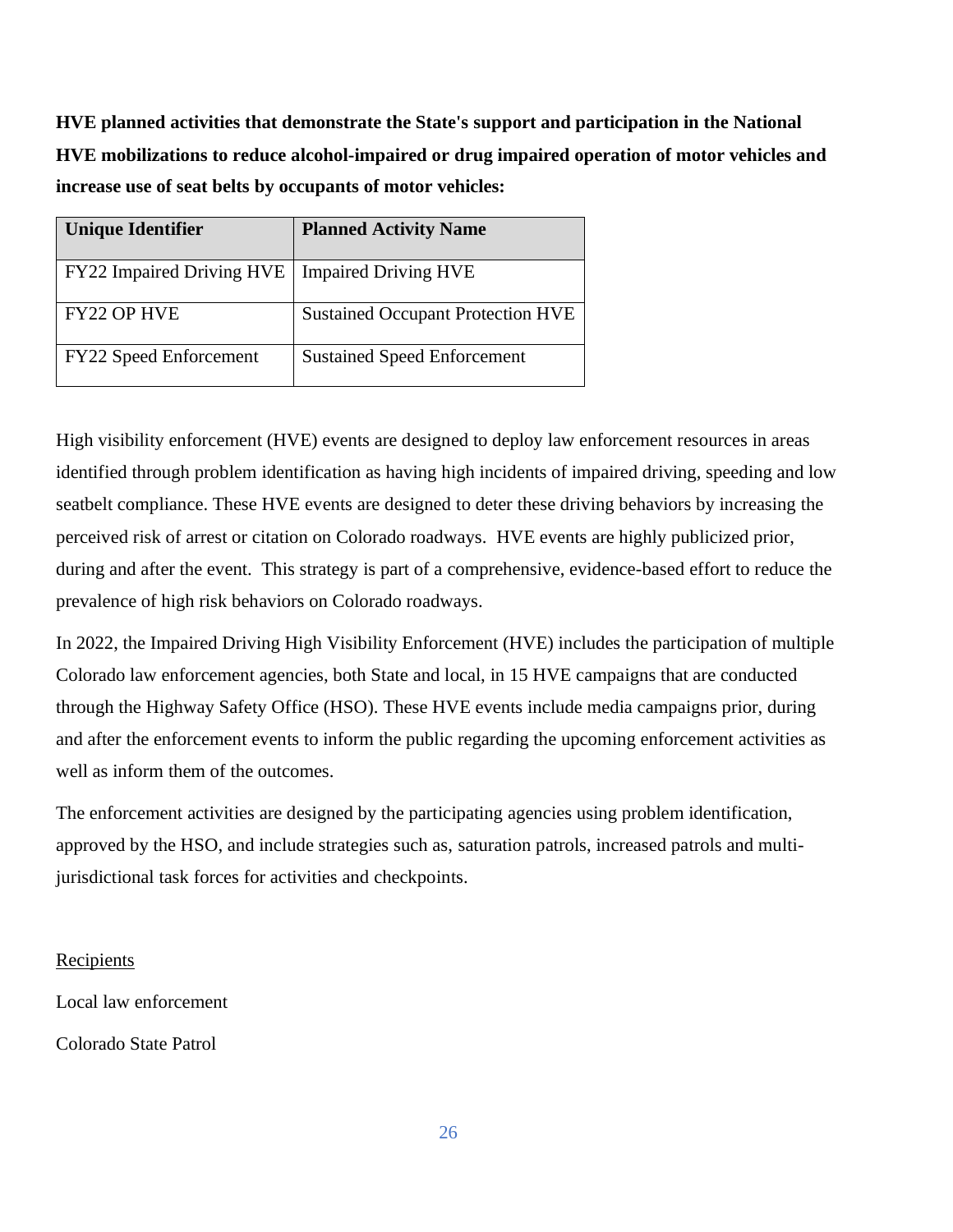**HVE planned activities that demonstrate the State's support and participation in the National HVE mobilizations to reduce alcohol-impaired or drug impaired operation of motor vehicles and increase use of seat belts by occupants of motor vehicles:**

| <b>Unique Identifier</b>      | <b>Planned Activity Name</b>             |
|-------------------------------|------------------------------------------|
| FY22 Impaired Driving HVE     | <b>Impaired Driving HVE</b>              |
| <b>FY22 OP HVE</b>            | <b>Sustained Occupant Protection HVE</b> |
| <b>FY22 Speed Enforcement</b> | <b>Sustained Speed Enforcement</b>       |

High visibility enforcement (HVE) events are designed to deploy law enforcement resources in areas identified through problem identification as having high incidents of impaired driving, speeding and low seatbelt compliance. These HVE events are designed to deter these driving behaviors by increasing the perceived risk of arrest or citation on Colorado roadways. HVE events are highly publicized prior, during and after the event. This strategy is part of a comprehensive, evidence-based effort to reduce the prevalence of high risk behaviors on Colorado roadways.

In 2022, the Impaired Driving High Visibility Enforcement (HVE) includes the participation of multiple Colorado law enforcement agencies, both State and local, in 15 HVE campaigns that are conducted through the Highway Safety Office (HSO). These HVE events include media campaigns prior, during and after the enforcement events to inform the public regarding the upcoming enforcement activities as well as inform them of the outcomes.

The enforcement activities are designed by the participating agencies using problem identification, approved by the HSO, and include strategies such as, saturation patrols, increased patrols and multijurisdictional task forces for activities and checkpoints.

# Recipients

Local law enforcement

Colorado State Patrol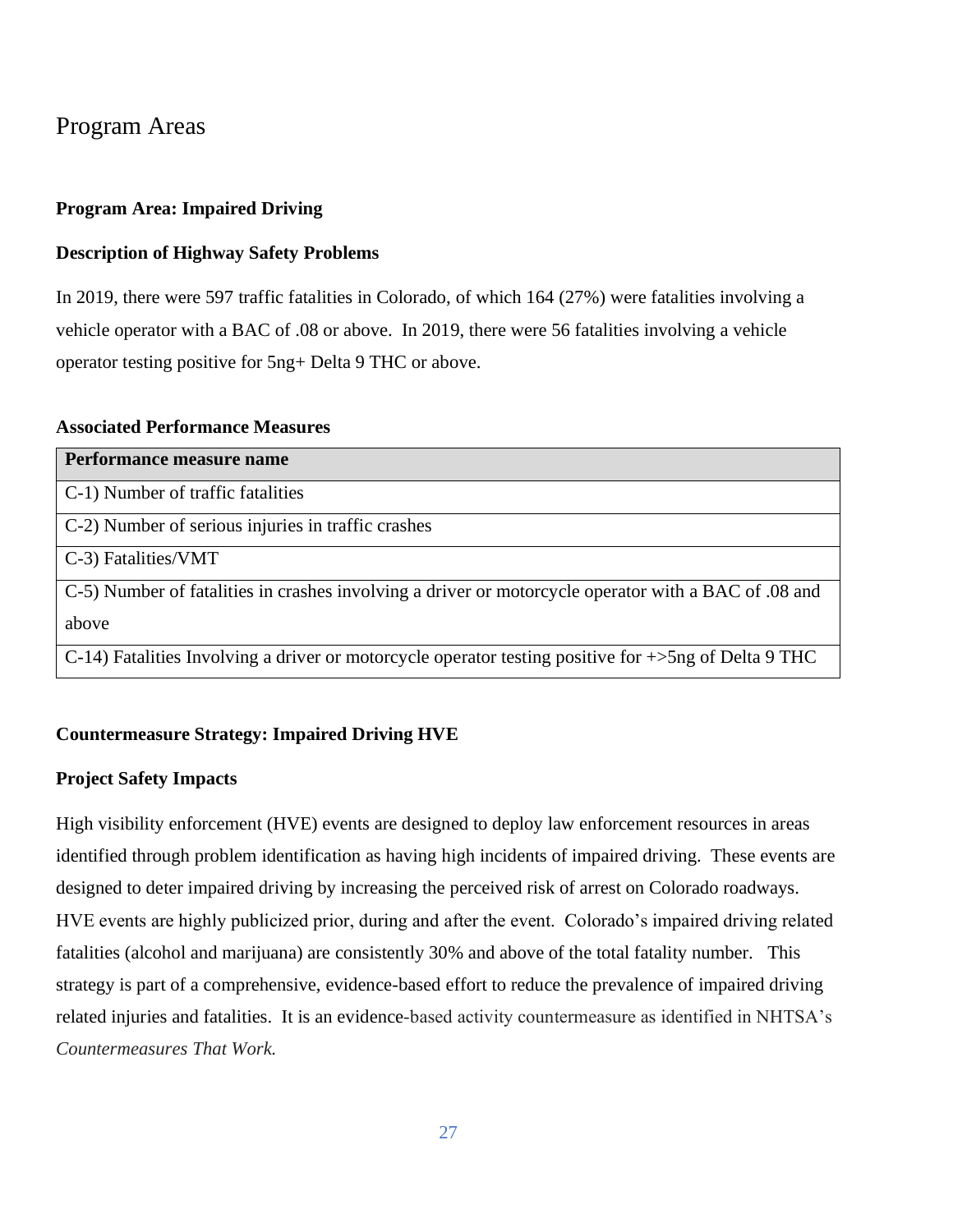# Program Areas

# **Program Area: Impaired Driving**

# **Description of Highway Safety Problems**

In 2019, there were 597 traffic fatalities in Colorado, of which 164 (27%) were fatalities involving a vehicle operator with a BAC of .08 or above. In 2019, there were 56 fatalities involving a vehicle operator testing positive for 5ng+ Delta 9 THC or above.

# **Associated Performance Measures**

| Performance measure name                                                                                         |
|------------------------------------------------------------------------------------------------------------------|
| C-1) Number of traffic fatalities                                                                                |
| C-2) Number of serious injuries in traffic crashes                                                               |
| C-3) Fatalities/VMT                                                                                              |
| C-5) Number of fatalities in crashes involving a driver or motorcycle operator with a BAC of 0.08 and            |
| above                                                                                                            |
| C-14) Fatalities Involving a driver or motorcycle operator testing positive for $\rightarrow$ 5ng of Delta 9 THC |

# **Countermeasure Strategy: Impaired Driving HVE**

# **Project Safety Impacts**

High visibility enforcement (HVE) events are designed to deploy law enforcement resources in areas identified through problem identification as having high incidents of impaired driving. These events are designed to deter impaired driving by increasing the perceived risk of arrest on Colorado roadways. HVE events are highly publicized prior, during and after the event. Colorado's impaired driving related fatalities (alcohol and marijuana) are consistently 30% and above of the total fatality number. This strategy is part of a comprehensive, evidence-based effort to reduce the prevalence of impaired driving related injuries and fatalities. It is an evidence-based activity countermeasure as identified in NHTSA's *Countermeasures That Work.*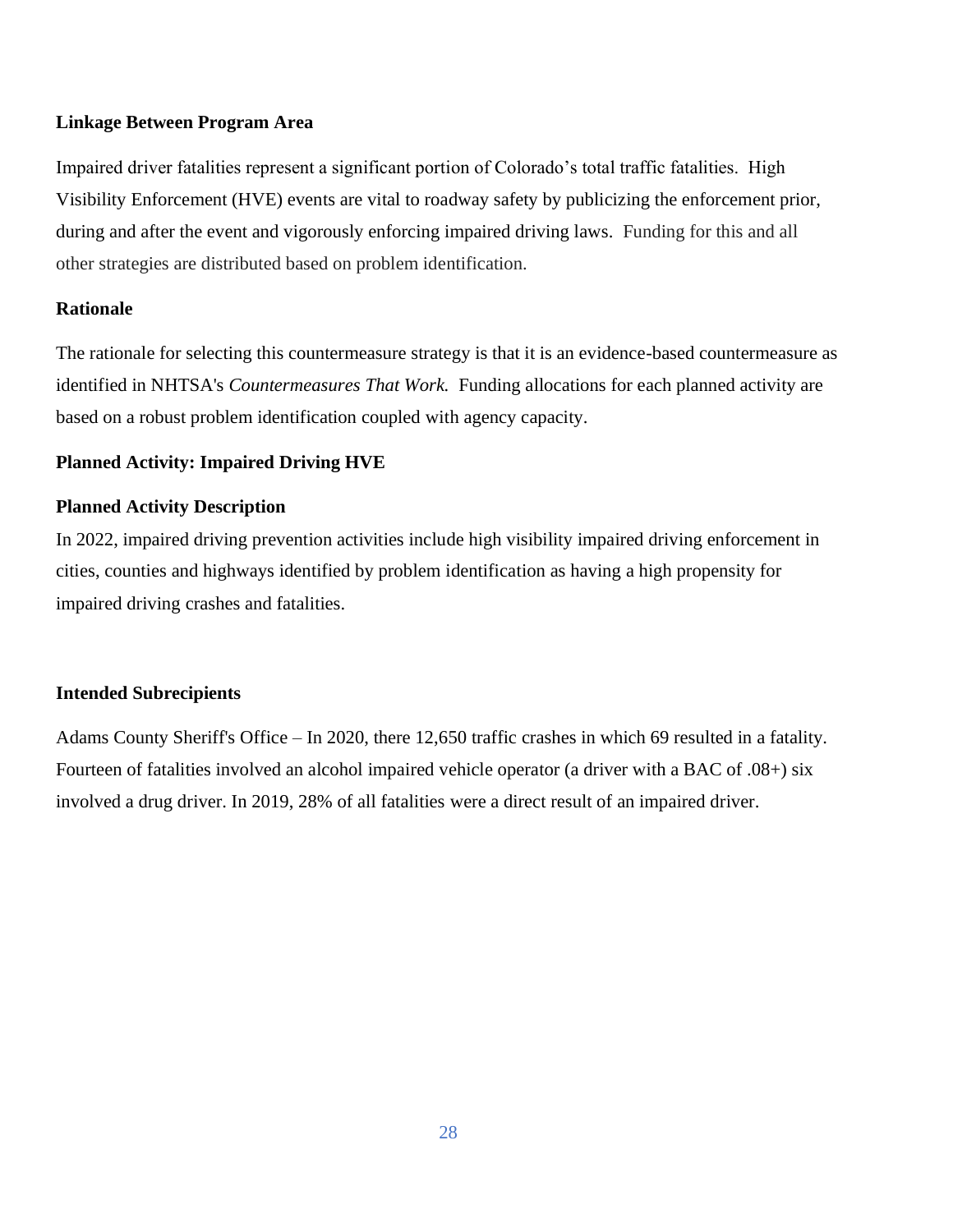#### **Linkage Between Program Area**

Impaired driver fatalities represent a significant portion of Colorado's total traffic fatalities. High Visibility Enforcement (HVE) events are vital to roadway safety by publicizing the enforcement prior, during and after the event and vigorously enforcing impaired driving laws. Funding for this and all other strategies are distributed based on problem identification.

# **Rationale**

The rationale for selecting this countermeasure strategy is that it is an evidence-based countermeasure as identified in NHTSA's *Countermeasures That Work.* Funding allocations for each planned activity are based on a robust problem identification coupled with agency capacity.

# **Planned Activity: Impaired Driving HVE**

# **Planned Activity Description**

In 2022, impaired driving prevention activities include high visibility impaired driving enforcement in cities, counties and highways identified by problem identification as having a high propensity for impaired driving crashes and fatalities.

#### **Intended Subrecipients**

Adams County Sheriff's Office – In 2020, there 12,650 traffic crashes in which 69 resulted in a fatality. Fourteen of fatalities involved an alcohol impaired vehicle operator (a driver with a BAC of .08+) six involved a drug driver. In 2019, 28% of all fatalities were a direct result of an impaired driver.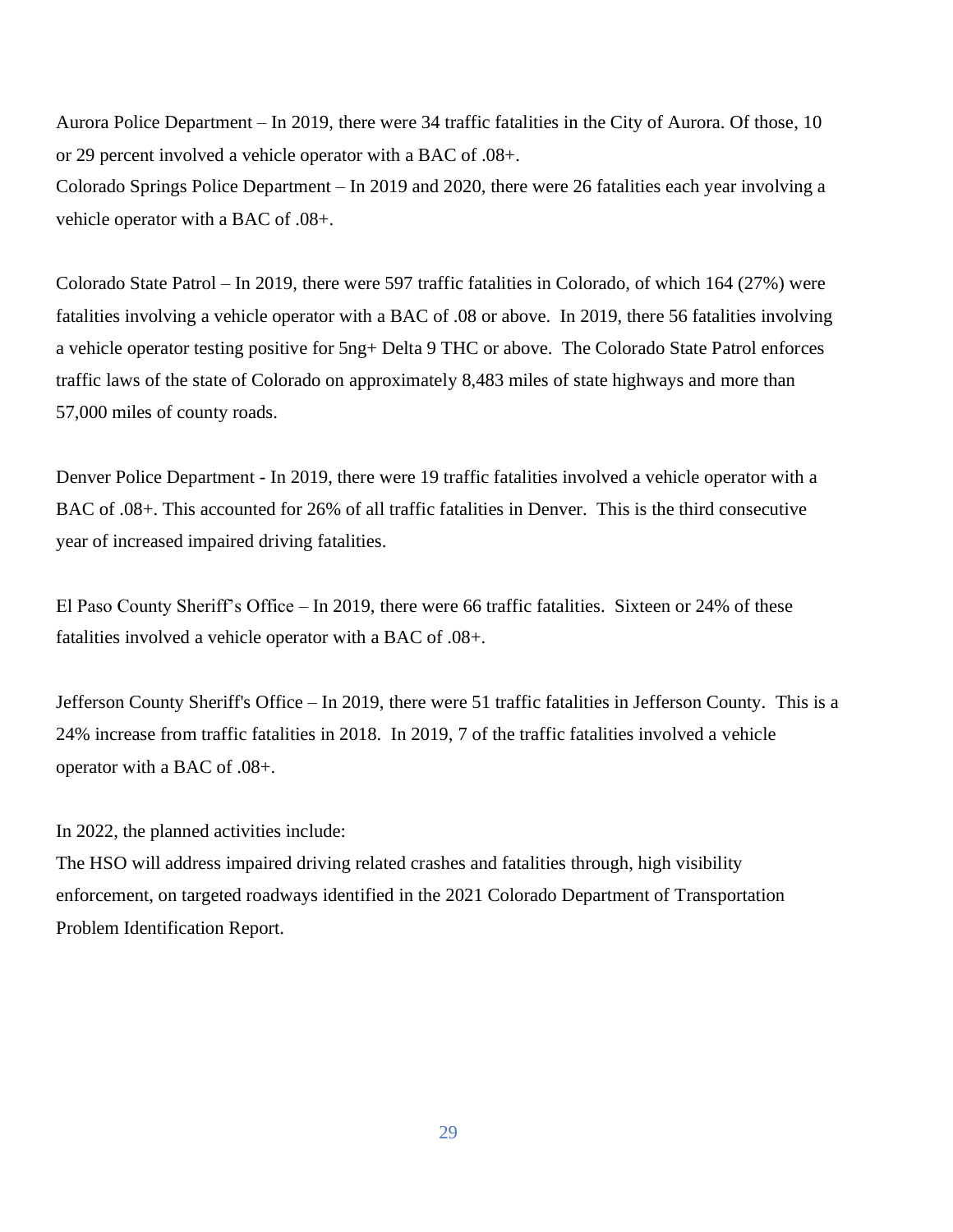Aurora Police Department – In 2019, there were 34 traffic fatalities in the City of Aurora. Of those, 10 or 29 percent involved a vehicle operator with a BAC of .08+. Colorado Springs Police Department – In 2019 and 2020, there were 26 fatalities each year involving a

Colorado State Patrol – In 2019, there were 597 traffic fatalities in Colorado, of which 164 (27%) were fatalities involving a vehicle operator with a BAC of .08 or above. In 2019, there 56 fatalities involving a vehicle operator testing positive for 5ng+ Delta 9 THC or above. The Colorado State Patrol enforces traffic laws of the state of Colorado on approximately 8,483 miles of state highways and more than 57,000 miles of county roads.

Denver Police Department - In 2019, there were 19 traffic fatalities involved a vehicle operator with a BAC of .08+. This accounted for 26% of all traffic fatalities in Denver. This is the third consecutive year of increased impaired driving fatalities.

El Paso County Sheriff's Office – In 2019, there were 66 traffic fatalities. Sixteen or 24% of these fatalities involved a vehicle operator with a BAC of .08+.

Jefferson County Sheriff's Office – In 2019, there were 51 traffic fatalities in Jefferson County. This is a 24% increase from traffic fatalities in 2018. In 2019, 7 of the traffic fatalities involved a vehicle operator with a BAC of .08+.

In 2022, the planned activities include:

vehicle operator with a BAC of .08+.

The HSO will address impaired driving related crashes and fatalities through, high visibility enforcement, on targeted roadways identified in the 2021 Colorado Department of Transportation Problem Identification Report.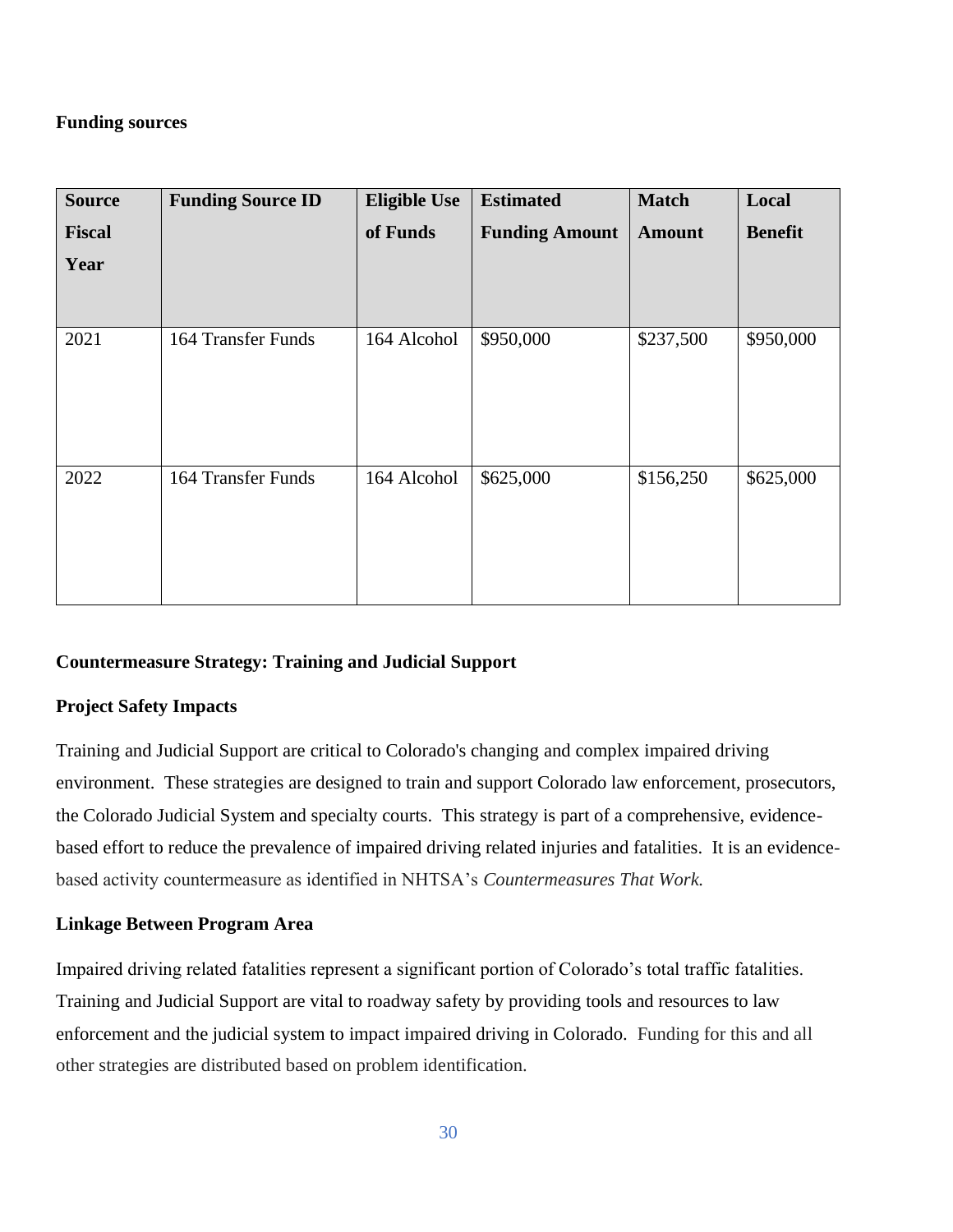# **Funding sources**

| <b>Source</b> | <b>Funding Source ID</b> | <b>Eligible Use</b> | <b>Estimated</b>      | <b>Match</b>  | Local          |
|---------------|--------------------------|---------------------|-----------------------|---------------|----------------|
| <b>Fiscal</b> |                          | of Funds            | <b>Funding Amount</b> | <b>Amount</b> | <b>Benefit</b> |
| Year          |                          |                     |                       |               |                |
| 2021          | 164 Transfer Funds       | 164 Alcohol         | \$950,000             | \$237,500     | \$950,000      |
| 2022          | 164 Transfer Funds       | 164 Alcohol         | \$625,000             | \$156,250     | \$625,000      |

# **Countermeasure Strategy: Training and Judicial Support**

# **Project Safety Impacts**

Training and Judicial Support are critical to Colorado's changing and complex impaired driving environment. These strategies are designed to train and support Colorado law enforcement, prosecutors, the Colorado Judicial System and specialty courts. This strategy is part of a comprehensive, evidencebased effort to reduce the prevalence of impaired driving related injuries and fatalities. It is an evidencebased activity countermeasure as identified in NHTSA's *Countermeasures That Work.*

# **Linkage Between Program Area**

Impaired driving related fatalities represent a significant portion of Colorado's total traffic fatalities. Training and Judicial Support are vital to roadway safety by providing tools and resources to law enforcement and the judicial system to impact impaired driving in Colorado. Funding for this and all other strategies are distributed based on problem identification.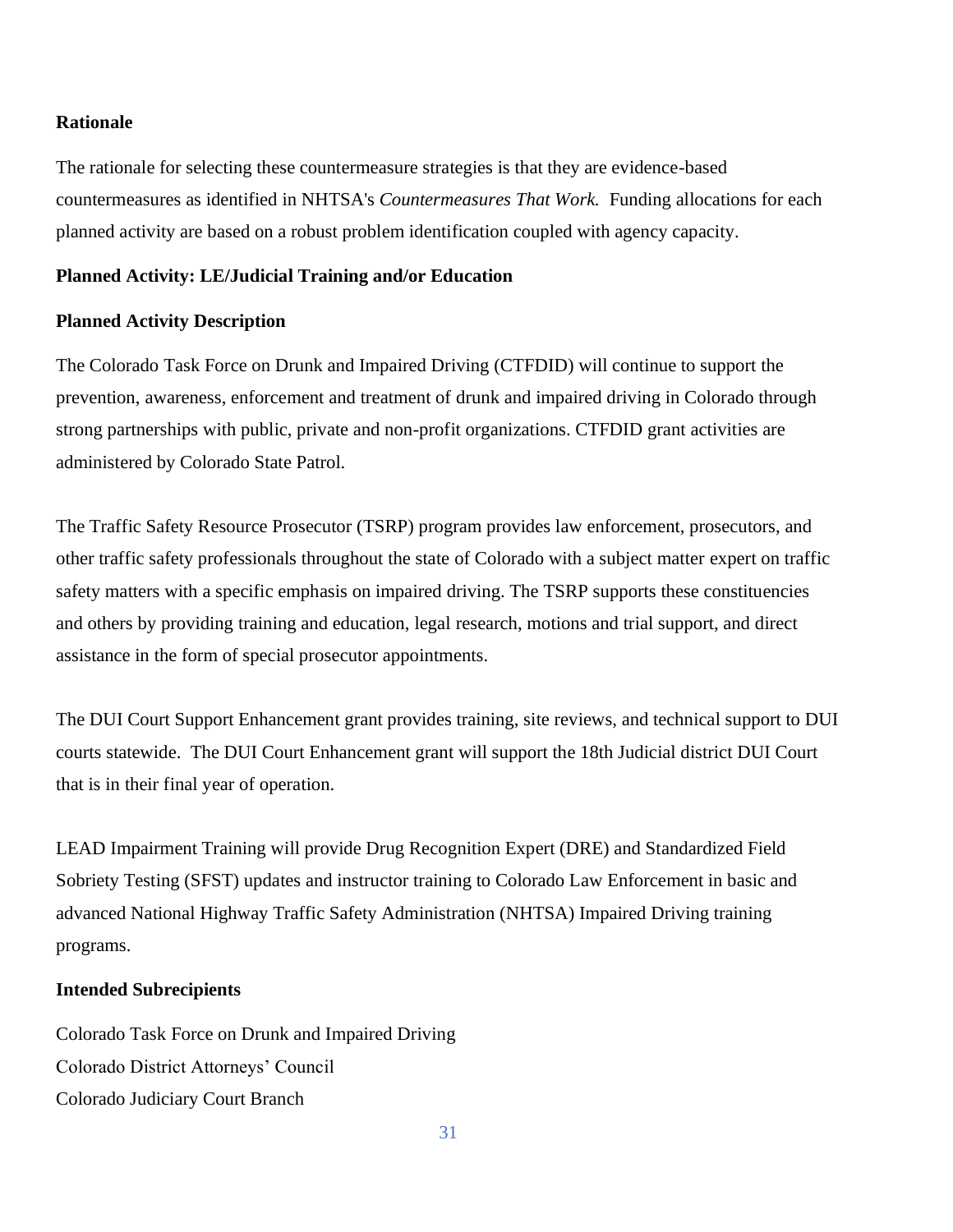#### **Rationale**

The rationale for selecting these countermeasure strategies is that they are evidence-based countermeasures as identified in NHTSA's *Countermeasures That Work.* Funding allocations for each planned activity are based on a robust problem identification coupled with agency capacity.

#### **Planned Activity: LE/Judicial Training and/or Education**

#### **Planned Activity Description**

The Colorado Task Force on Drunk and Impaired Driving (CTFDID) will continue to support the prevention, awareness, enforcement and treatment of drunk and impaired driving in Colorado through strong partnerships with public, private and non-profit organizations. CTFDID grant activities are administered by Colorado State Patrol.

The Traffic Safety Resource Prosecutor (TSRP) program provides law enforcement, prosecutors, and other traffic safety professionals throughout the state of Colorado with a subject matter expert on traffic safety matters with a specific emphasis on impaired driving. The TSRP supports these constituencies and others by providing training and education, legal research, motions and trial support, and direct assistance in the form of special prosecutor appointments.

The DUI Court Support Enhancement grant provides training, site reviews, and technical support to DUI courts statewide. The DUI Court Enhancement grant will support the 18th Judicial district DUI Court that is in their final year of operation.

LEAD Impairment Training will provide Drug Recognition Expert (DRE) and Standardized Field Sobriety Testing (SFST) updates and instructor training to Colorado Law Enforcement in basic and advanced National Highway Traffic Safety Administration (NHTSA) Impaired Driving training programs.

#### **Intended Subrecipients**

Colorado Task Force on Drunk and Impaired Driving Colorado District Attorneys' Council Colorado Judiciary Court Branch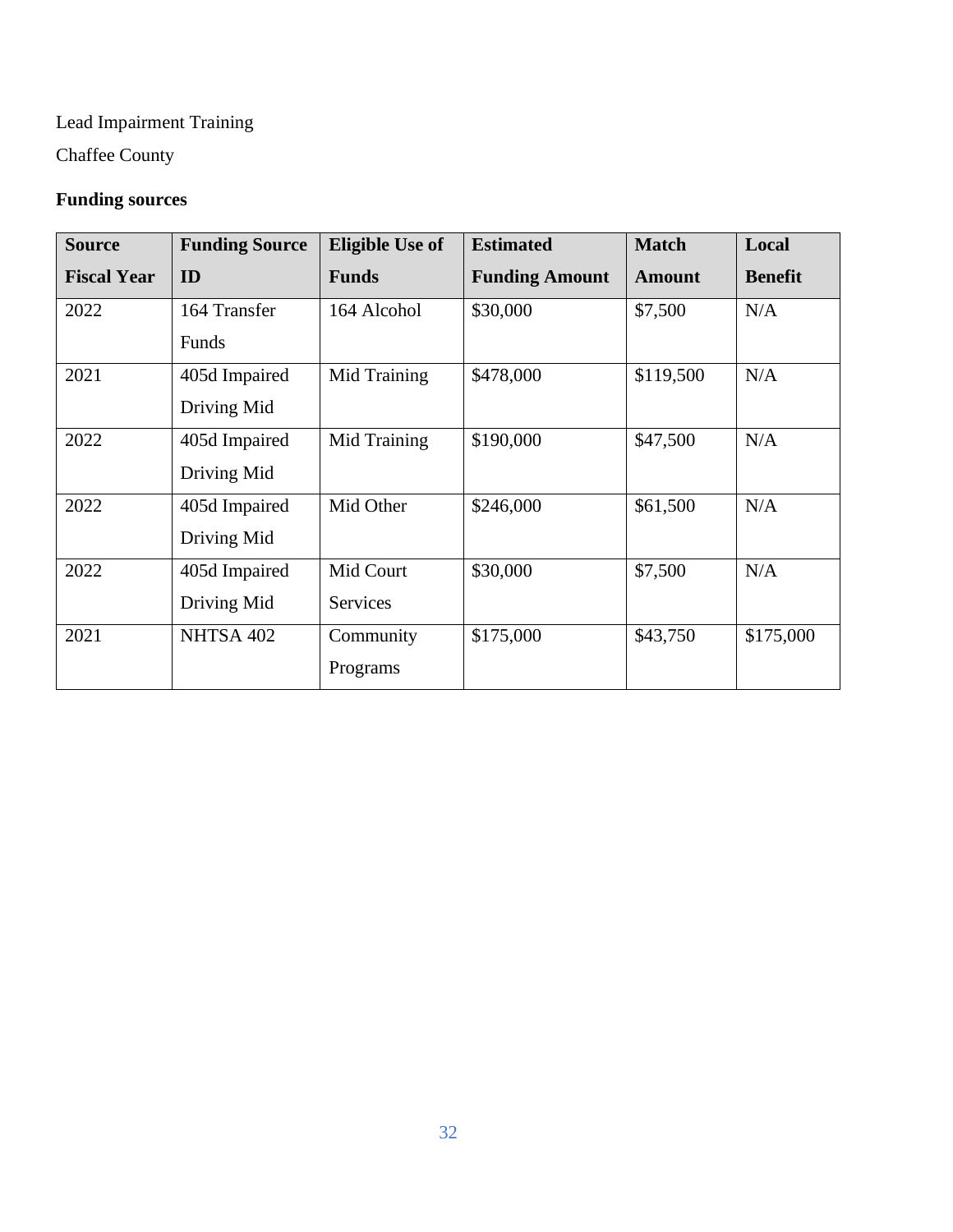# Lead Impairment Training

Chaffee County

# **Funding sources**

| <b>Source</b>      | <b>Funding Source</b> | <b>Eligible Use of</b> | <b>Estimated</b>      | <b>Match</b>  | Local          |
|--------------------|-----------------------|------------------------|-----------------------|---------------|----------------|
| <b>Fiscal Year</b> | ID                    | <b>Funds</b>           | <b>Funding Amount</b> | <b>Amount</b> | <b>Benefit</b> |
| 2022               | 164 Transfer          | 164 Alcohol            | \$30,000              | \$7,500       | N/A            |
|                    | Funds                 |                        |                       |               |                |
| 2021               | 405d Impaired         | Mid Training           | \$478,000             | \$119,500     | N/A            |
|                    | Driving Mid           |                        |                       |               |                |
| 2022               | 405d Impaired         | Mid Training           | \$190,000             | \$47,500      | N/A            |
|                    | Driving Mid           |                        |                       |               |                |
| 2022               | 405d Impaired         | Mid Other              | \$246,000             | \$61,500      | N/A            |
|                    | Driving Mid           |                        |                       |               |                |
| 2022               | 405d Impaired         | Mid Court              | \$30,000              | \$7,500       | N/A            |
|                    | Driving Mid           | <b>Services</b>        |                       |               |                |
| 2021               | NHTSA 402             | Community              | \$175,000             | \$43,750      | \$175,000      |
|                    |                       | Programs               |                       |               |                |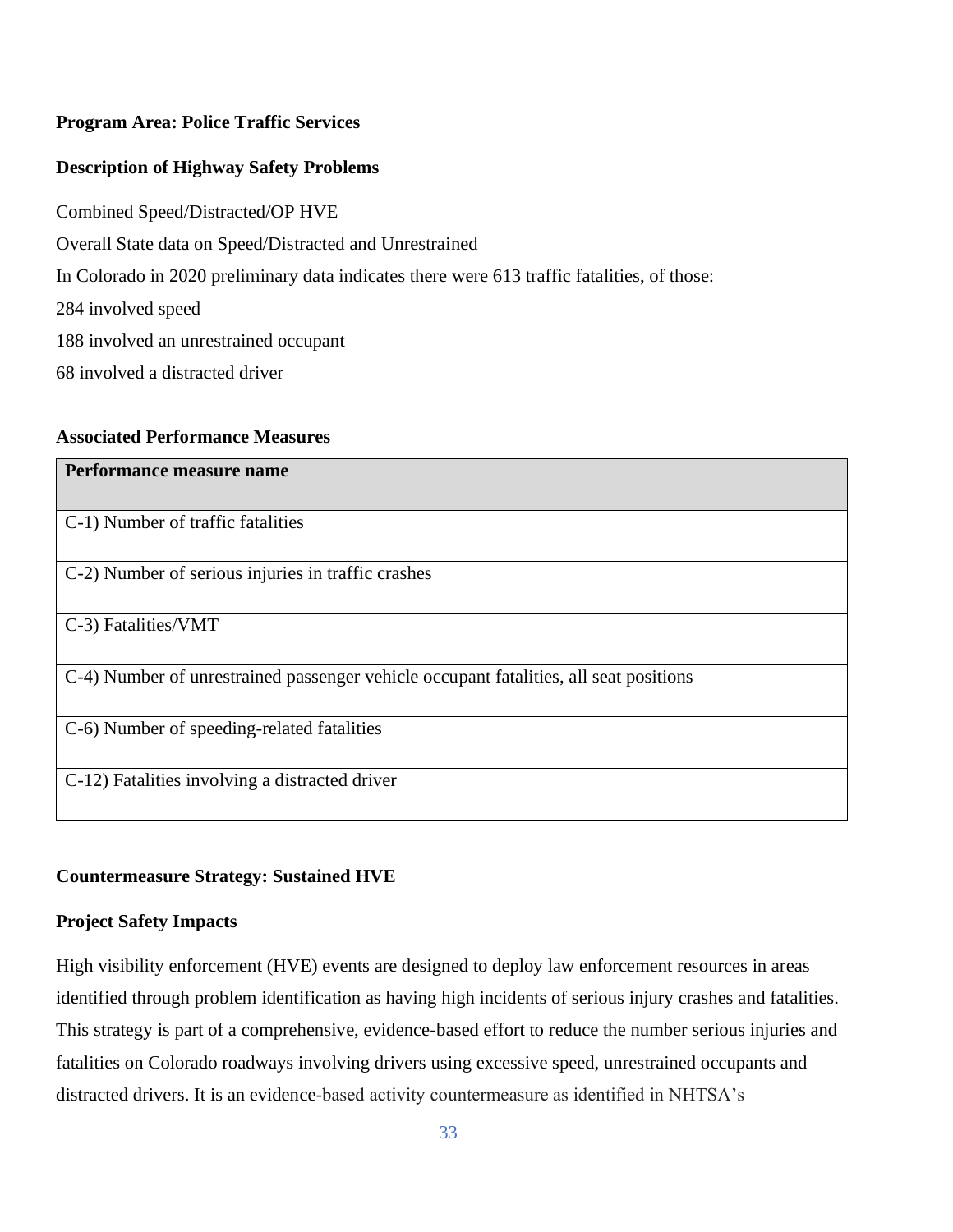# **Program Area: Police Traffic Services**

# **Description of Highway Safety Problems**

Combined Speed/Distracted/OP HVE Overall State data on Speed/Distracted and Unrestrained In Colorado in 2020 preliminary data indicates there were 613 traffic fatalities, of those: 284 involved speed 188 involved an unrestrained occupant 68 involved a distracted driver

## **Associated Performance Measures**

| Performance measure name                                                              |
|---------------------------------------------------------------------------------------|
|                                                                                       |
| C-1) Number of traffic fatalities                                                     |
|                                                                                       |
| C-2) Number of serious injuries in traffic crashes                                    |
| C-3) Fatalities/VMT                                                                   |
| C-4) Number of unrestrained passenger vehicle occupant fatalities, all seat positions |
| C-6) Number of speeding-related fatalities                                            |
| C-12) Fatalities involving a distracted driver                                        |

# **Countermeasure Strategy: Sustained HVE**

# **Project Safety Impacts**

High visibility enforcement (HVE) events are designed to deploy law enforcement resources in areas identified through problem identification as having high incidents of serious injury crashes and fatalities. This strategy is part of a comprehensive, evidence-based effort to reduce the number serious injuries and fatalities on Colorado roadways involving drivers using excessive speed, unrestrained occupants and distracted drivers. It is an evidence-based activity countermeasure as identified in NHTSA's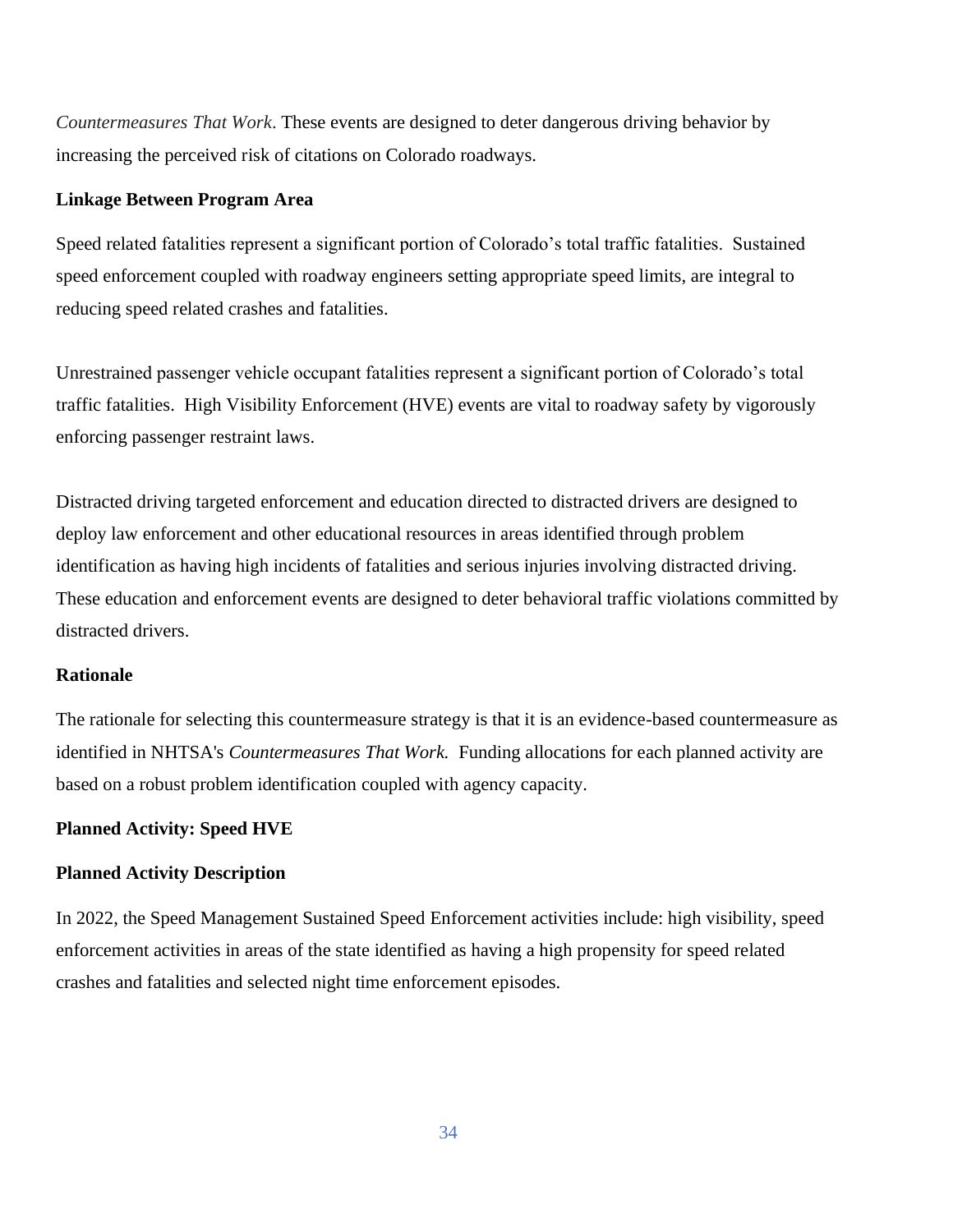*Countermeasures That Work*. These events are designed to deter dangerous driving behavior by increasing the perceived risk of citations on Colorado roadways.

#### **Linkage Between Program Area**

Speed related fatalities represent a significant portion of Colorado's total traffic fatalities. Sustained speed enforcement coupled with roadway engineers setting appropriate speed limits, are integral to reducing speed related crashes and fatalities.

Unrestrained passenger vehicle occupant fatalities represent a significant portion of Colorado's total traffic fatalities. High Visibility Enforcement (HVE) events are vital to roadway safety by vigorously enforcing passenger restraint laws.

Distracted driving targeted enforcement and education directed to distracted drivers are designed to deploy law enforcement and other educational resources in areas identified through problem identification as having high incidents of fatalities and serious injuries involving distracted driving. These education and enforcement events are designed to deter behavioral traffic violations committed by distracted drivers.

#### **Rationale**

The rationale for selecting this countermeasure strategy is that it is an evidence-based countermeasure as identified in NHTSA's *Countermeasures That Work.* Funding allocations for each planned activity are based on a robust problem identification coupled with agency capacity.

#### **Planned Activity: Speed HVE**

#### **Planned Activity Description**

In 2022, the Speed Management Sustained Speed Enforcement activities include: high visibility, speed enforcement activities in areas of the state identified as having a high propensity for speed related crashes and fatalities and selected night time enforcement episodes.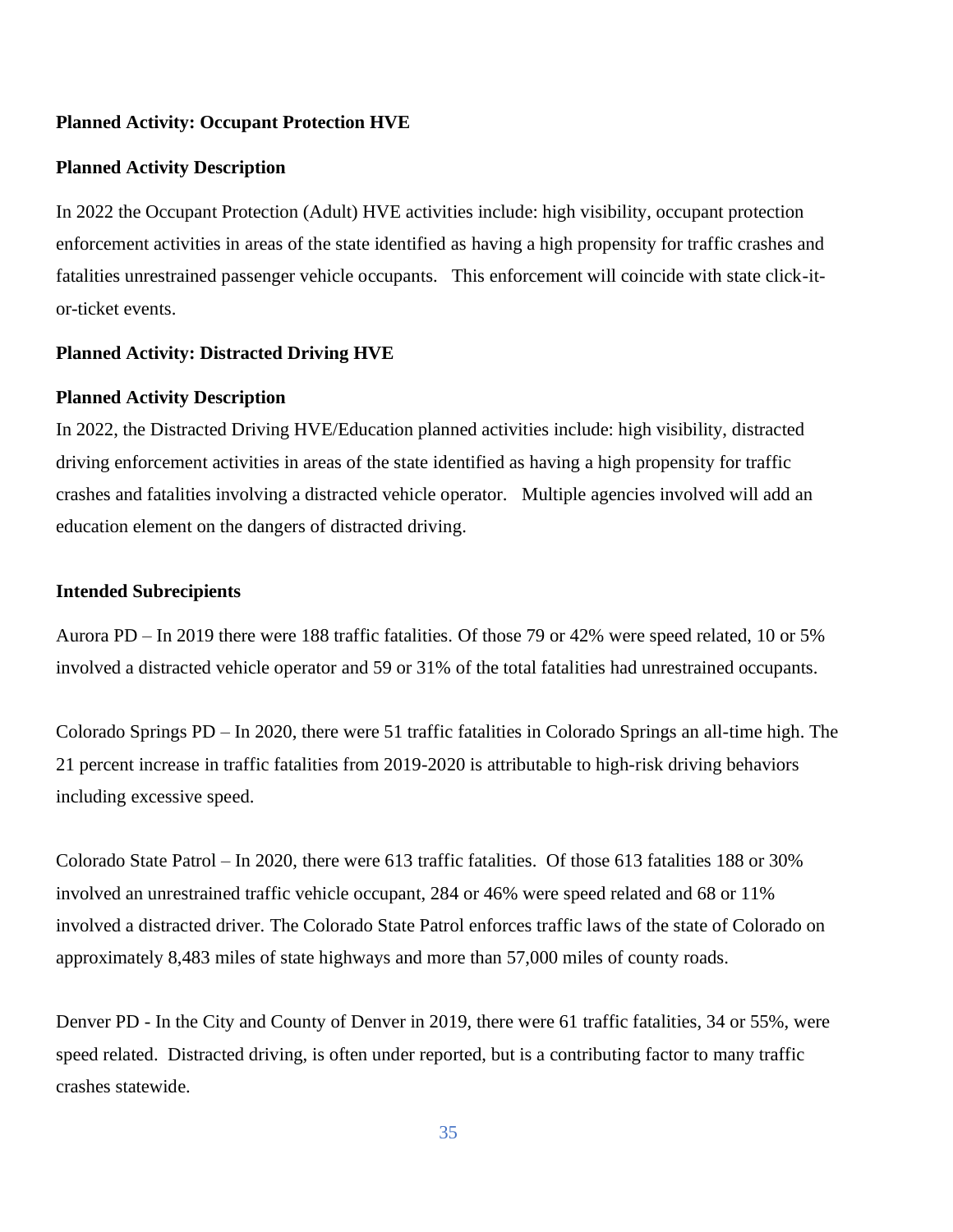#### **Planned Activity: Occupant Protection HVE**

#### **Planned Activity Description**

In 2022 the Occupant Protection (Adult) HVE activities include: high visibility, occupant protection enforcement activities in areas of the state identified as having a high propensity for traffic crashes and fatalities unrestrained passenger vehicle occupants. This enforcement will coincide with state click-itor-ticket events.

#### **Planned Activity: Distracted Driving HVE**

#### **Planned Activity Description**

In 2022, the Distracted Driving HVE/Education planned activities include: high visibility, distracted driving enforcement activities in areas of the state identified as having a high propensity for traffic crashes and fatalities involving a distracted vehicle operator. Multiple agencies involved will add an education element on the dangers of distracted driving.

#### **Intended Subrecipients**

Aurora PD – In 2019 there were 188 traffic fatalities. Of those 79 or 42% were speed related, 10 or 5% involved a distracted vehicle operator and 59 or 31% of the total fatalities had unrestrained occupants.

Colorado Springs PD – In 2020, there were 51 traffic fatalities in Colorado Springs an all-time high. The 21 percent increase in traffic fatalities from 2019-2020 is attributable to high-risk driving behaviors including excessive speed.

Colorado State Patrol – In 2020, there were 613 traffic fatalities. Of those 613 fatalities 188 or 30% involved an unrestrained traffic vehicle occupant, 284 or 46% were speed related and 68 or 11% involved a distracted driver. The Colorado State Patrol enforces traffic laws of the state of Colorado on approximately 8,483 miles of state highways and more than 57,000 miles of county roads.

Denver PD - In the City and County of Denver in 2019, there were 61 traffic fatalities, 34 or 55%, were speed related. Distracted driving, is often under reported, but is a contributing factor to many traffic crashes statewide.

35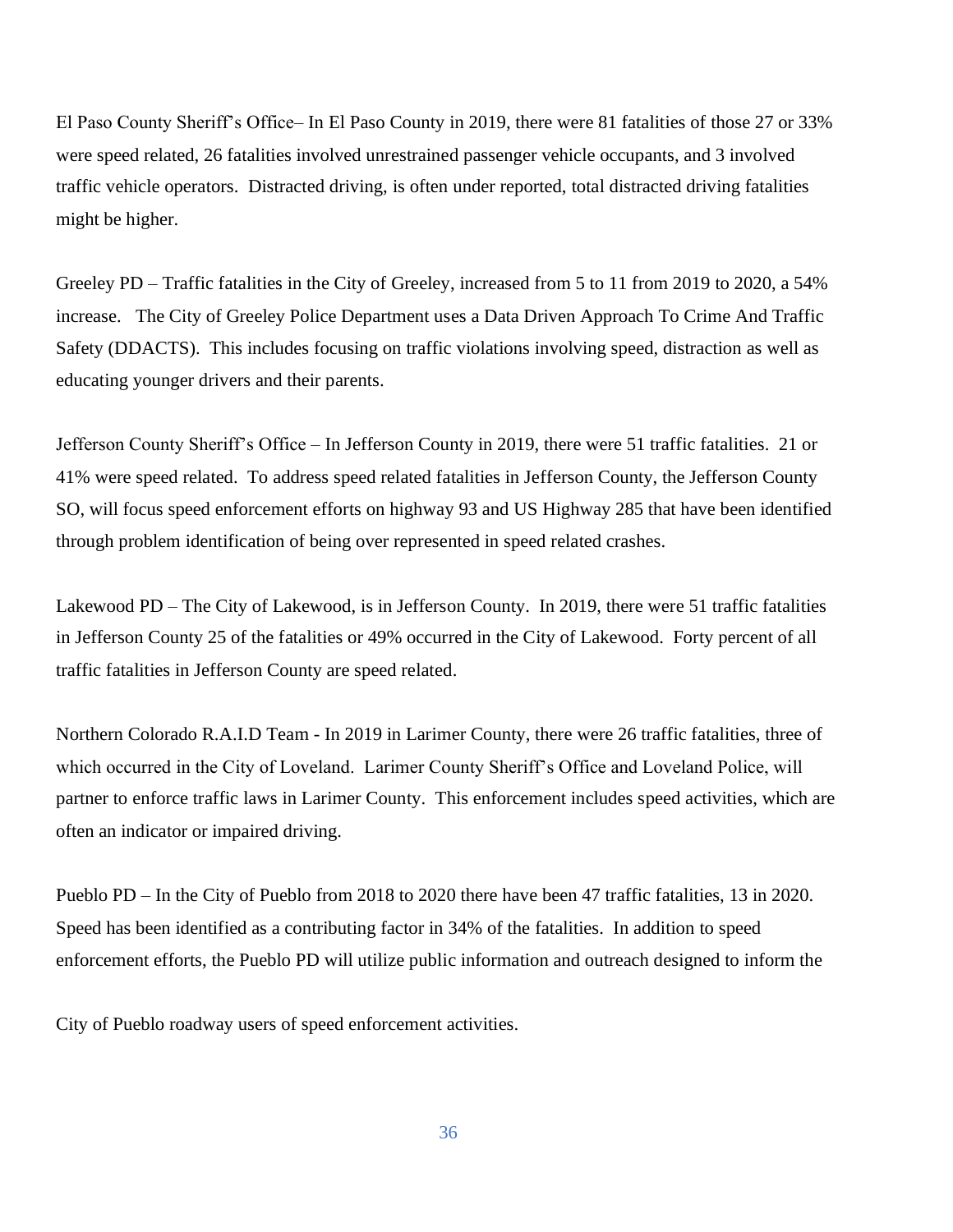El Paso County Sheriff's Office– In El Paso County in 2019, there were 81 fatalities of those 27 or 33% were speed related, 26 fatalities involved unrestrained passenger vehicle occupants, and 3 involved traffic vehicle operators. Distracted driving, is often under reported, total distracted driving fatalities might be higher.

Greeley PD – Traffic fatalities in the City of Greeley, increased from 5 to 11 from 2019 to 2020, a 54% increase. The City of Greeley Police Department uses a Data Driven Approach To Crime And Traffic Safety (DDACTS). This includes focusing on traffic violations involving speed, distraction as well as educating younger drivers and their parents.

Jefferson County Sheriff's Office – In Jefferson County in 2019, there were 51 traffic fatalities. 21 or 41% were speed related. To address speed related fatalities in Jefferson County, the Jefferson County SO, will focus speed enforcement efforts on highway 93 and US Highway 285 that have been identified through problem identification of being over represented in speed related crashes.

Lakewood PD – The City of Lakewood, is in Jefferson County. In 2019, there were 51 traffic fatalities in Jefferson County 25 of the fatalities or 49% occurred in the City of Lakewood. Forty percent of all traffic fatalities in Jefferson County are speed related.

Northern Colorado R.A.I.D Team - In 2019 in Larimer County, there were 26 traffic fatalities, three of which occurred in the City of Loveland. Larimer County Sheriff's Office and Loveland Police, will partner to enforce traffic laws in Larimer County. This enforcement includes speed activities, which are often an indicator or impaired driving.

Pueblo PD – In the City of Pueblo from 2018 to 2020 there have been 47 traffic fatalities, 13 in 2020. Speed has been identified as a contributing factor in 34% of the fatalities. In addition to speed enforcement efforts, the Pueblo PD will utilize public information and outreach designed to inform the

City of Pueblo roadway users of speed enforcement activities.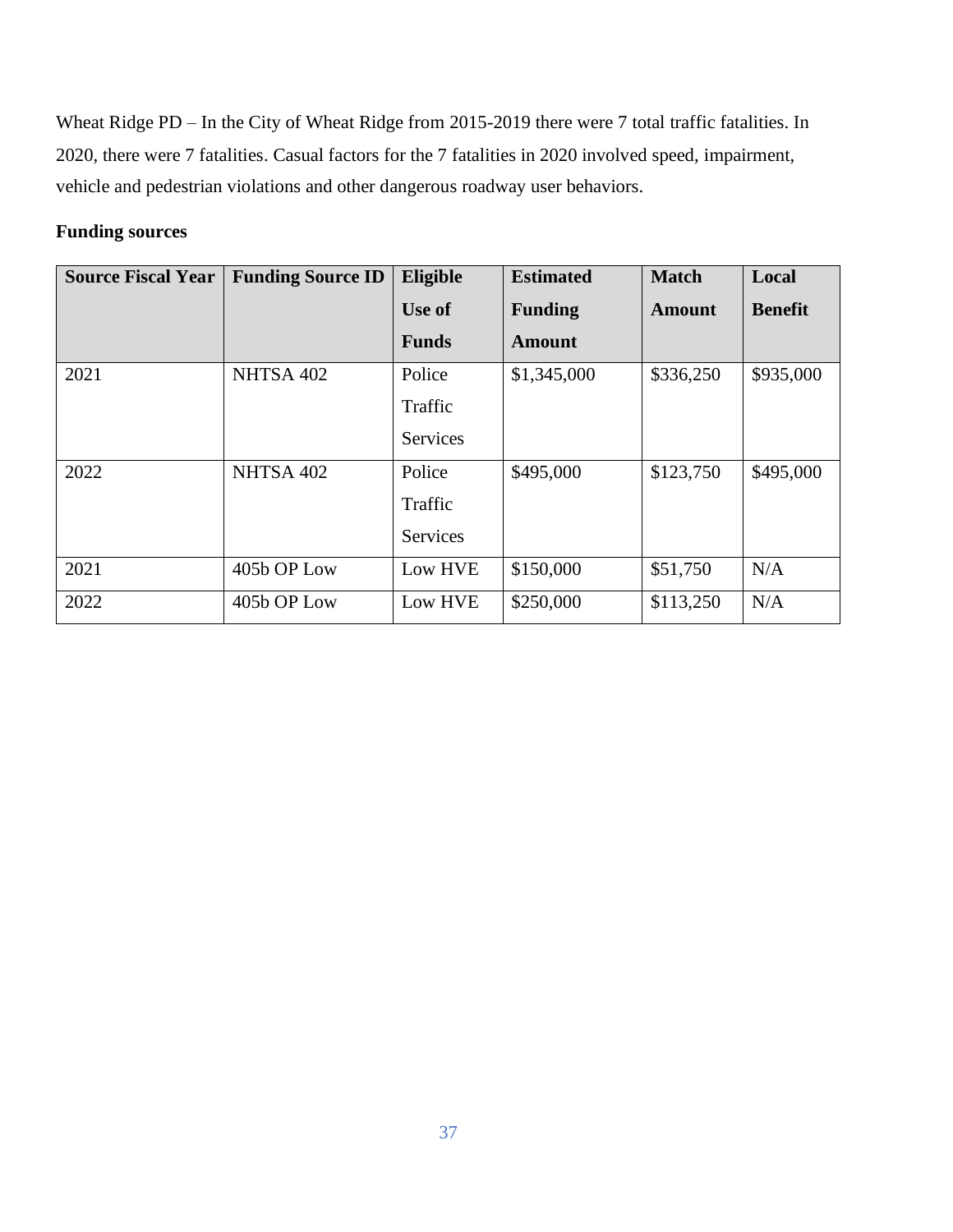Wheat Ridge PD – In the City of Wheat Ridge from 2015-2019 there were 7 total traffic fatalities. In 2020, there were 7 fatalities. Casual factors for the 7 fatalities in 2020 involved speed, impairment, vehicle and pedestrian violations and other dangerous roadway user behaviors.

# **Funding sources**

| <b>Source Fiscal Year</b> | <b>Funding Source ID</b> | Eligible        | <b>Estimated</b> | <b>Match</b> | Local          |
|---------------------------|--------------------------|-----------------|------------------|--------------|----------------|
|                           |                          | Use of          | <b>Funding</b>   | Amount       | <b>Benefit</b> |
|                           |                          | <b>Funds</b>    | <b>Amount</b>    |              |                |
| 2021                      | NHTSA 402                | Police          | \$1,345,000      | \$336,250    | \$935,000      |
|                           |                          | Traffic         |                  |              |                |
|                           |                          | <b>Services</b> |                  |              |                |
| 2022                      | NHTSA 402                | Police          | \$495,000        | \$123,750    | \$495,000      |
|                           |                          | Traffic         |                  |              |                |
|                           |                          | <b>Services</b> |                  |              |                |
| 2021                      | 405b OP Low              | Low HVE         | \$150,000        | \$51,750     | N/A            |
| 2022                      | 405b OP Low              | Low HVE         | \$250,000        | \$113,250    | N/A            |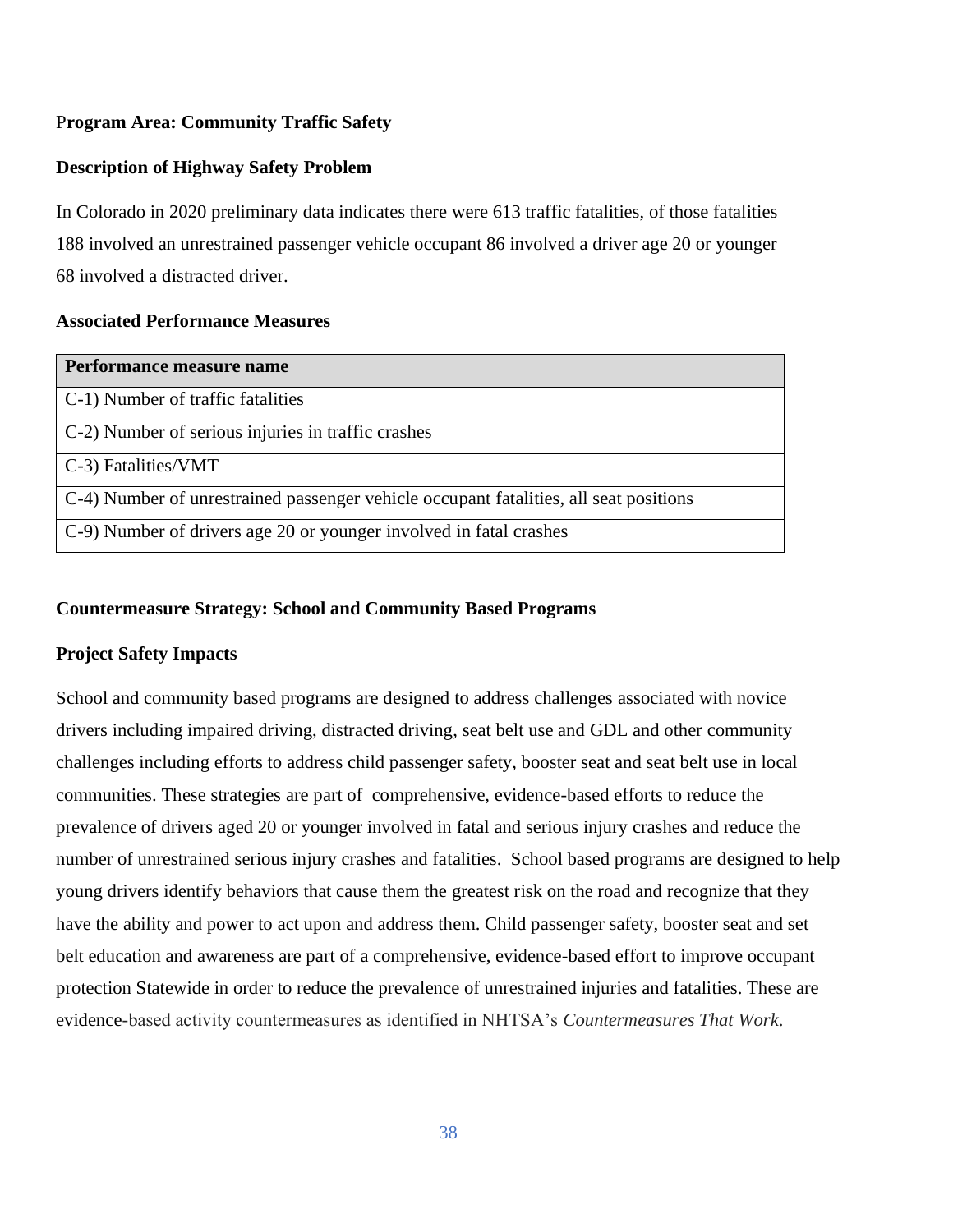# P**rogram Area: Community Traffic Safety**

# **Description of Highway Safety Problem**

In Colorado in 2020 preliminary data indicates there were 613 traffic fatalities, of those fatalities 188 involved an unrestrained passenger vehicle occupant 86 involved a driver age 20 or younger 68 involved a distracted driver.

# **Associated Performance Measures**

| Performance measure name                                                              |
|---------------------------------------------------------------------------------------|
| C-1) Number of traffic fatalities                                                     |
| C-2) Number of serious injuries in traffic crashes                                    |
| $C-3$ ) Fatalities/VMT                                                                |
| C-4) Number of unrestrained passenger vehicle occupant fatalities, all seat positions |
| C-9) Number of drivers age 20 or younger involved in fatal crashes                    |

## **Countermeasure Strategy: School and Community Based Programs**

# **Project Safety Impacts**

School and community based programs are designed to address challenges associated with novice drivers including impaired driving, distracted driving, seat belt use and GDL and other community challenges including efforts to address child passenger safety, booster seat and seat belt use in local communities. These strategies are part of comprehensive, evidence-based efforts to reduce the prevalence of drivers aged 20 or younger involved in fatal and serious injury crashes and reduce the number of unrestrained serious injury crashes and fatalities. School based programs are designed to help young drivers identify behaviors that cause them the greatest risk on the road and recognize that they have the ability and power to act upon and address them. Child passenger safety, booster seat and set belt education and awareness are part of a comprehensive, evidence-based effort to improve occupant protection Statewide in order to reduce the prevalence of unrestrained injuries and fatalities. These are evidence-based activity countermeasures as identified in NHTSA's *Countermeasures That Work*.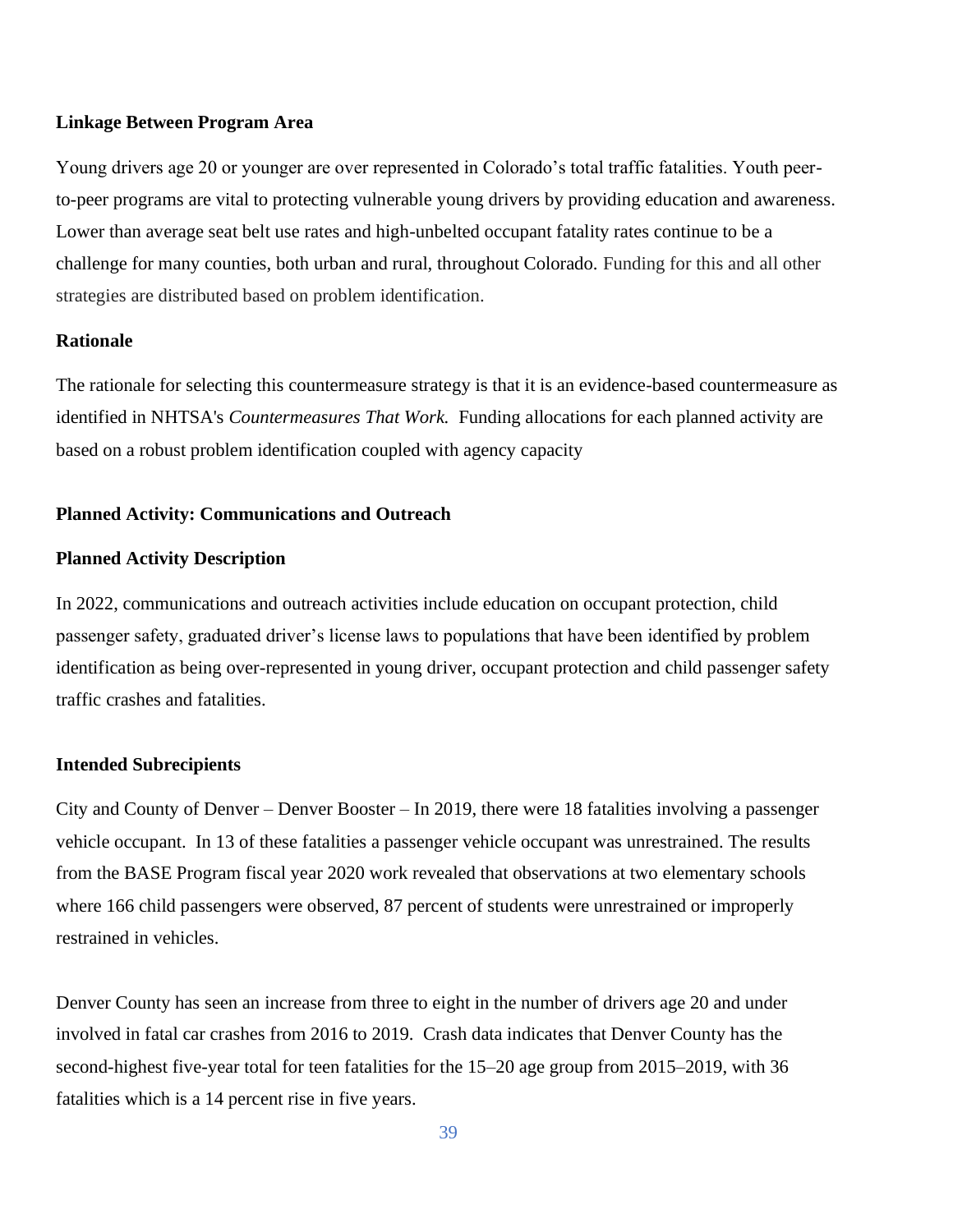#### **Linkage Between Program Area**

Young drivers age 20 or younger are over represented in Colorado's total traffic fatalities. Youth peerto-peer programs are vital to protecting vulnerable young drivers by providing education and awareness. Lower than average seat belt use rates and high-unbelted occupant fatality rates continue to be a challenge for many counties, both urban and rural, throughout Colorado. Funding for this and all other strategies are distributed based on problem identification.

#### **Rationale**

The rationale for selecting this countermeasure strategy is that it is an evidence-based countermeasure as identified in NHTSA's *Countermeasures That Work.* Funding allocations for each planned activity are based on a robust problem identification coupled with agency capacity

#### **Planned Activity: Communications and Outreach**

#### **Planned Activity Description**

In 2022, communications and outreach activities include education on occupant protection, child passenger safety, graduated driver's license laws to populations that have been identified by problem identification as being over-represented in young driver, occupant protection and child passenger safety traffic crashes and fatalities.

#### **Intended Subrecipients**

City and County of Denver – Denver Booster – In 2019, there were 18 fatalities involving a passenger vehicle occupant. In 13 of these fatalities a passenger vehicle occupant was unrestrained. The results from the BASE Program fiscal year 2020 work revealed that observations at two elementary schools where 166 child passengers were observed, 87 percent of students were unrestrained or improperly restrained in vehicles.

Denver County has seen an increase from three to eight in the number of drivers age 20 and under involved in fatal car crashes from 2016 to 2019. Crash data indicates that Denver County has the second-highest five-year total for teen fatalities for the 15–20 age group from 2015–2019, with 36 fatalities which is a 14 percent rise in five years.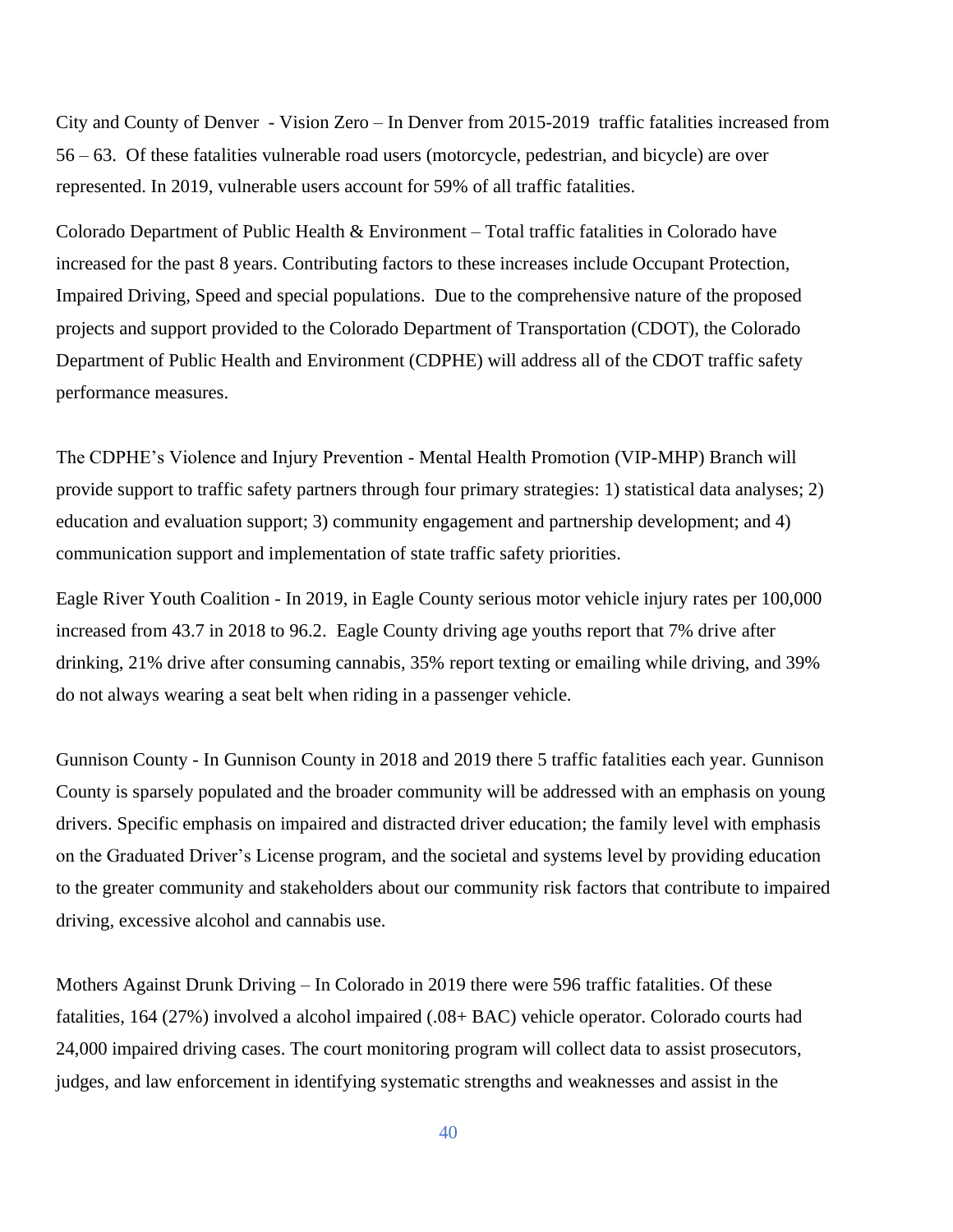City and County of Denver - Vision Zero – In Denver from 2015-2019 traffic fatalities increased from 56 – 63. Of these fatalities vulnerable road users (motorcycle, pedestrian, and bicycle) are over represented. In 2019, vulnerable users account for 59% of all traffic fatalities.

Colorado Department of Public Health  $\&$  Environment – Total traffic fatalities in Colorado have increased for the past 8 years. Contributing factors to these increases include Occupant Protection, Impaired Driving, Speed and special populations. Due to the comprehensive nature of the proposed projects and support provided to the Colorado Department of Transportation (CDOT), the Colorado Department of Public Health and Environment (CDPHE) will address all of the CDOT traffic safety performance measures.

The CDPHE's Violence and Injury Prevention - Mental Health Promotion (VIP-MHP) Branch will provide support to traffic safety partners through four primary strategies: 1) statistical data analyses; 2) education and evaluation support; 3) community engagement and partnership development; and 4) communication support and implementation of state traffic safety priorities.

Eagle River Youth Coalition - In 2019, in Eagle County serious motor vehicle injury rates per 100,000 increased from 43.7 in 2018 to 96.2. Eagle County driving age youths report that 7% drive after drinking, 21% drive after consuming cannabis, 35% report texting or emailing while driving, and 39% do not always wearing a seat belt when riding in a passenger vehicle.

Gunnison County - In Gunnison County in 2018 and 2019 there 5 traffic fatalities each year. Gunnison County is sparsely populated and the broader community will be addressed with an emphasis on young drivers. Specific emphasis on impaired and distracted driver education; the family level with emphasis on the Graduated Driver's License program, and the societal and systems level by providing education to the greater community and stakeholders about our community risk factors that contribute to impaired driving, excessive alcohol and cannabis use.

Mothers Against Drunk Driving – In Colorado in 2019 there were 596 traffic fatalities. Of these fatalities, 164 (27%) involved a alcohol impaired (.08+ BAC) vehicle operator. Colorado courts had 24,000 impaired driving cases. The court monitoring program will collect data to assist prosecutors, judges, and law enforcement in identifying systematic strengths and weaknesses and assist in the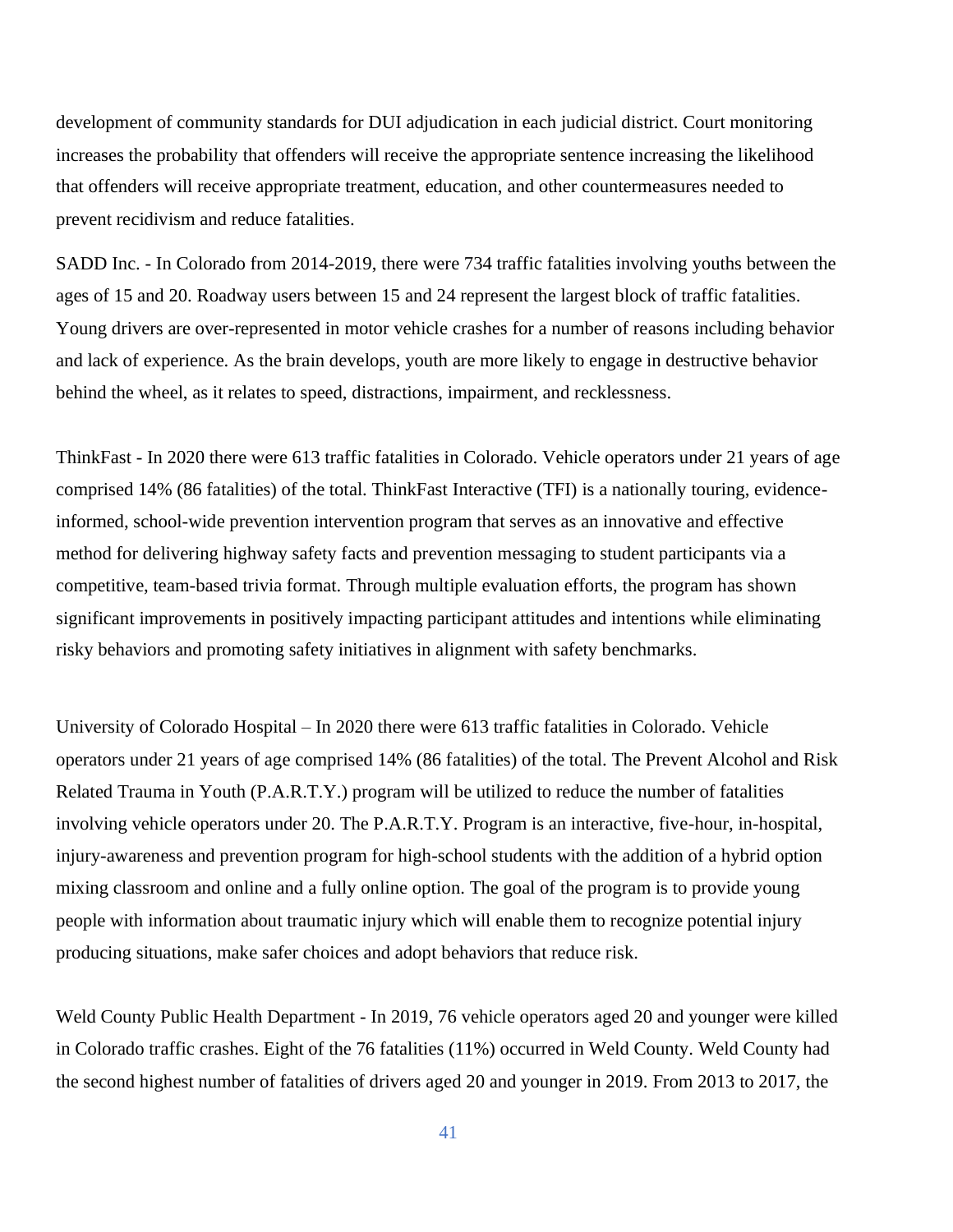development of community standards for DUI adjudication in each judicial district. Court monitoring increases the probability that offenders will receive the appropriate sentence increasing the likelihood that offenders will receive appropriate treatment, education, and other countermeasures needed to prevent recidivism and reduce fatalities.

SADD Inc. - In Colorado from 2014-2019, there were 734 traffic fatalities involving youths between the ages of 15 and 20. Roadway users between 15 and 24 represent the largest block of traffic fatalities. Young drivers are over-represented in motor vehicle crashes for a number of reasons including behavior and lack of experience. As the brain develops, youth are more likely to engage in destructive behavior behind the wheel, as it relates to speed, distractions, impairment, and recklessness.

ThinkFast - In 2020 there were 613 traffic fatalities in Colorado. Vehicle operators under 21 years of age comprised 14% (86 fatalities) of the total. ThinkFast Interactive (TFI) is a nationally touring, evidenceinformed, school-wide prevention intervention program that serves as an innovative and effective method for delivering highway safety facts and prevention messaging to student participants via a competitive, team-based trivia format. Through multiple evaluation efforts, the program has shown significant improvements in positively impacting participant attitudes and intentions while eliminating risky behaviors and promoting safety initiatives in alignment with safety benchmarks.

University of Colorado Hospital – In 2020 there were 613 traffic fatalities in Colorado. Vehicle operators under 21 years of age comprised 14% (86 fatalities) of the total. The Prevent Alcohol and Risk Related Trauma in Youth (P.A.R.T.Y.) program will be utilized to reduce the number of fatalities involving vehicle operators under 20. The P.A.R.T.Y. Program is an interactive, five-hour, in-hospital, injury-awareness and prevention program for high-school students with the addition of a hybrid option mixing classroom and online and a fully online option. The goal of the program is to provide young people with information about traumatic injury which will enable them to recognize potential injury producing situations, make safer choices and adopt behaviors that reduce risk.

Weld County Public Health Department - In 2019, 76 vehicle operators aged 20 and younger were killed in Colorado traffic crashes. Eight of the 76 fatalities (11%) occurred in Weld County. Weld County had the second highest number of fatalities of drivers aged 20 and younger in 2019. From 2013 to 2017, the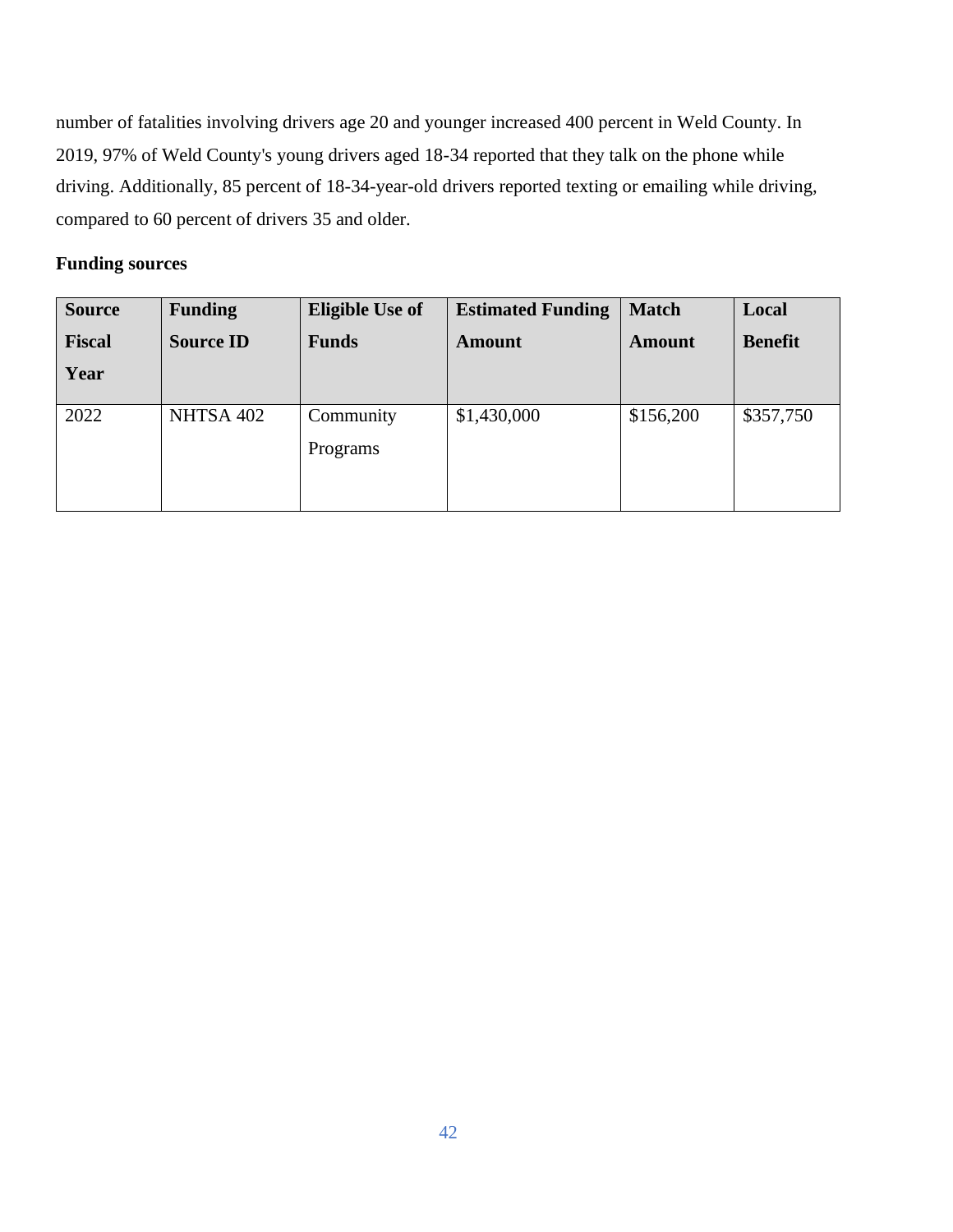number of fatalities involving drivers age 20 and younger increased 400 percent in Weld County. In 2019, 97% of Weld County's young drivers aged 18-34 reported that they talk on the phone while driving. Additionally, 85 percent of 18-34-year-old drivers reported texting or emailing while driving, compared to 60 percent of drivers 35 and older.

# **Funding sources**

| <b>Source</b> | <b>Funding</b>   | <b>Eligible Use of</b> | <b>Estimated Funding</b> | <b>Match</b>  | Local          |
|---------------|------------------|------------------------|--------------------------|---------------|----------------|
| <b>Fiscal</b> | <b>Source ID</b> | <b>Funds</b>           | <b>Amount</b>            | <b>Amount</b> | <b>Benefit</b> |
| Year          |                  |                        |                          |               |                |
| 2022          | NHTSA 402        | Community<br>Programs  | \$1,430,000              | \$156,200     | \$357,750      |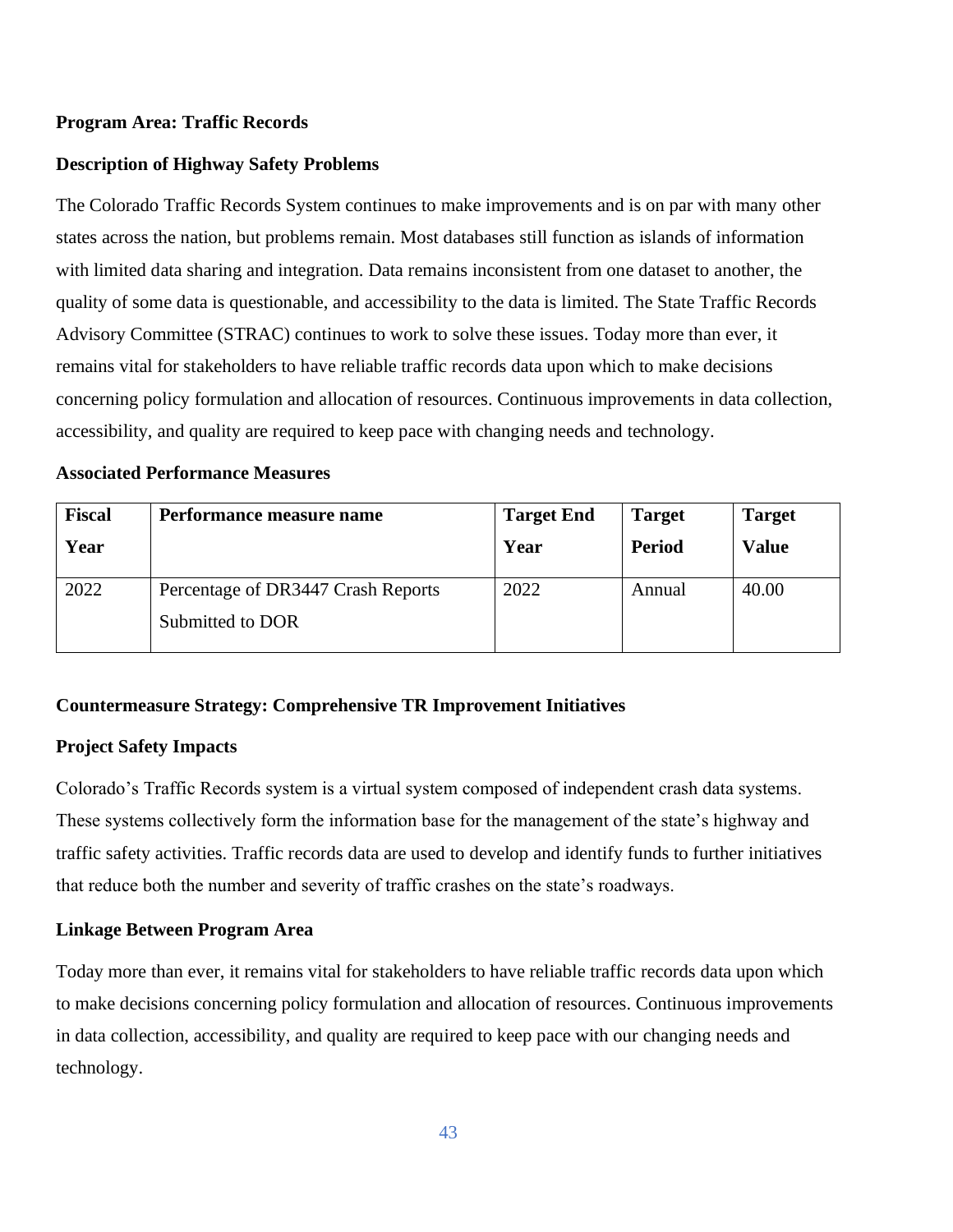#### **Program Area: Traffic Records**

#### **Description of Highway Safety Problems**

The Colorado Traffic Records System continues to make improvements and is on par with many other states across the nation, but problems remain. Most databases still function as islands of information with limited data sharing and integration. Data remains inconsistent from one dataset to another, the quality of some data is questionable, and accessibility to the data is limited. The State Traffic Records Advisory Committee (STRAC) continues to work to solve these issues. Today more than ever, it remains vital for stakeholders to have reliable traffic records data upon which to make decisions concerning policy formulation and allocation of resources. Continuous improvements in data collection, accessibility, and quality are required to keep pace with changing needs and technology.

| <b>Fiscal</b> | Performance measure name                               | <b>Target End</b> | <b>Target</b> | <b>Target</b> |
|---------------|--------------------------------------------------------|-------------------|---------------|---------------|
| Year          |                                                        | Year              | <b>Period</b> | <b>Value</b>  |
| 2022          | Percentage of DR3447 Crash Reports<br>Submitted to DOR | 2022              | Annual        | 40.00         |

#### **Associated Performance Measures**

#### **Countermeasure Strategy: Comprehensive TR Improvement Initiatives**

#### **Project Safety Impacts**

Colorado's Traffic Records system is a virtual system composed of independent crash data systems. These systems collectively form the information base for the management of the state's highway and traffic safety activities. Traffic records data are used to develop and identify funds to further initiatives that reduce both the number and severity of traffic crashes on the state's roadways.

#### **Linkage Between Program Area**

Today more than ever, it remains vital for stakeholders to have reliable traffic records data upon which to make decisions concerning policy formulation and allocation of resources. Continuous improvements in data collection, accessibility, and quality are required to keep pace with our changing needs and technology.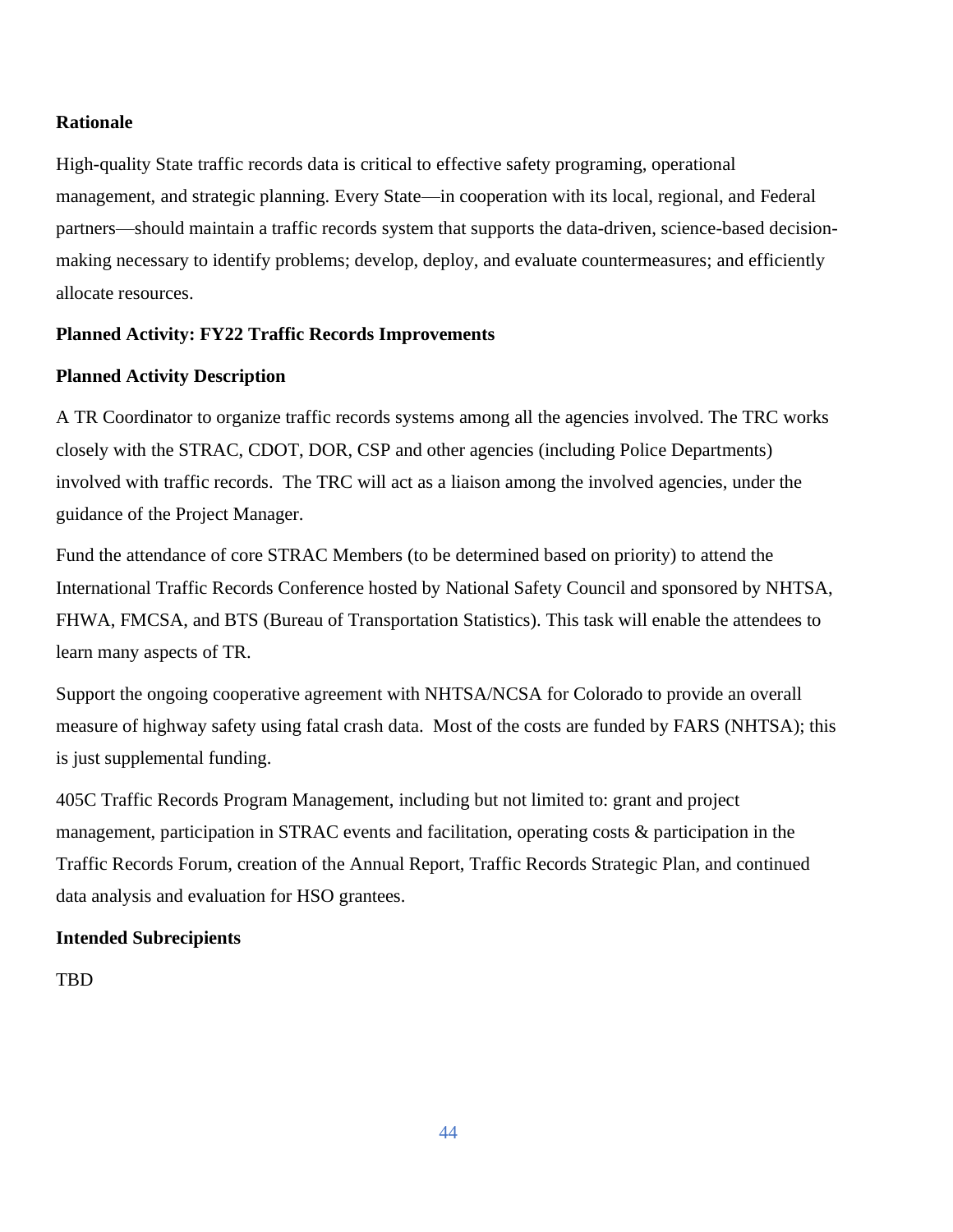#### **Rationale**

High-quality State traffic records data is critical to effective safety programing, operational management, and strategic planning. Every State—in cooperation with its local, regional, and Federal partners—should maintain a traffic records system that supports the data-driven, science-based decisionmaking necessary to identify problems; develop, deploy, and evaluate countermeasures; and efficiently allocate resources.

#### **Planned Activity: FY22 Traffic Records Improvements**

#### **Planned Activity Description**

A TR Coordinator to organize traffic records systems among all the agencies involved. The TRC works closely with the STRAC, CDOT, DOR, CSP and other agencies (including Police Departments) involved with traffic records. The TRC will act as a liaison among the involved agencies, under the guidance of the Project Manager.

Fund the attendance of core STRAC Members (to be determined based on priority) to attend the International Traffic Records Conference hosted by National Safety Council and sponsored by NHTSA, FHWA, FMCSA, and BTS (Bureau of Transportation Statistics). This task will enable the attendees to learn many aspects of TR.

Support the ongoing cooperative agreement with NHTSA/NCSA for Colorado to provide an overall measure of highway safety using fatal crash data. Most of the costs are funded by FARS (NHTSA); this is just supplemental funding.

405C Traffic Records Program Management, including but not limited to: grant and project management, participation in STRAC events and facilitation, operating costs & participation in the Traffic Records Forum, creation of the Annual Report, Traffic Records Strategic Plan, and continued data analysis and evaluation for HSO grantees.

#### **Intended Subrecipients**

TBD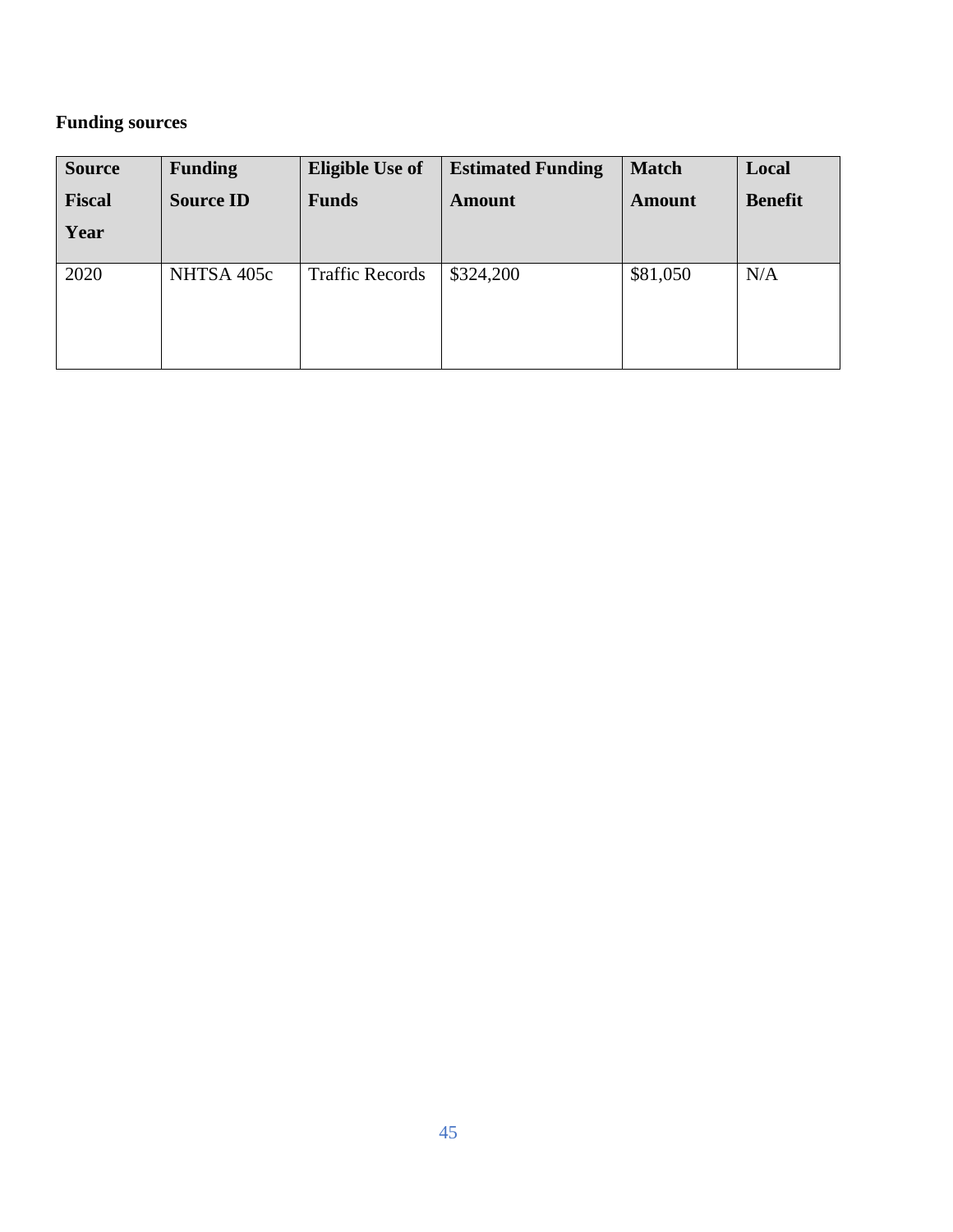# **Funding sources**

| <b>Source</b> | <b>Funding</b>   | <b>Eligible Use of</b> | <b>Estimated Funding</b> | <b>Match</b>  | Local          |
|---------------|------------------|------------------------|--------------------------|---------------|----------------|
| <b>Fiscal</b> | <b>Source ID</b> | <b>Funds</b>           | <b>Amount</b>            | <b>Amount</b> | <b>Benefit</b> |
| Year          |                  |                        |                          |               |                |
| 2020          | NHTSA 405c       | <b>Traffic Records</b> | \$324,200                | \$81,050      | N/A            |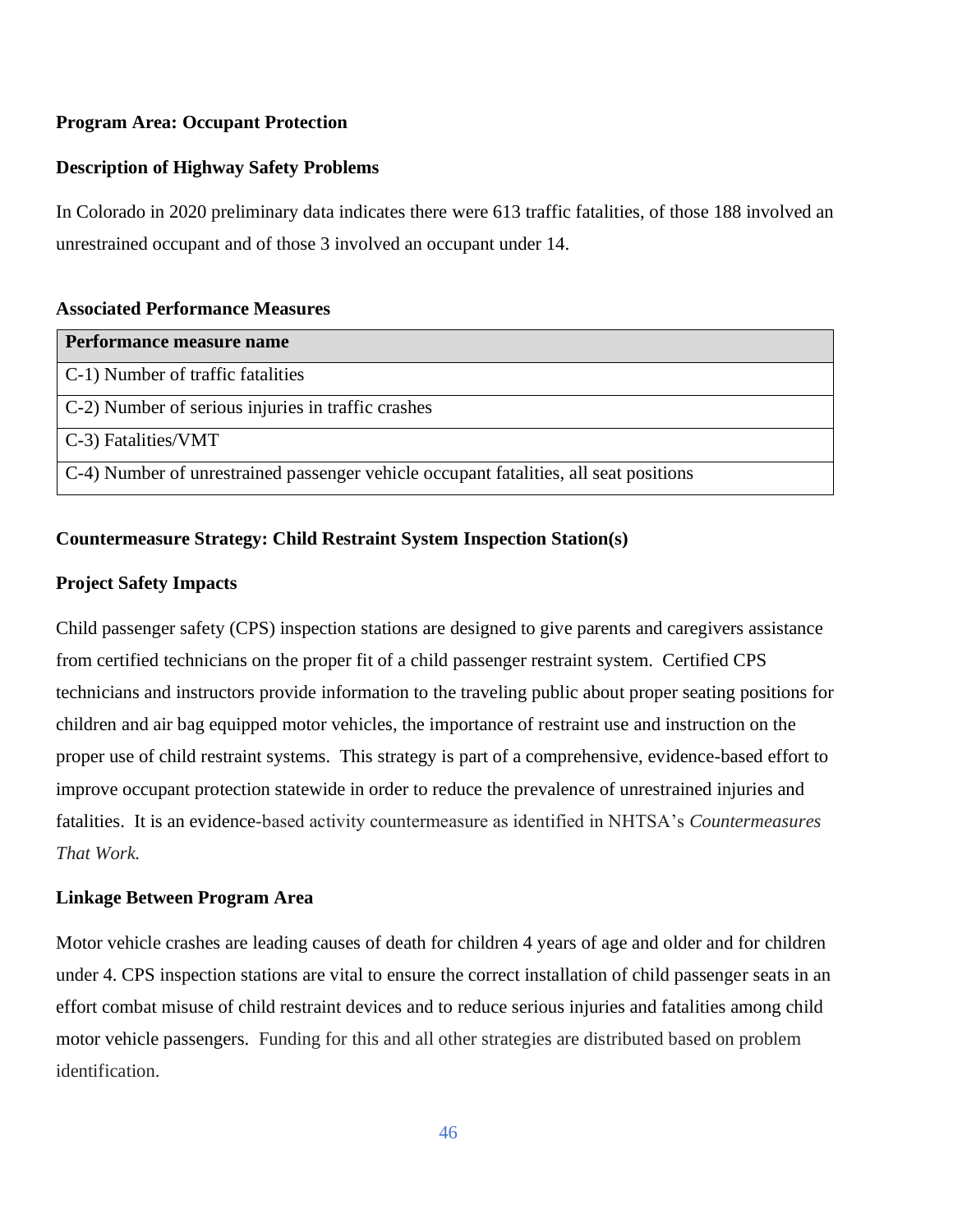# **Program Area: Occupant Protection**

# **Description of Highway Safety Problems**

In Colorado in 2020 preliminary data indicates there were 613 traffic fatalities, of those 188 involved an unrestrained occupant and of those 3 involved an occupant under 14.

# **Associated Performance Measures**

| Performance measure name                                                              |
|---------------------------------------------------------------------------------------|
| C-1) Number of traffic fatalities                                                     |
| C-2) Number of serious injuries in traffic crashes                                    |
| C-3) Fatalities/VMT                                                                   |
| C-4) Number of unrestrained passenger vehicle occupant fatalities, all seat positions |

# **Countermeasure Strategy: Child Restraint System Inspection Station(s)**

# **Project Safety Impacts**

Child passenger safety (CPS) inspection stations are designed to give parents and caregivers assistance from certified technicians on the proper fit of a child passenger restraint system. Certified CPS technicians and instructors provide information to the traveling public about proper seating positions for children and air bag equipped motor vehicles, the importance of restraint use and instruction on the proper use of child restraint systems. This strategy is part of a comprehensive, evidence-based effort to improve occupant protection statewide in order to reduce the prevalence of unrestrained injuries and fatalities. It is an evidence-based activity countermeasure as identified in NHTSA's *Countermeasures That Work.*

# **Linkage Between Program Area**

Motor vehicle crashes are leading causes of death for children 4 years of age and older and for children under 4. CPS inspection stations are vital to ensure the correct installation of child passenger seats in an effort combat misuse of child restraint devices and to reduce serious injuries and fatalities among child motor vehicle passengers. Funding for this and all other strategies are distributed based on problem identification.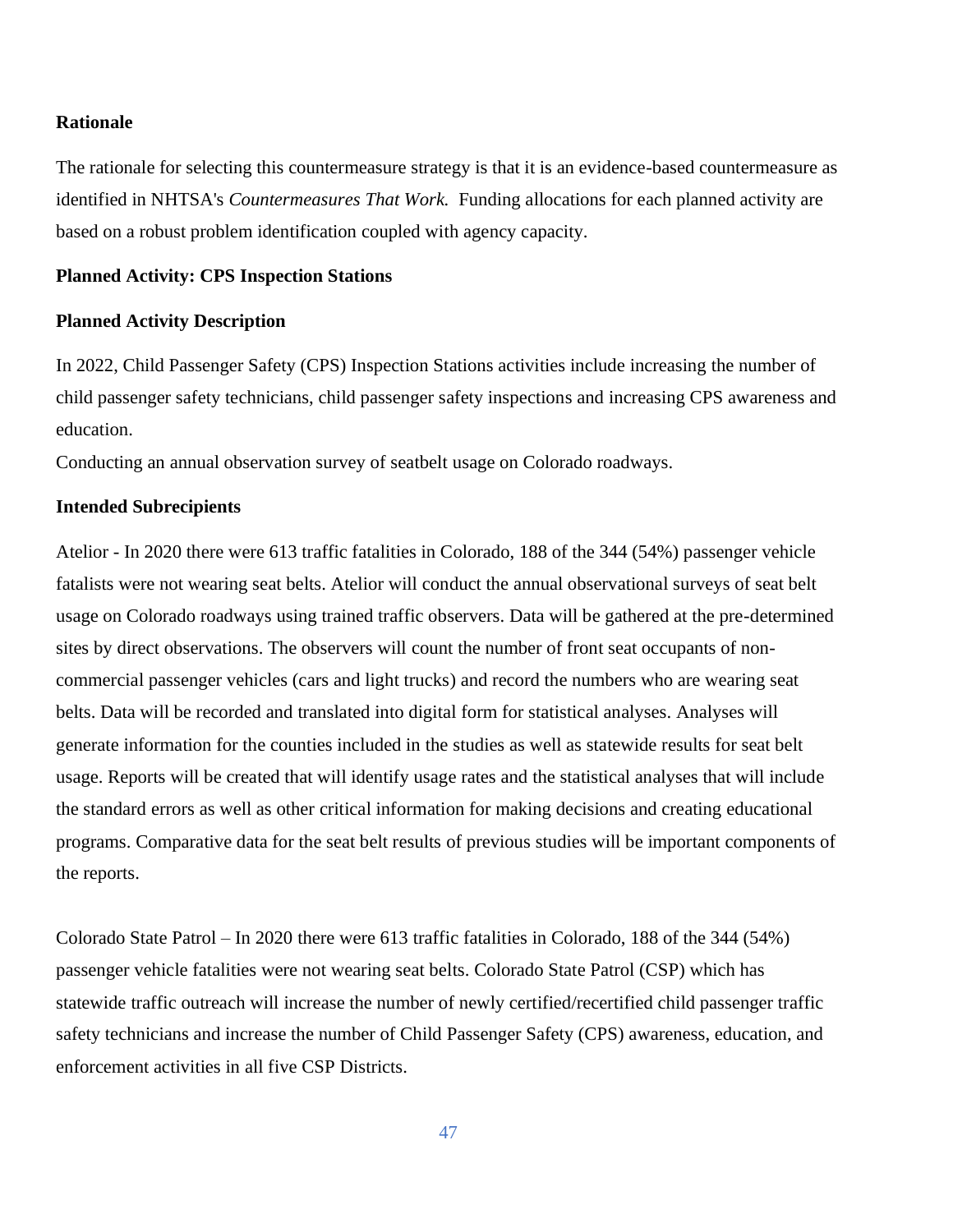#### **Rationale**

The rationale for selecting this countermeasure strategy is that it is an evidence-based countermeasure as identified in NHTSA's *Countermeasures That Work.* Funding allocations for each planned activity are based on a robust problem identification coupled with agency capacity.

#### **Planned Activity: CPS Inspection Stations**

#### **Planned Activity Description**

In 2022, Child Passenger Safety (CPS) Inspection Stations activities include increasing the number of child passenger safety technicians, child passenger safety inspections and increasing CPS awareness and education.

Conducting an annual observation survey of seatbelt usage on Colorado roadways.

#### **Intended Subrecipients**

Atelior - In 2020 there were 613 traffic fatalities in Colorado, 188 of the 344 (54%) passenger vehicle fatalists were not wearing seat belts. Atelior will conduct the annual observational surveys of seat belt usage on Colorado roadways using trained traffic observers. Data will be gathered at the pre-determined sites by direct observations. The observers will count the number of front seat occupants of noncommercial passenger vehicles (cars and light trucks) and record the numbers who are wearing seat belts. Data will be recorded and translated into digital form for statistical analyses. Analyses will generate information for the counties included in the studies as well as statewide results for seat belt usage. Reports will be created that will identify usage rates and the statistical analyses that will include the standard errors as well as other critical information for making decisions and creating educational programs. Comparative data for the seat belt results of previous studies will be important components of the reports.

Colorado State Patrol – In 2020 there were 613 traffic fatalities in Colorado, 188 of the 344 (54%) passenger vehicle fatalities were not wearing seat belts. Colorado State Patrol (CSP) which has statewide traffic outreach will increase the number of newly certified/recertified child passenger traffic safety technicians and increase the number of Child Passenger Safety (CPS) awareness, education, and enforcement activities in all five CSP Districts.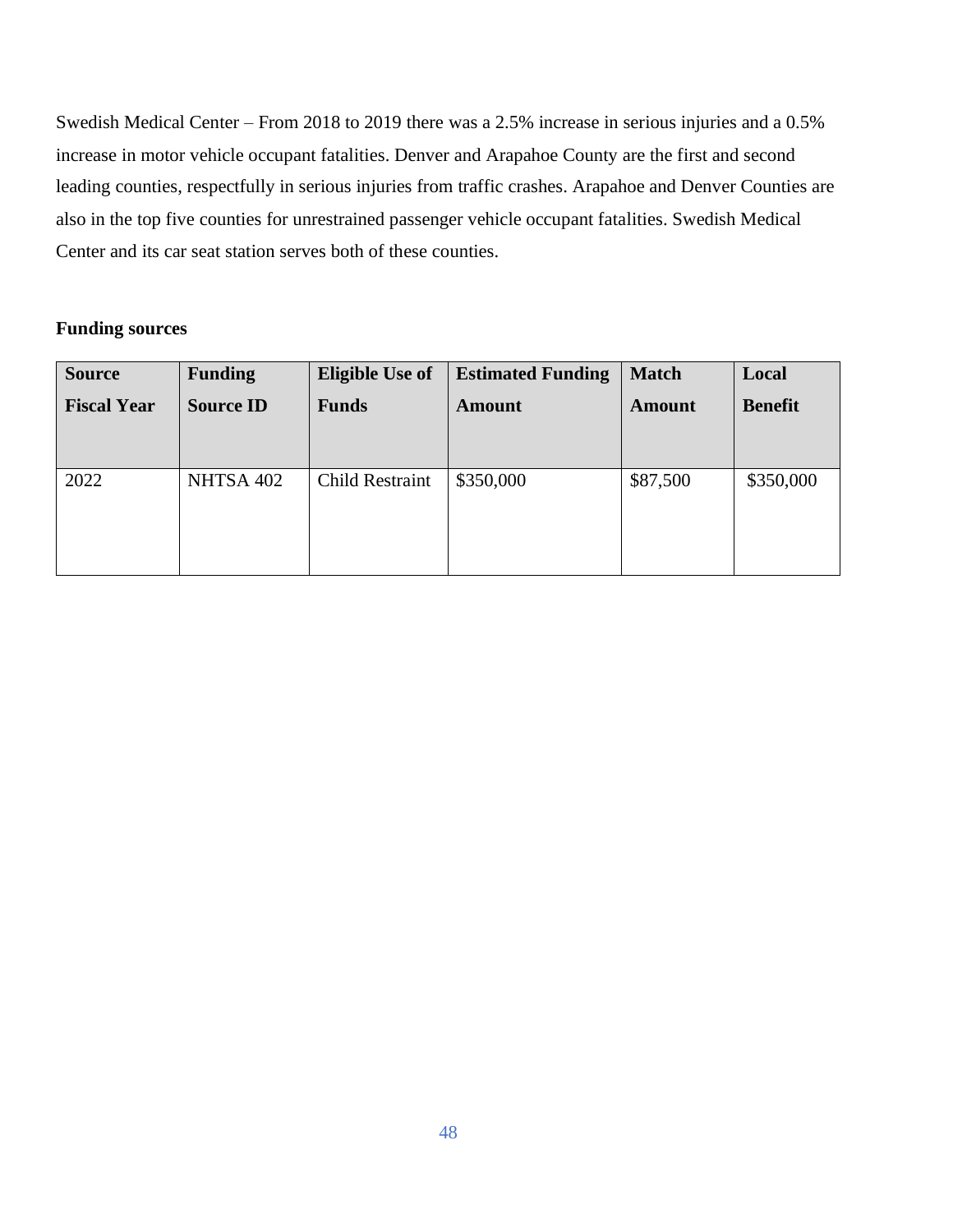Swedish Medical Center – From 2018 to 2019 there was a 2.5% increase in serious injuries and a 0.5% increase in motor vehicle occupant fatalities. Denver and Arapahoe County are the first and second leading counties, respectfully in serious injuries from traffic crashes. Arapahoe and Denver Counties are also in the top five counties for unrestrained passenger vehicle occupant fatalities. Swedish Medical Center and its car seat station serves both of these counties.

# **Funding sources**

| <b>Source</b>      | <b>Funding</b>   | <b>Eligible Use of</b> | <b>Estimated Funding</b> | <b>Match</b>  | Local          |
|--------------------|------------------|------------------------|--------------------------|---------------|----------------|
| <b>Fiscal Year</b> | <b>Source ID</b> | <b>Funds</b>           | <b>Amount</b>            | <b>Amount</b> | <b>Benefit</b> |
|                    |                  |                        |                          |               |                |
|                    |                  |                        |                          |               |                |
| 2022               | NHTSA 402        | <b>Child Restraint</b> | \$350,000                | \$87,500      | \$350,000      |
|                    |                  |                        |                          |               |                |
|                    |                  |                        |                          |               |                |
|                    |                  |                        |                          |               |                |
|                    |                  |                        |                          |               |                |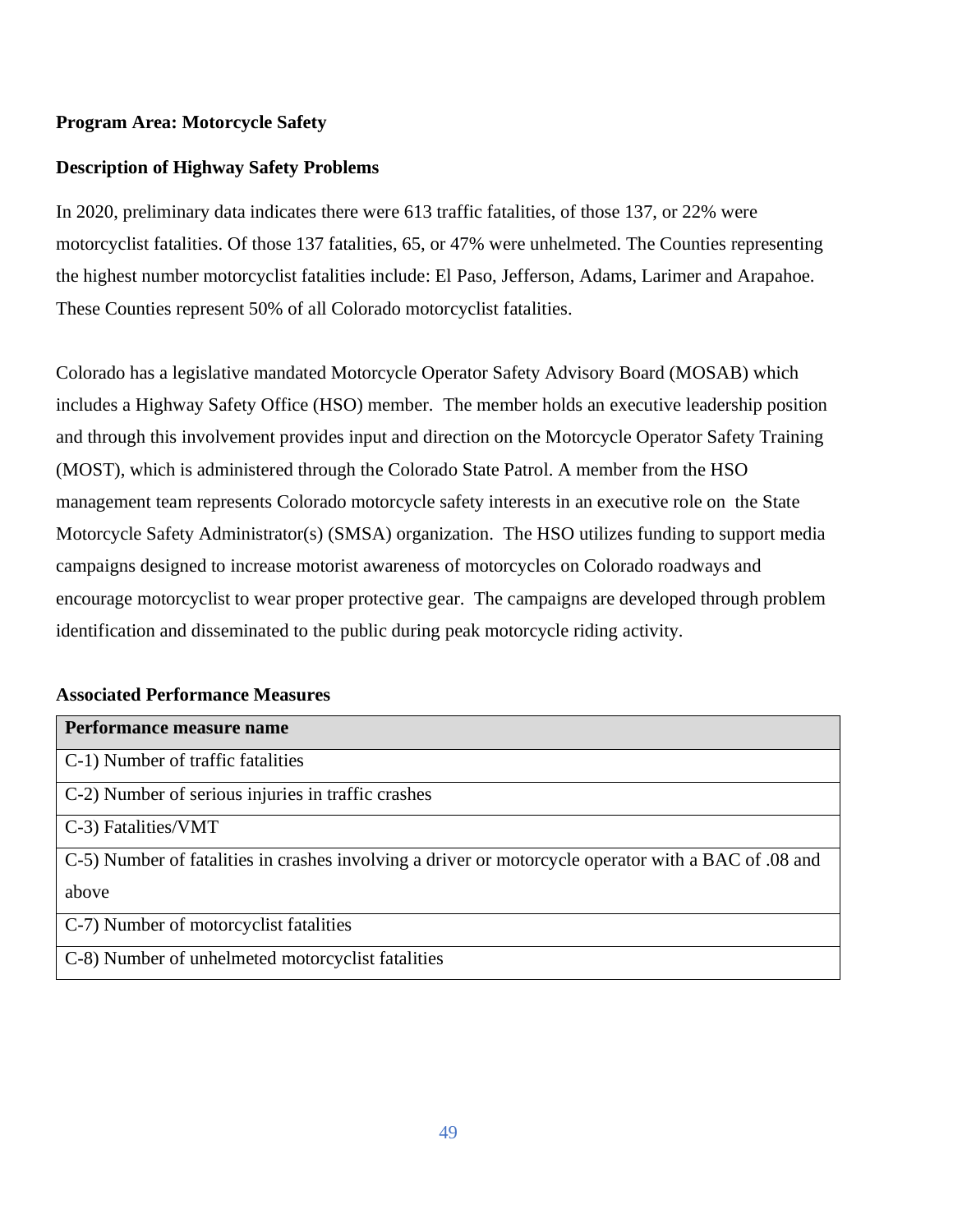# **Program Area: Motorcycle Safety**

# **Description of Highway Safety Problems**

In 2020, preliminary data indicates there were 613 traffic fatalities, of those 137, or 22% were motorcyclist fatalities. Of those 137 fatalities, 65, or 47% were unhelmeted. The Counties representing the highest number motorcyclist fatalities include: El Paso, Jefferson, Adams, Larimer and Arapahoe. These Counties represent 50% of all Colorado motorcyclist fatalities.

Colorado has a legislative mandated Motorcycle Operator Safety Advisory Board (MOSAB) which includes a Highway Safety Office (HSO) member. The member holds an executive leadership position and through this involvement provides input and direction on the Motorcycle Operator Safety Training (MOST), which is administered through the Colorado State Patrol. A member from the HSO management team represents Colorado motorcycle safety interests in an executive role on the State Motorcycle Safety Administrator(s) (SMSA) organization. The HSO utilizes funding to support media campaigns designed to increase motorist awareness of motorcycles on Colorado roadways and encourage motorcyclist to wear proper protective gear. The campaigns are developed through problem identification and disseminated to the public during peak motorcycle riding activity.

# **Associated Performance Measures**

| Performance measure name                                                                             |
|------------------------------------------------------------------------------------------------------|
| C-1) Number of traffic fatalities                                                                    |
| C-2) Number of serious injuries in traffic crashes                                                   |
| C-3) Fatalities/VMT                                                                                  |
| C-5) Number of fatalities in crashes involving a driver or motorcycle operator with a BAC of .08 and |
| above                                                                                                |
| C-7) Number of motorcyclist fatalities                                                               |
| C-8) Number of unhelmeted motorcyclist fatalities                                                    |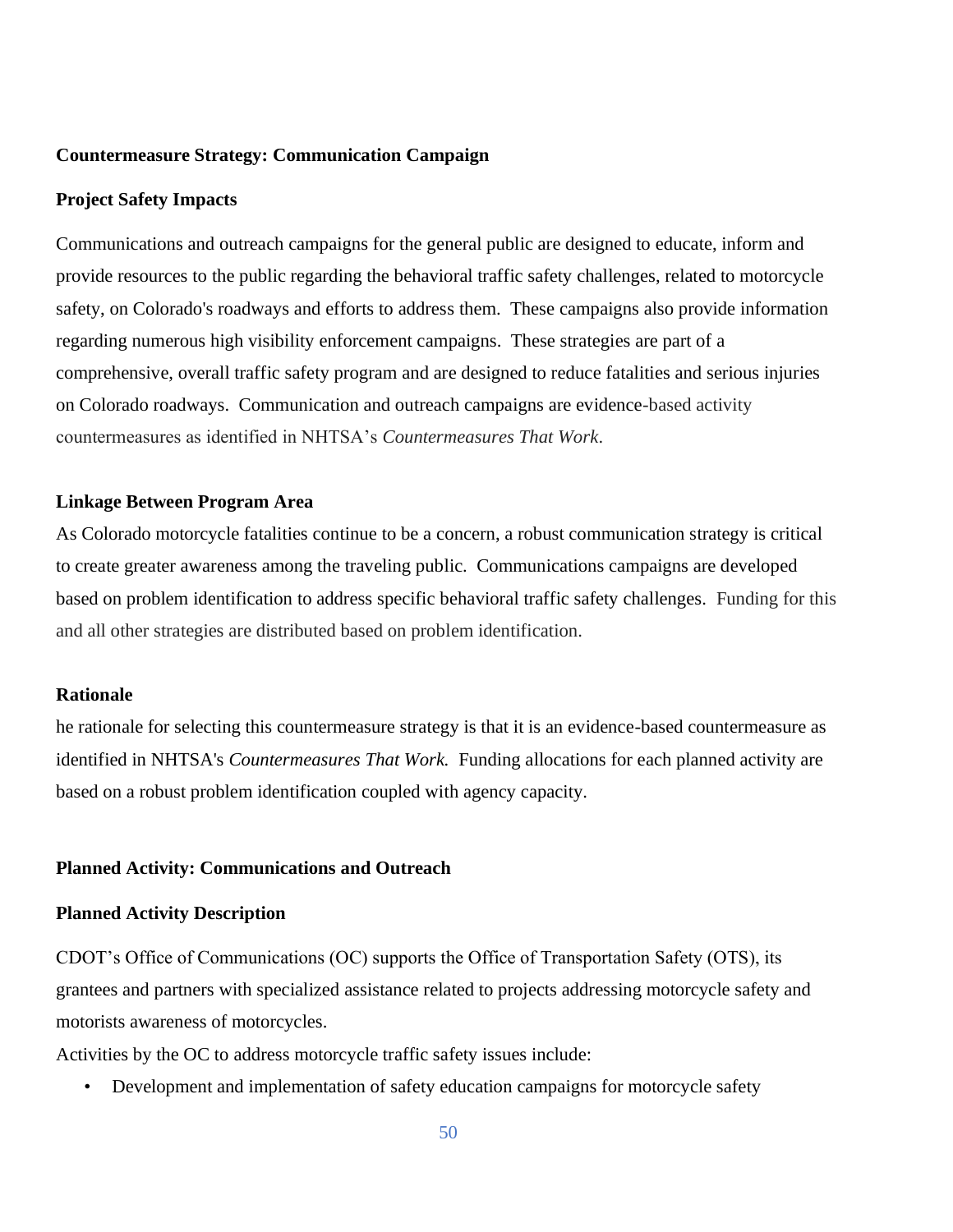#### **Countermeasure Strategy: Communication Campaign**

#### **Project Safety Impacts**

Communications and outreach campaigns for the general public are designed to educate, inform and provide resources to the public regarding the behavioral traffic safety challenges, related to motorcycle safety, on Colorado's roadways and efforts to address them. These campaigns also provide information regarding numerous high visibility enforcement campaigns. These strategies are part of a comprehensive, overall traffic safety program and are designed to reduce fatalities and serious injuries on Colorado roadways. Communication and outreach campaigns are evidence-based activity countermeasures as identified in NHTSA's *Countermeasures That Work*.

#### **Linkage Between Program Area**

As Colorado motorcycle fatalities continue to be a concern, a robust communication strategy is critical to create greater awareness among the traveling public. Communications campaigns are developed based on problem identification to address specific behavioral traffic safety challenges. Funding for this and all other strategies are distributed based on problem identification.

#### **Rationale**

he rationale for selecting this countermeasure strategy is that it is an evidence-based countermeasure as identified in NHTSA's *Countermeasures That Work.* Funding allocations for each planned activity are based on a robust problem identification coupled with agency capacity.

#### **Planned Activity: Communications and Outreach**

#### **Planned Activity Description**

CDOT's Office of Communications (OC) supports the Office of Transportation Safety (OTS), its grantees and partners with specialized assistance related to projects addressing motorcycle safety and motorists awareness of motorcycles.

Activities by the OC to address motorcycle traffic safety issues include:

• Development and implementation of safety education campaigns for motorcycle safety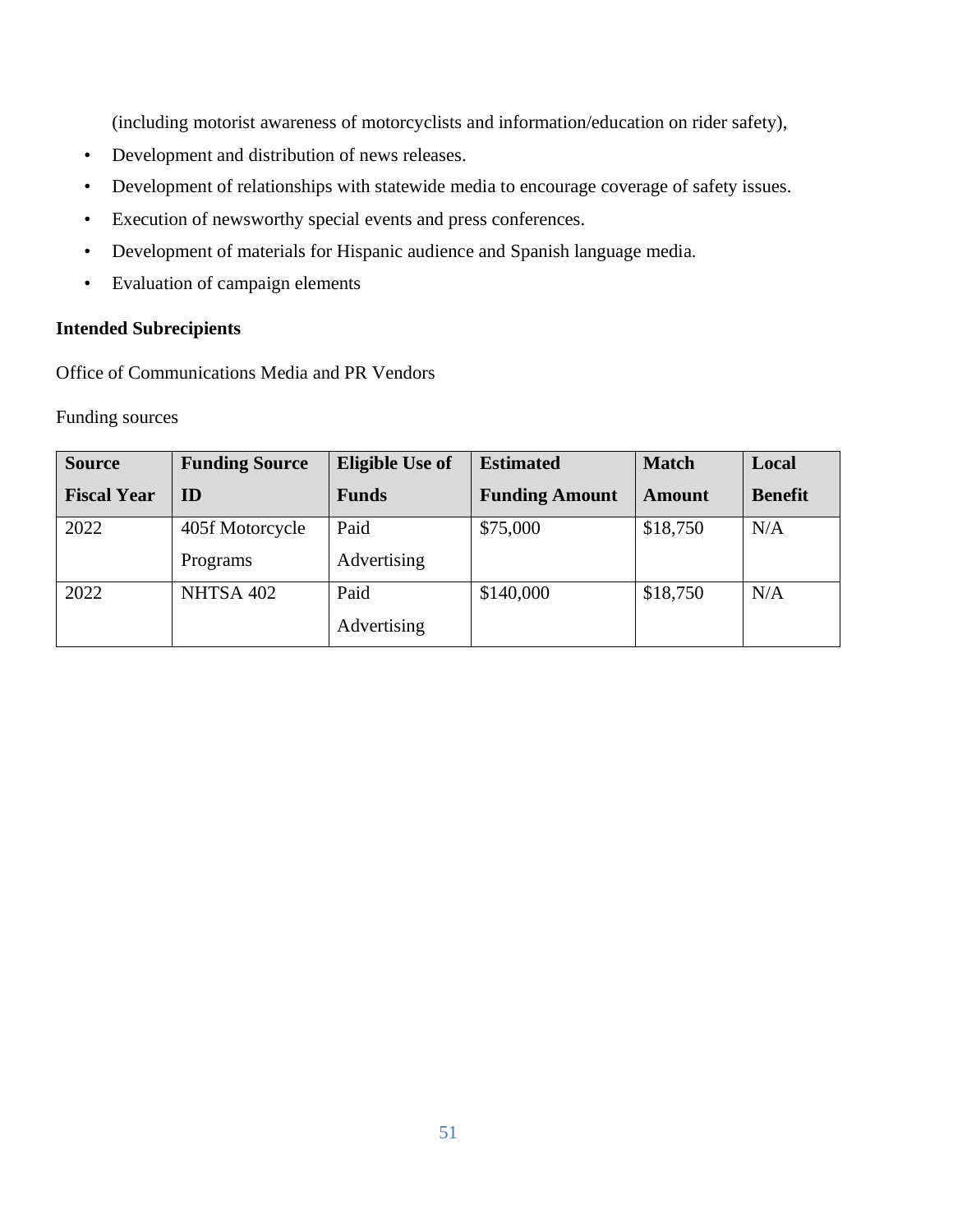(including motorist awareness of motorcyclists and information/education on rider safety),

- Development and distribution of news releases.
- Development of relationships with statewide media to encourage coverage of safety issues.
- Execution of newsworthy special events and press conferences.
- Development of materials for Hispanic audience and Spanish language media.
- Evaluation of campaign elements

# **Intended Subrecipients**

Office of Communications Media and PR Vendors

Funding sources

| <b>Source</b>      | <b>Funding Source</b> | <b>Eligible Use of</b> | <b>Estimated</b>      | <b>Match</b>  | Local          |
|--------------------|-----------------------|------------------------|-----------------------|---------------|----------------|
| <b>Fiscal Year</b> | ID                    | <b>Funds</b>           | <b>Funding Amount</b> | <b>Amount</b> | <b>Benefit</b> |
| 2022               | 405f Motorcycle       | Paid                   | \$75,000              | \$18,750      | N/A            |
|                    | Programs              | Advertising            |                       |               |                |
| 2022               | NHTSA 402             | Paid                   | \$140,000             | \$18,750      | N/A            |
|                    |                       | Advertising            |                       |               |                |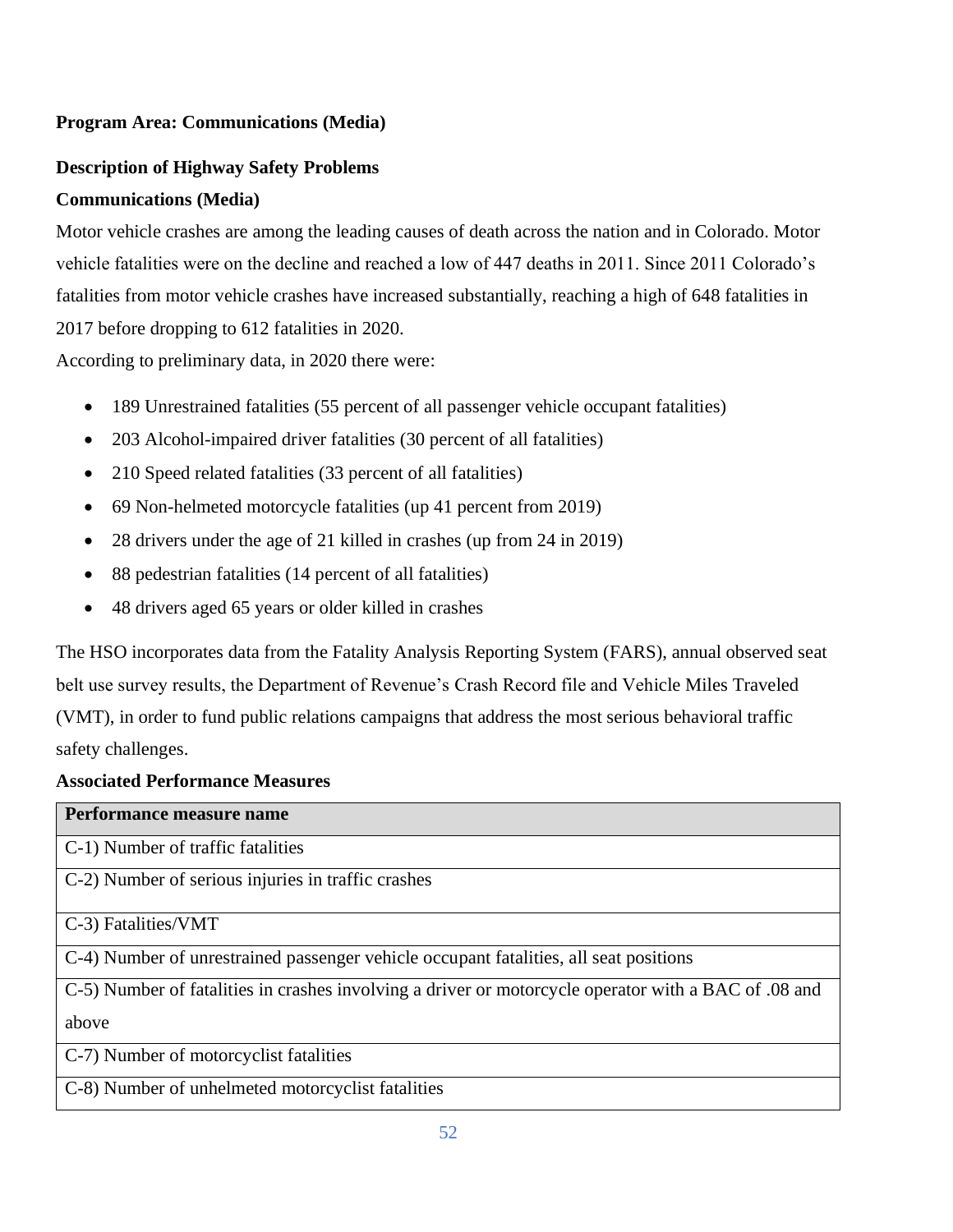# **Program Area: Communications (Media)**

# **Description of Highway Safety Problems**

# **Communications (Media)**

Motor vehicle crashes are among the leading causes of death across the nation and in Colorado. Motor vehicle fatalities were on the decline and reached a low of 447 deaths in 2011. Since 2011 Colorado's fatalities from motor vehicle crashes have increased substantially, reaching a high of 648 fatalities in 2017 before dropping to 612 fatalities in 2020.

According to preliminary data, in 2020 there were:

- 189 Unrestrained fatalities (55 percent of all passenger vehicle occupant fatalities)
- 203 Alcohol-impaired driver fatalities (30 percent of all fatalities)
- 210 Speed related fatalities (33 percent of all fatalities)
- 69 Non-helmeted motorcycle fatalities (up 41 percent from 2019)
- 28 drivers under the age of 21 killed in crashes (up from 24 in 2019)
- 88 pedestrian fatalities (14 percent of all fatalities)
- 48 drivers aged 65 years or older killed in crashes

The HSO incorporates data from the Fatality Analysis Reporting System (FARS), annual observed seat belt use survey results, the Department of Revenue's Crash Record file and Vehicle Miles Traveled (VMT), in order to fund public relations campaigns that address the most serious behavioral traffic safety challenges.

# **Associated Performance Measures**

| Performance measure name                                                                              |
|-------------------------------------------------------------------------------------------------------|
| C-1) Number of traffic fatalities                                                                     |
| C-2) Number of serious injuries in traffic crashes                                                    |
| C-3) Fatalities/VMT                                                                                   |
| C-4) Number of unrestrained passenger vehicle occupant fatalities, all seat positions                 |
| C-5) Number of fatalities in crashes involving a driver or motorcycle operator with a BAC of 0.08 and |
| above                                                                                                 |
| C-7) Number of motorcyclist fatalities                                                                |
| C-8) Number of unhelmeted motorcyclist fatalities                                                     |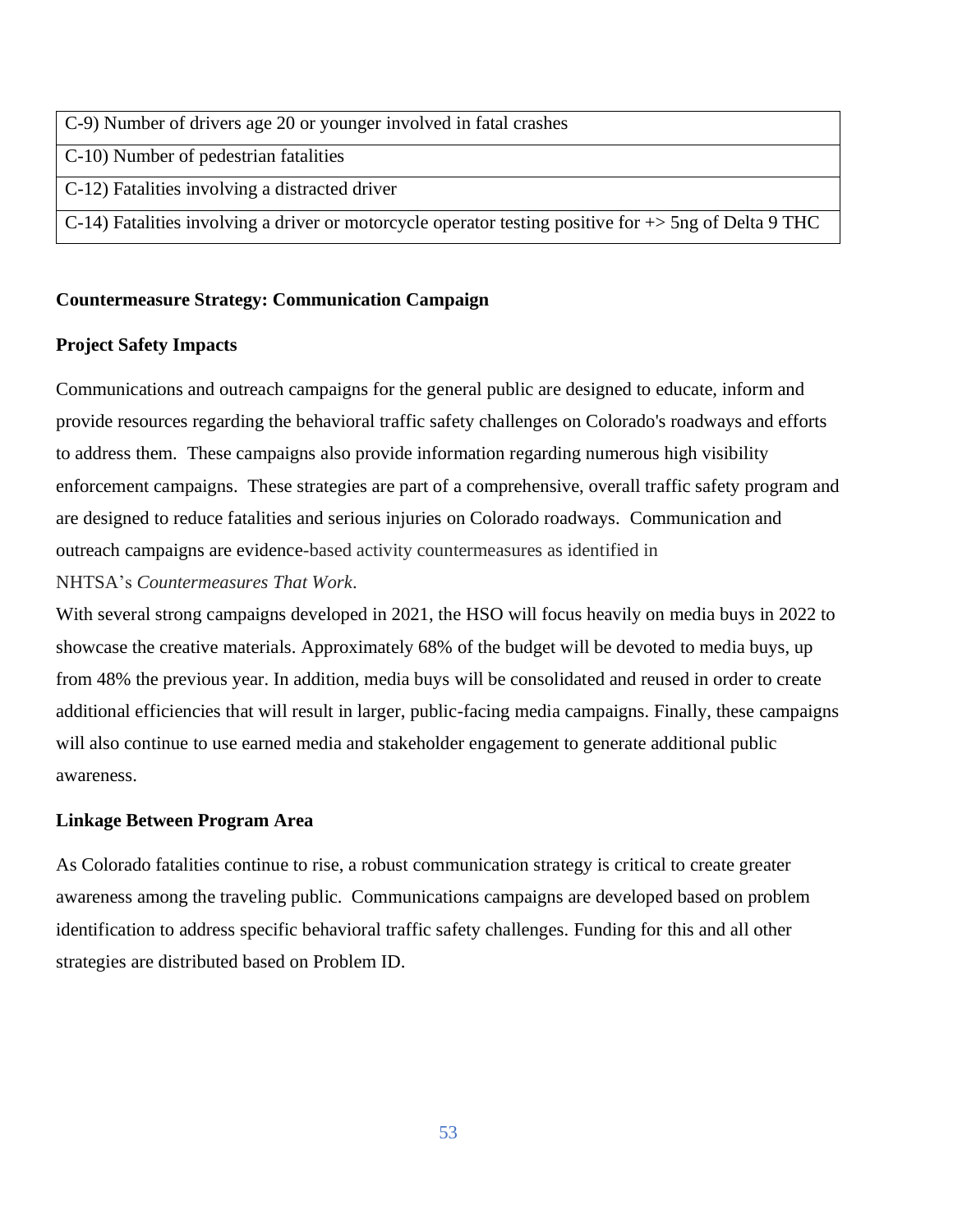- C-9) Number of drivers age 20 or younger involved in fatal crashes
- C-10) Number of pedestrian fatalities
- C-12) Fatalities involving a distracted driver
- C-14) Fatalities involving a driver or motorcycle operator testing positive for +> 5ng of Delta 9 THC

# **Countermeasure Strategy: Communication Campaign**

# **Project Safety Impacts**

Communications and outreach campaigns for the general public are designed to educate, inform and provide resources regarding the behavioral traffic safety challenges on Colorado's roadways and efforts to address them. These campaigns also provide information regarding numerous high visibility enforcement campaigns. These strategies are part of a comprehensive, overall traffic safety program and are designed to reduce fatalities and serious injuries on Colorado roadways. Communication and outreach campaigns are evidence-based activity countermeasures as identified in NHTSA's *Countermeasures That Work*.

With several strong campaigns developed in 2021, the HSO will focus heavily on media buys in 2022 to showcase the creative materials. Approximately 68% of the budget will be devoted to media buys, up from 48% the previous year. In addition, media buys will be consolidated and reused in order to create additional efficiencies that will result in larger, public-facing media campaigns. Finally, these campaigns will also continue to use earned media and stakeholder engagement to generate additional public awareness.

# **Linkage Between Program Area**

As Colorado fatalities continue to rise, a robust communication strategy is critical to create greater awareness among the traveling public. Communications campaigns are developed based on problem identification to address specific behavioral traffic safety challenges. Funding for this and all other strategies are distributed based on Problem ID.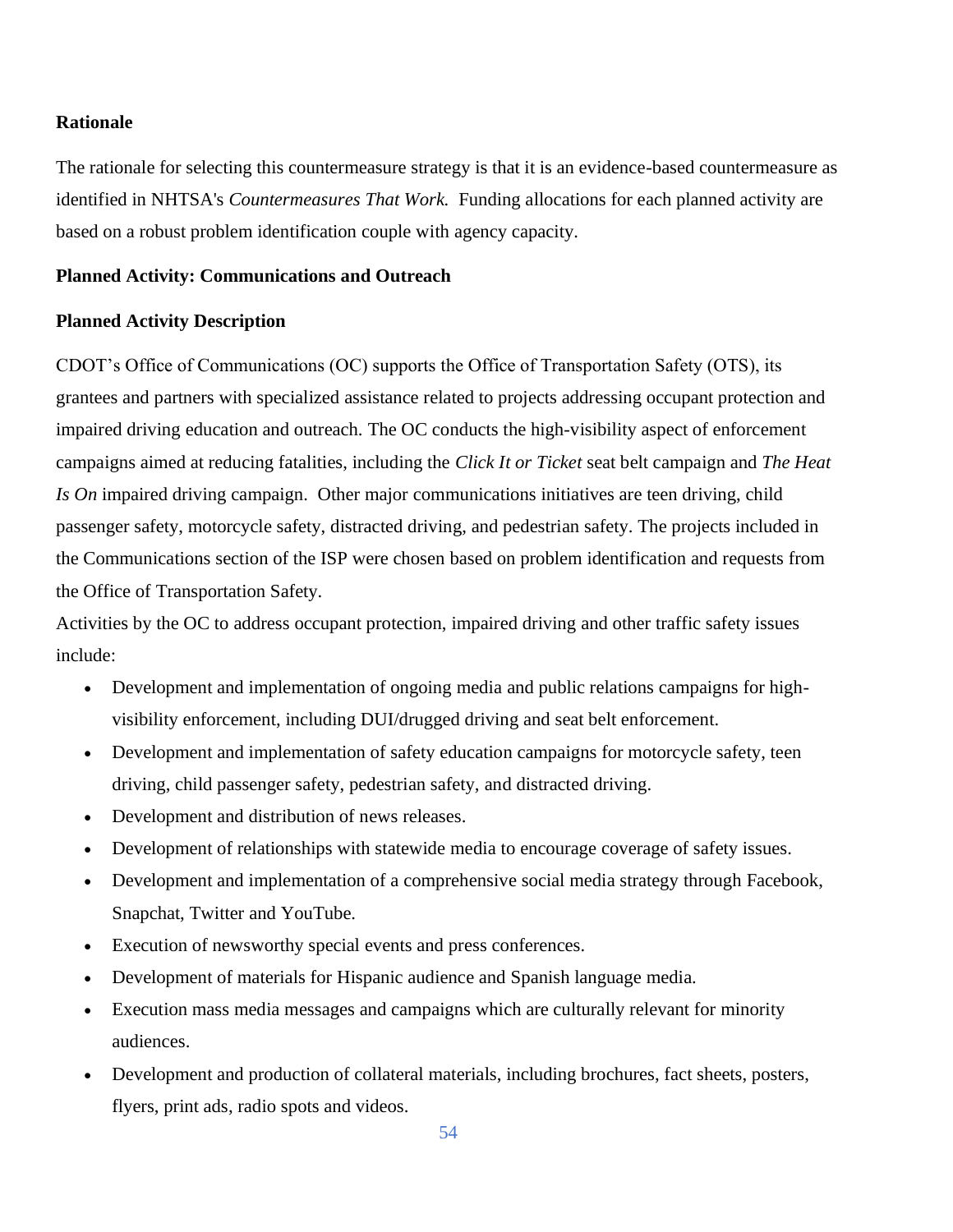## **Rationale**

The rationale for selecting this countermeasure strategy is that it is an evidence-based countermeasure as identified in NHTSA's *Countermeasures That Work.* Funding allocations for each planned activity are based on a robust problem identification couple with agency capacity.

#### **Planned Activity: Communications and Outreach**

#### **Planned Activity Description**

CDOT's Office of Communications (OC) supports the Office of Transportation Safety (OTS), its grantees and partners with specialized assistance related to projects addressing occupant protection and impaired driving education and outreach. The OC conducts the high-visibility aspect of enforcement campaigns aimed at reducing fatalities, including the *Click It or Ticket* seat belt campaign and *The Heat Is On* impaired driving campaign. Other major communications initiatives are teen driving, child passenger safety, motorcycle safety, distracted driving, and pedestrian safety. The projects included in the Communications section of the ISP were chosen based on problem identification and requests from the Office of Transportation Safety.

Activities by the OC to address occupant protection, impaired driving and other traffic safety issues include:

- Development and implementation of ongoing media and public relations campaigns for highvisibility enforcement, including DUI/drugged driving and seat belt enforcement.
- Development and implementation of safety education campaigns for motorcycle safety, teen driving, child passenger safety, pedestrian safety, and distracted driving.
- Development and distribution of news releases.
- Development of relationships with statewide media to encourage coverage of safety issues.
- Development and implementation of a comprehensive social media strategy through Facebook, Snapchat, Twitter and YouTube.
- Execution of newsworthy special events and press conferences.
- Development of materials for Hispanic audience and Spanish language media.
- Execution mass media messages and campaigns which are culturally relevant for minority audiences.
- Development and production of collateral materials, including brochures, fact sheets, posters, flyers, print ads, radio spots and videos.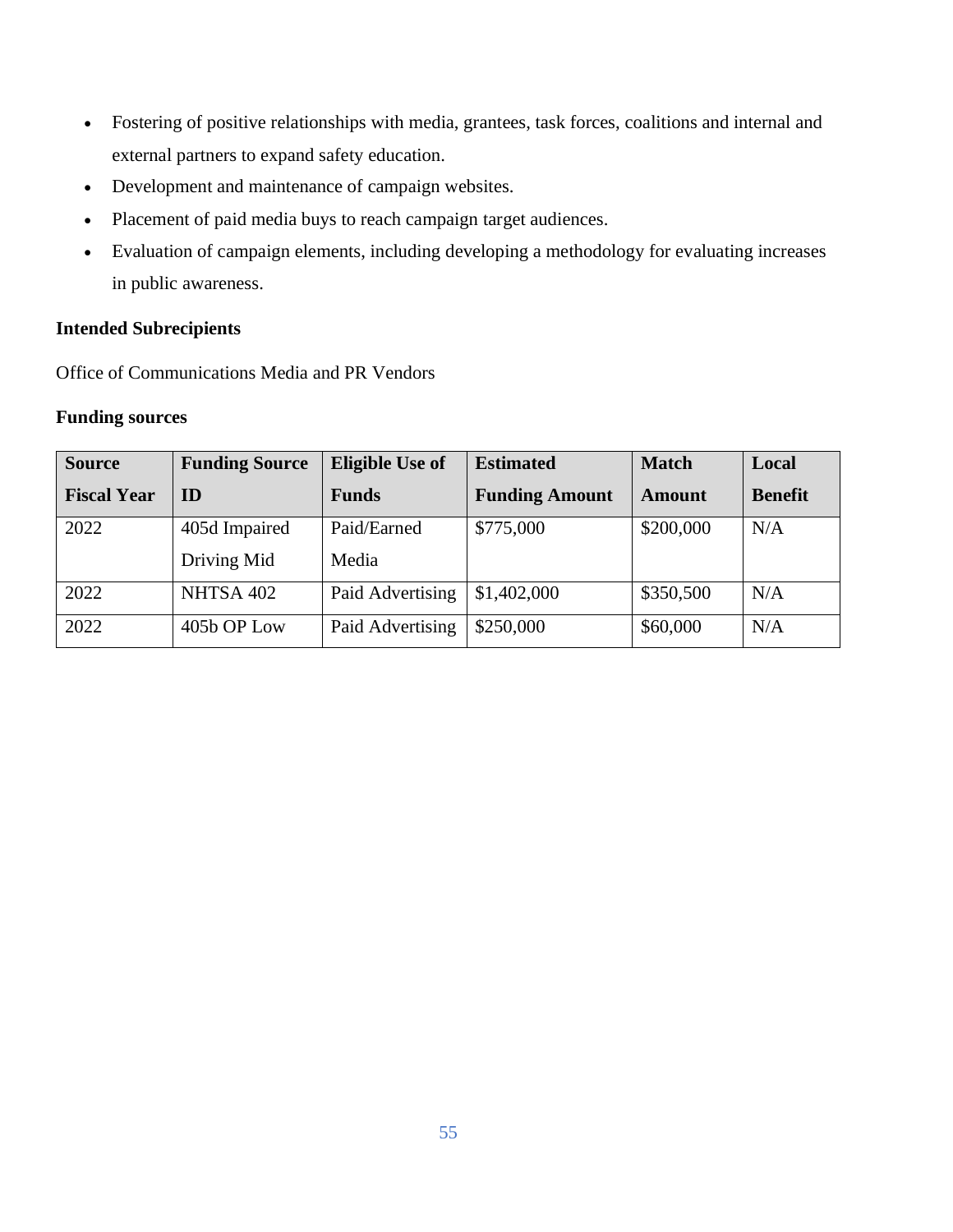- Fostering of positive relationships with media, grantees, task forces, coalitions and internal and external partners to expand safety education.
- Development and maintenance of campaign websites.
- Placement of paid media buys to reach campaign target audiences.
- Evaluation of campaign elements, including developing a methodology for evaluating increases in public awareness.

# **Intended Subrecipients**

Office of Communications Media and PR Vendors

# **Funding sources**

| <b>Source</b>      | <b>Funding Source</b> | <b>Eligible Use of</b> | <b>Estimated</b>      | <b>Match</b>  | Local          |
|--------------------|-----------------------|------------------------|-----------------------|---------------|----------------|
| <b>Fiscal Year</b> | ID                    | <b>Funds</b>           | <b>Funding Amount</b> | <b>Amount</b> | <b>Benefit</b> |
| 2022               | 405d Impaired         | Paid/Earned            | \$775,000             | \$200,000     | N/A            |
|                    | Driving Mid           | Media                  |                       |               |                |
| 2022               | NHTSA 402             | Paid Advertising       | \$1,402,000           | \$350,500     | N/A            |
| 2022               | 405b OP Low           | Paid Advertising       | \$250,000             | \$60,000      | N/A            |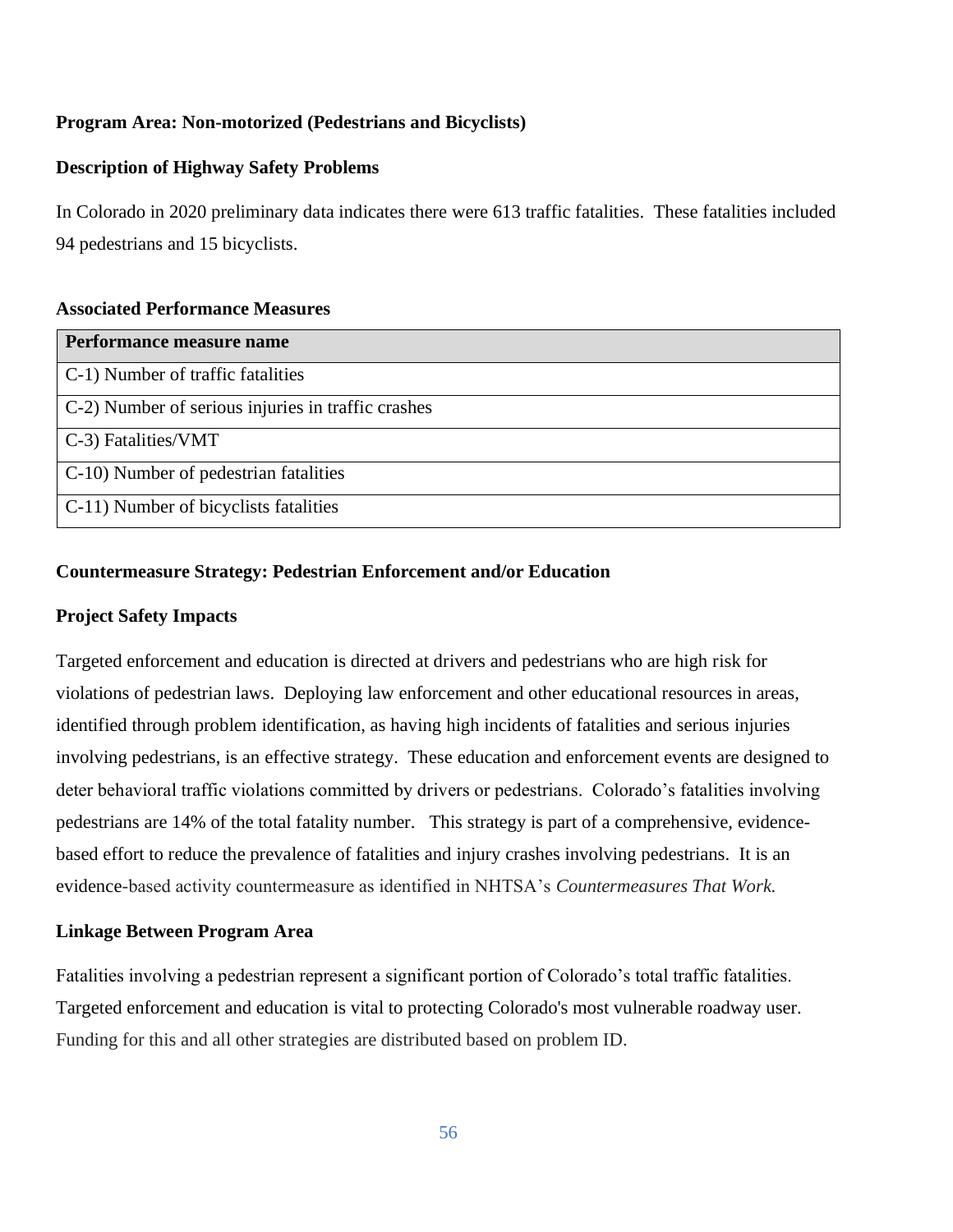# **Program Area: Non-motorized (Pedestrians and Bicyclists)**

# **Description of Highway Safety Problems**

In Colorado in 2020 preliminary data indicates there were 613 traffic fatalities. These fatalities included 94 pedestrians and 15 bicyclists.

# **Associated Performance Measures**

| Performance measure name                           |
|----------------------------------------------------|
| C-1) Number of traffic fatalities                  |
| C-2) Number of serious injuries in traffic crashes |
| C-3) Fatalities/VMT                                |
| C-10) Number of pedestrian fatalities              |
| C-11) Number of bicyclists fatalities              |

# **Countermeasure Strategy: Pedestrian Enforcement and/or Education**

# **Project Safety Impacts**

Targeted enforcement and education is directed at drivers and pedestrians who are high risk for violations of pedestrian laws. Deploying law enforcement and other educational resources in areas, identified through problem identification, as having high incidents of fatalities and serious injuries involving pedestrians, is an effective strategy. These education and enforcement events are designed to deter behavioral traffic violations committed by drivers or pedestrians. Colorado's fatalities involving pedestrians are 14% of the total fatality number. This strategy is part of a comprehensive, evidencebased effort to reduce the prevalence of fatalities and injury crashes involving pedestrians. It is an evidence-based activity countermeasure as identified in NHTSA's *Countermeasures That Work.*

# **Linkage Between Program Area**

Fatalities involving a pedestrian represent a significant portion of Colorado's total traffic fatalities. Targeted enforcement and education is vital to protecting Colorado's most vulnerable roadway user. Funding for this and all other strategies are distributed based on problem ID.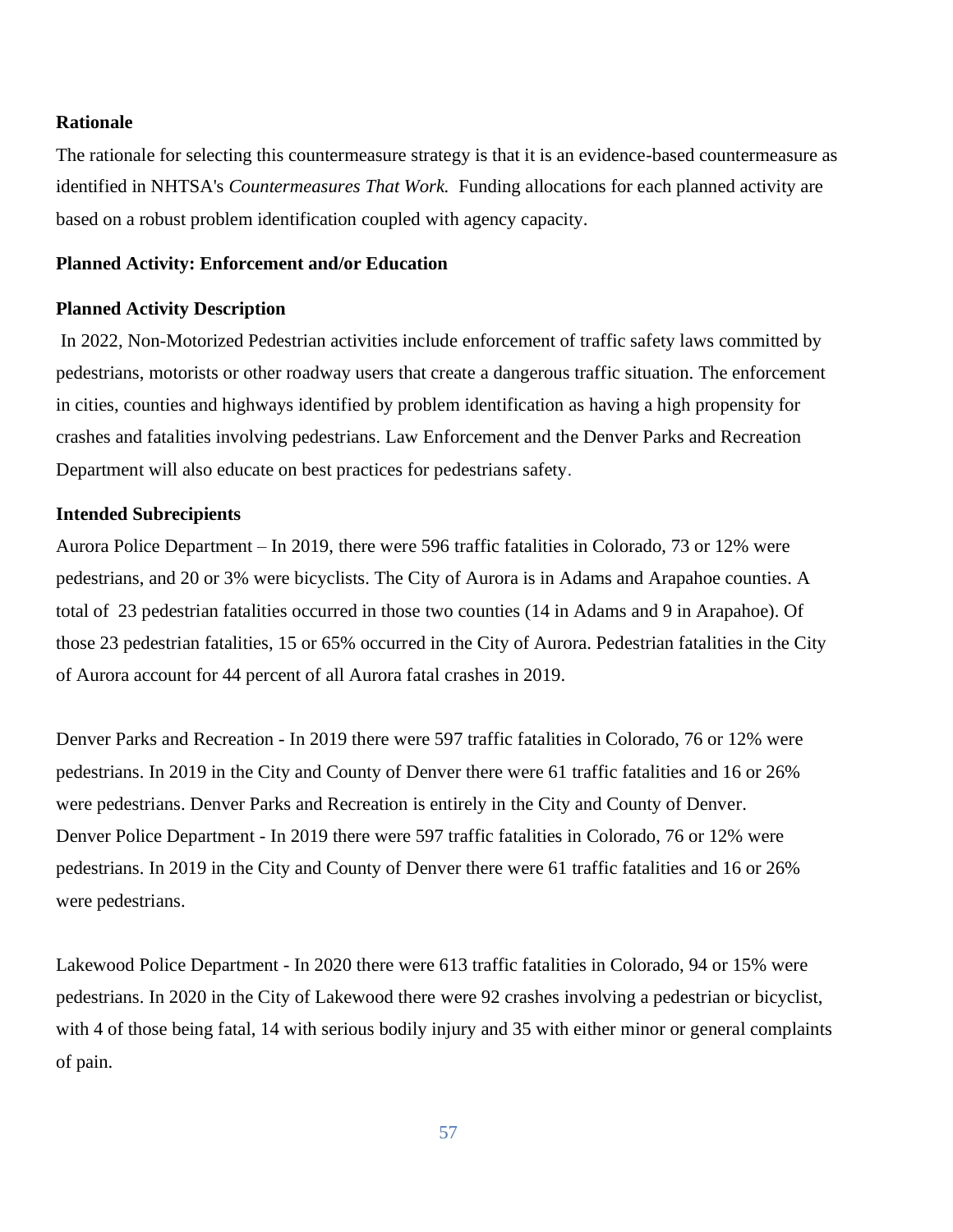#### **Rationale**

The rationale for selecting this countermeasure strategy is that it is an evidence-based countermeasure as identified in NHTSA's *Countermeasures That Work.* Funding allocations for each planned activity are based on a robust problem identification coupled with agency capacity.

#### **Planned Activity: Enforcement and/or Education**

#### **Planned Activity Description**

In 2022, Non-Motorized Pedestrian activities include enforcement of traffic safety laws committed by pedestrians, motorists or other roadway users that create a dangerous traffic situation. The enforcement in cities, counties and highways identified by problem identification as having a high propensity for crashes and fatalities involving pedestrians. Law Enforcement and the Denver Parks and Recreation Department will also educate on best practices for pedestrians safety.

#### **Intended Subrecipients**

Aurora Police Department – In 2019, there were 596 traffic fatalities in Colorado, 73 or 12% were pedestrians, and 20 or 3% were bicyclists. The City of Aurora is in Adams and Arapahoe counties. A total of 23 pedestrian fatalities occurred in those two counties (14 in Adams and 9 in Arapahoe). Of those 23 pedestrian fatalities, 15 or 65% occurred in the City of Aurora. Pedestrian fatalities in the City of Aurora account for 44 percent of all Aurora fatal crashes in 2019.

Denver Parks and Recreation - In 2019 there were 597 traffic fatalities in Colorado, 76 or 12% were pedestrians. In 2019 in the City and County of Denver there were 61 traffic fatalities and 16 or 26% were pedestrians. Denver Parks and Recreation is entirely in the City and County of Denver. Denver Police Department - In 2019 there were 597 traffic fatalities in Colorado, 76 or 12% were pedestrians. In 2019 in the City and County of Denver there were 61 traffic fatalities and 16 or 26% were pedestrians.

Lakewood Police Department - In 2020 there were 613 traffic fatalities in Colorado, 94 or 15% were pedestrians. In 2020 in the City of Lakewood there were 92 crashes involving a pedestrian or bicyclist, with 4 of those being fatal, 14 with serious bodily injury and 35 with either minor or general complaints of pain.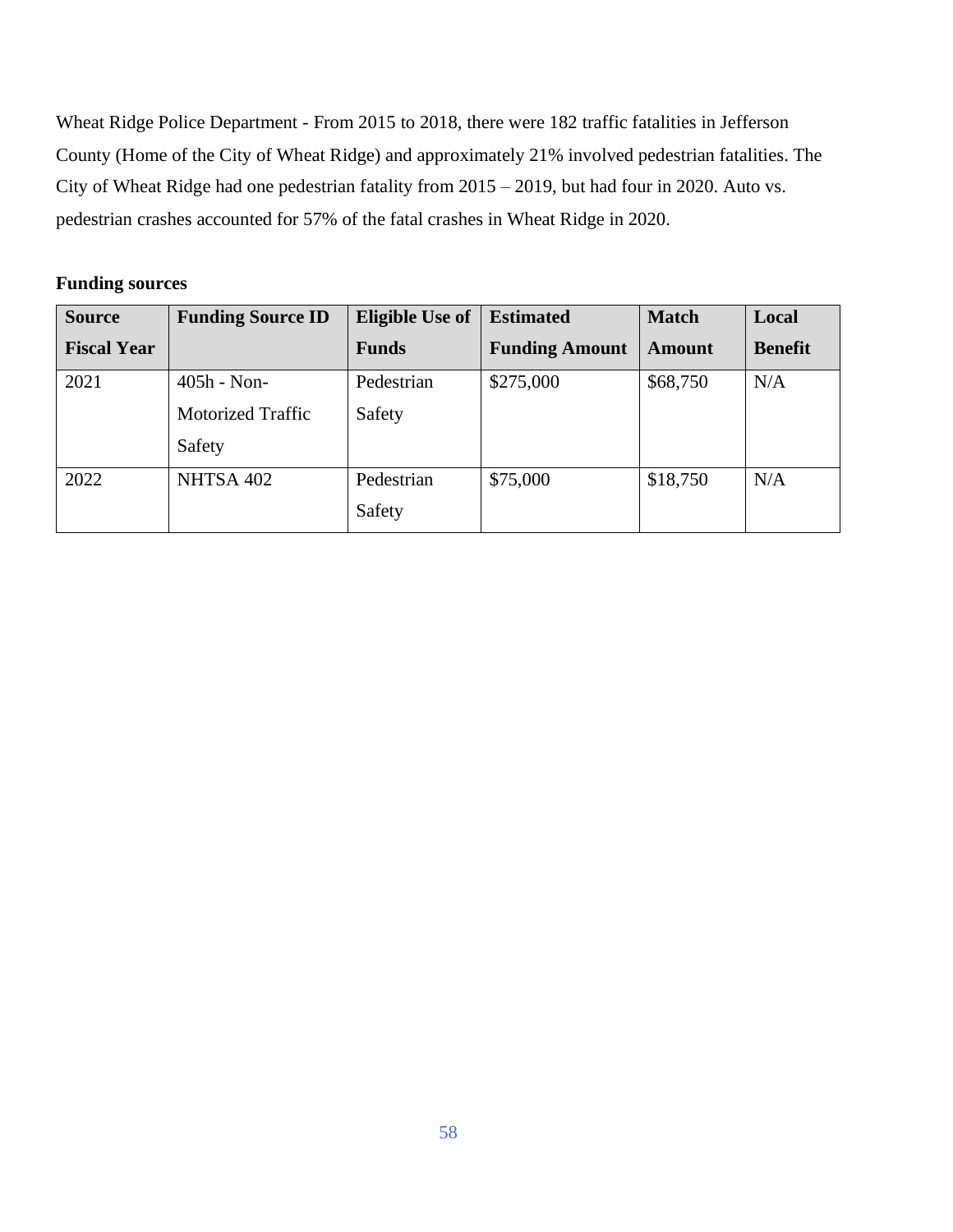Wheat Ridge Police Department - From 2015 to 2018, there were 182 traffic fatalities in Jefferson County (Home of the City of Wheat Ridge) and approximately 21% involved pedestrian fatalities. The City of Wheat Ridge had one pedestrian fatality from 2015 – 2019, but had four in 2020. Auto vs. pedestrian crashes accounted for 57% of the fatal crashes in Wheat Ridge in 2020.

# **Funding sources**

| <b>Source</b>      | <b>Funding Source ID</b> | <b>Eligible Use of</b> | <b>Estimated</b>      | <b>Match</b>  | Local          |
|--------------------|--------------------------|------------------------|-----------------------|---------------|----------------|
| <b>Fiscal Year</b> |                          | <b>Funds</b>           | <b>Funding Amount</b> | <b>Amount</b> | <b>Benefit</b> |
| 2021               | $405h - Non-$            | Pedestrian             | \$275,000             | \$68,750      | N/A            |
|                    | <b>Motorized Traffic</b> | Safety                 |                       |               |                |
|                    | Safety                   |                        |                       |               |                |
| 2022               | NHTSA 402                | Pedestrian             | \$75,000              | \$18,750      | N/A            |
|                    |                          | Safety                 |                       |               |                |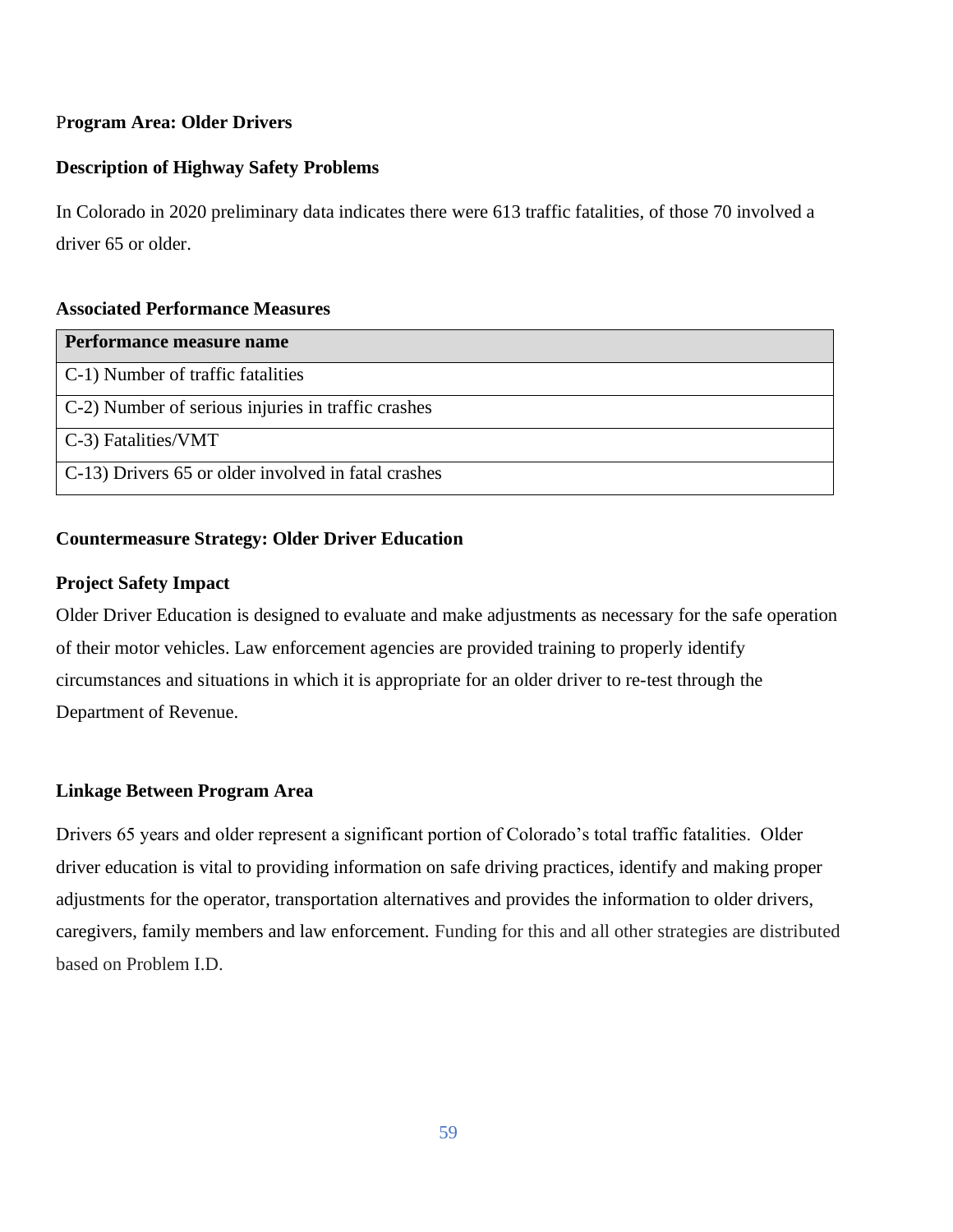# P**rogram Area: Older Drivers**

# **Description of Highway Safety Problems**

In Colorado in 2020 preliminary data indicates there were 613 traffic fatalities, of those 70 involved a driver 65 or older.

# **Associated Performance Measures**

| Performance measure name                            |
|-----------------------------------------------------|
| C-1) Number of traffic fatalities                   |
| C-2) Number of serious injuries in traffic crashes  |
| $C-3$ ) Fatalities/VMT                              |
| C-13) Drivers 65 or older involved in fatal crashes |

# **Countermeasure Strategy: Older Driver Education**

# **Project Safety Impact**

Older Driver Education is designed to evaluate and make adjustments as necessary for the safe operation of their motor vehicles. Law enforcement agencies are provided training to properly identify circumstances and situations in which it is appropriate for an older driver to re-test through the Department of Revenue.

# **Linkage Between Program Area**

Drivers 65 years and older represent a significant portion of Colorado's total traffic fatalities. Older driver education is vital to providing information on safe driving practices, identify and making proper adjustments for the operator, transportation alternatives and provides the information to older drivers, caregivers, family members and law enforcement. Funding for this and all other strategies are distributed based on Problem I.D.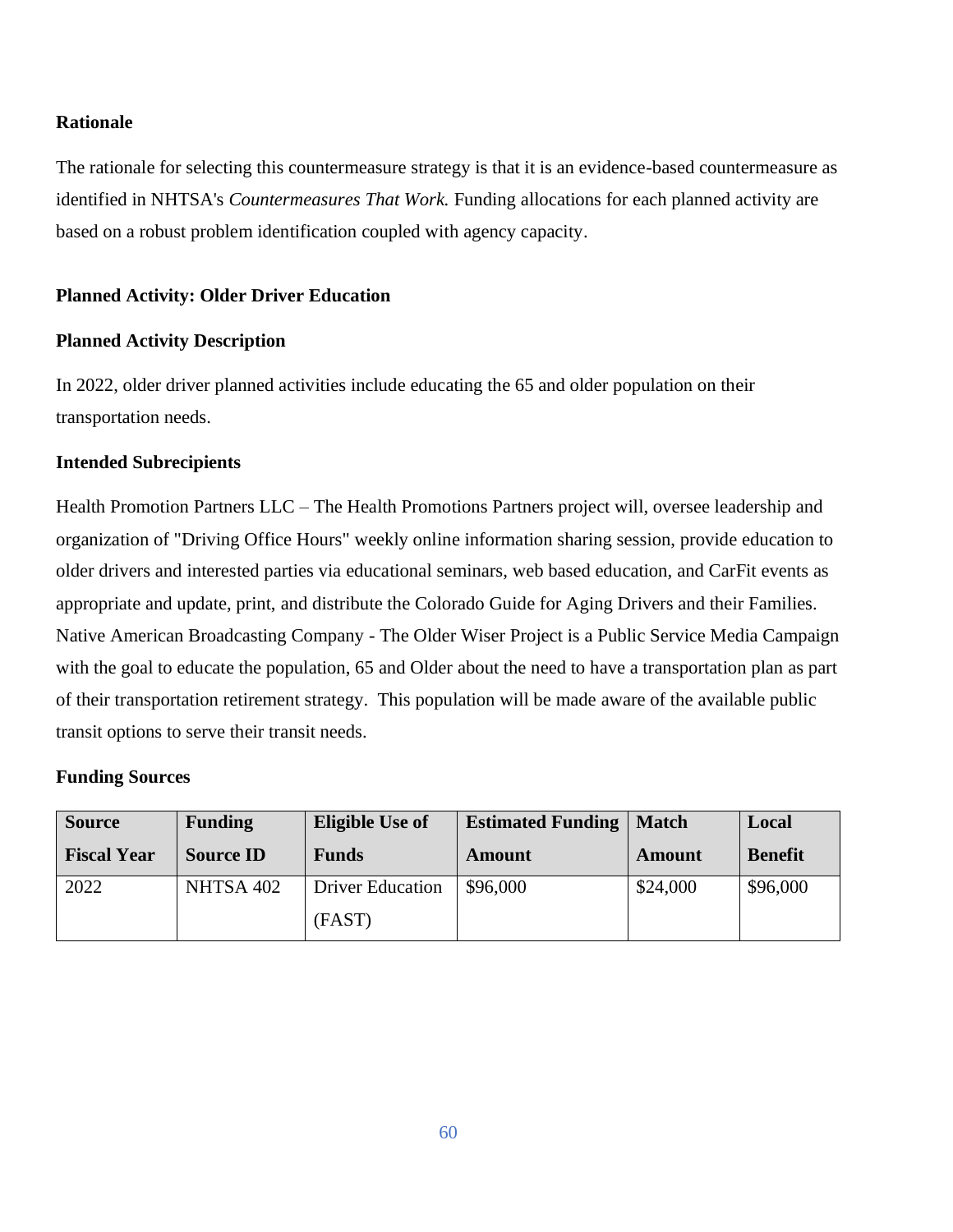# **Rationale**

The rationale for selecting this countermeasure strategy is that it is an evidence-based countermeasure as identified in NHTSA's *Countermeasures That Work.* Funding allocations for each planned activity are based on a robust problem identification coupled with agency capacity.

# **Planned Activity: Older Driver Education**

#### **Planned Activity Description**

In 2022, older driver planned activities include educating the 65 and older population on their transportation needs.

# **Intended Subrecipients**

Health Promotion Partners LLC – The Health Promotions Partners project will, oversee leadership and organization of "Driving Office Hours" weekly online information sharing session, provide education to older drivers and interested parties via educational seminars, web based education, and CarFit events as appropriate and update, print, and distribute the Colorado Guide for Aging Drivers and their Families. Native American Broadcasting Company - The Older Wiser Project is a Public Service Media Campaign with the goal to educate the population, 65 and Older about the need to have a transportation plan as part of their transportation retirement strategy. This population will be made aware of the available public transit options to serve their transit needs.

#### **Funding Sources**

| <b>Source</b>      | <b>Funding</b>   | <b>Eligible Use of</b>  | <b>Estimated Funding</b> | Match    | Local          |
|--------------------|------------------|-------------------------|--------------------------|----------|----------------|
| <b>Fiscal Year</b> | <b>Source ID</b> | <b>Funds</b>            | Amount                   | Amount   | <b>Benefit</b> |
| 2022               | NHTSA 402        | <b>Driver Education</b> | \$96,000                 | \$24,000 | \$96,000       |
|                    |                  | (FAST)                  |                          |          |                |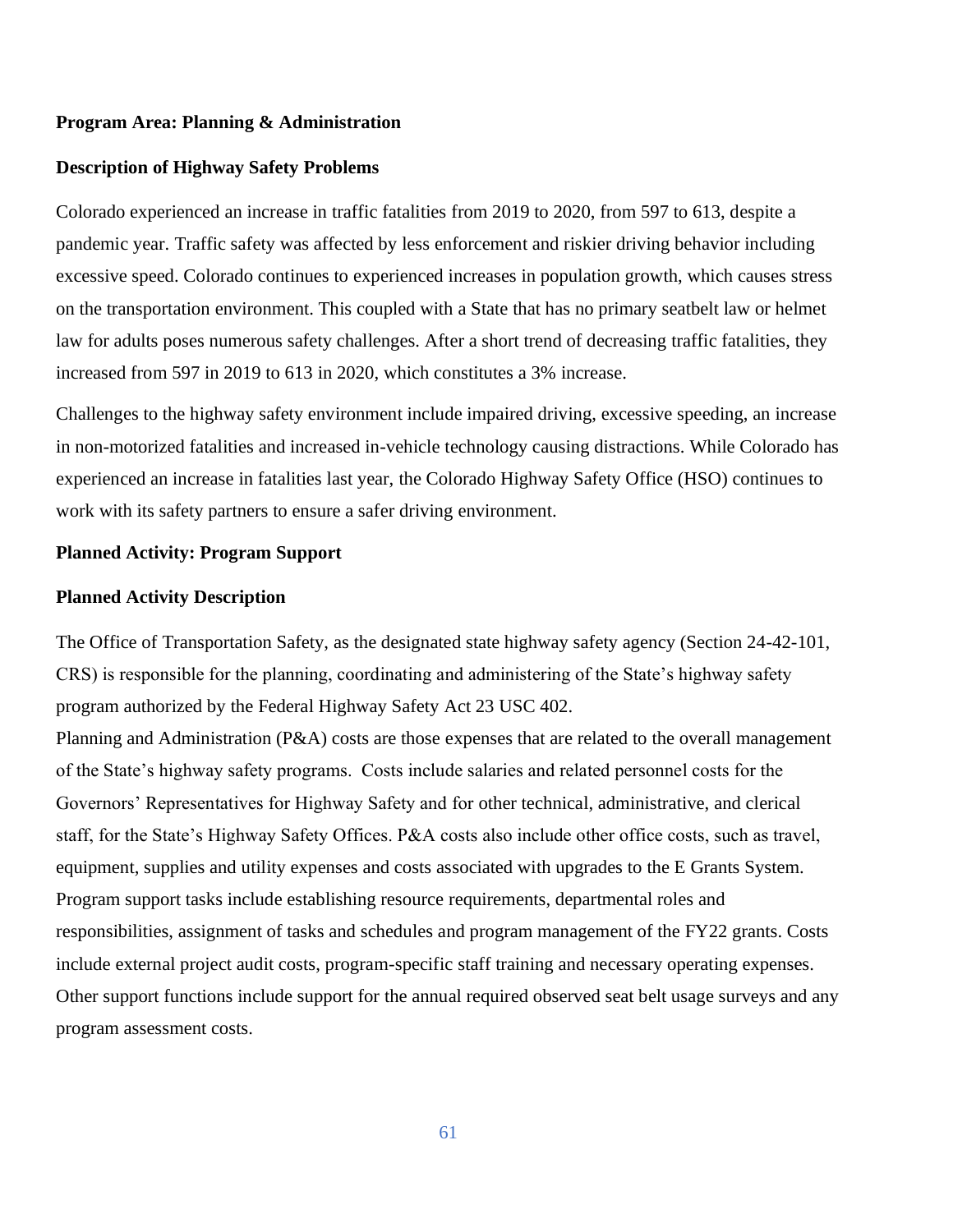#### **Program Area: Planning & Administration**

#### **Description of Highway Safety Problems**

Colorado experienced an increase in traffic fatalities from 2019 to 2020, from 597 to 613, despite a pandemic year. Traffic safety was affected by less enforcement and riskier driving behavior including excessive speed. Colorado continues to experienced increases in population growth, which causes stress on the transportation environment. This coupled with a State that has no primary seatbelt law or helmet law for adults poses numerous safety challenges. After a short trend of decreasing traffic fatalities, they increased from 597 in 2019 to 613 in 2020, which constitutes a 3% increase.

Challenges to the highway safety environment include impaired driving, excessive speeding, an increase in non-motorized fatalities and increased in-vehicle technology causing distractions. While Colorado has experienced an increase in fatalities last year, the Colorado Highway Safety Office (HSO) continues to work with its safety partners to ensure a safer driving environment.

#### **Planned Activity: Program Support**

#### **Planned Activity Description**

The Office of Transportation Safety, as the designated state highway safety agency (Section 24-42-101, CRS) is responsible for the planning, coordinating and administering of the State's highway safety program authorized by the Federal Highway Safety Act 23 USC 402.

Planning and Administration (P&A) costs are those expenses that are related to the overall management of the State's highway safety programs. Costs include salaries and related personnel costs for the Governors' Representatives for Highway Safety and for other technical, administrative, and clerical staff, for the State's Highway Safety Offices. P&A costs also include other office costs, such as travel, equipment, supplies and utility expenses and costs associated with upgrades to the E Grants System. Program support tasks include establishing resource requirements, departmental roles and responsibilities, assignment of tasks and schedules and program management of the FY22 grants. Costs include external project audit costs, program-specific staff training and necessary operating expenses. Other support functions include support for the annual required observed seat belt usage surveys and any program assessment costs.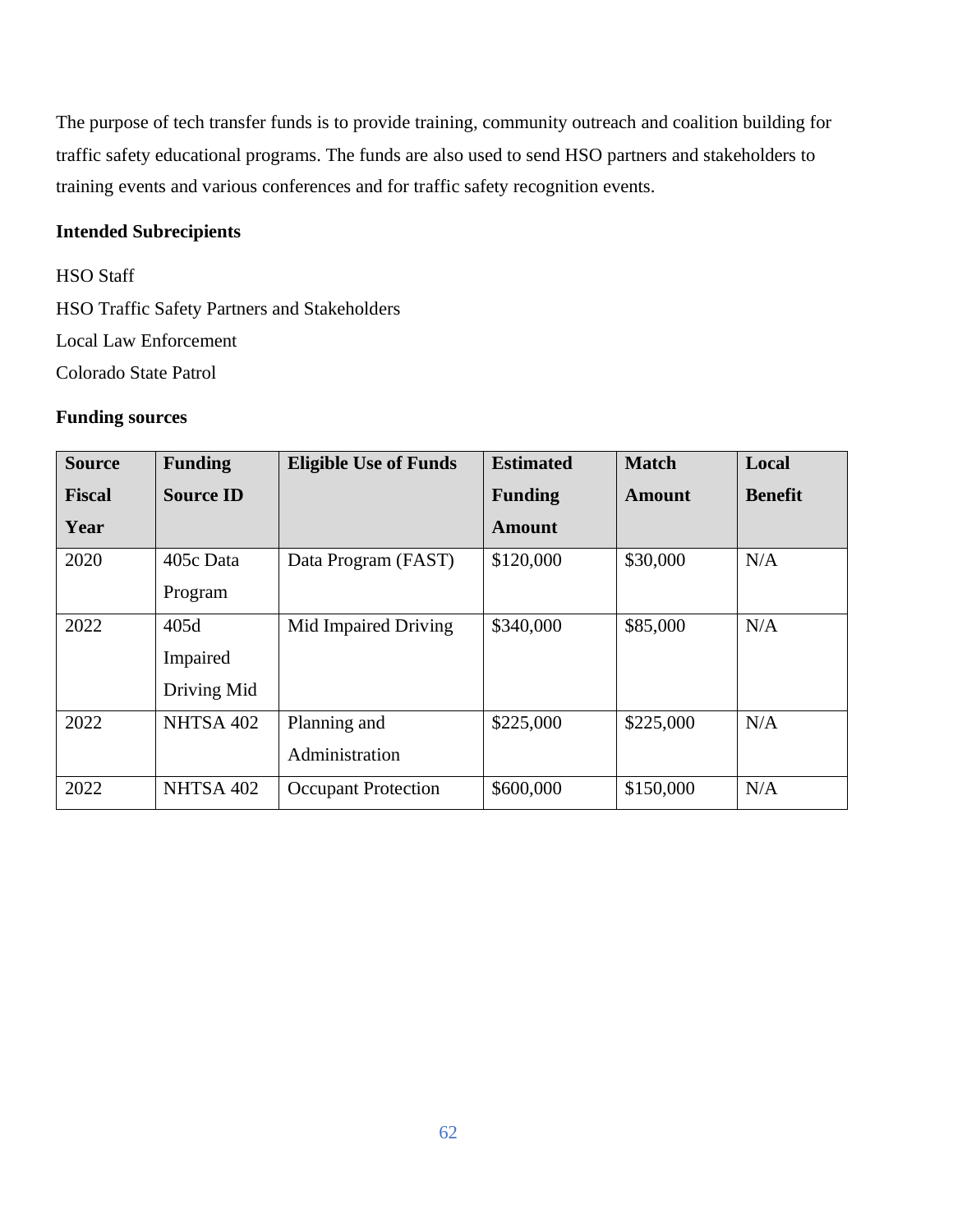The purpose of tech transfer funds is to provide training, community outreach and coalition building for traffic safety educational programs. The funds are also used to send HSO partners and stakeholders to training events and various conferences and for traffic safety recognition events.

# **Intended Subrecipients**

HSO Staff HSO Traffic Safety Partners and Stakeholders Local Law Enforcement Colorado State Patrol

# **Funding sources**

| <b>Source</b> | <b>Funding</b>   | <b>Eligible Use of Funds</b> | <b>Estimated</b> | <b>Match</b> | Local          |
|---------------|------------------|------------------------------|------------------|--------------|----------------|
| <b>Fiscal</b> | <b>Source ID</b> |                              | <b>Funding</b>   | Amount       | <b>Benefit</b> |
| Year          |                  |                              | <b>Amount</b>    |              |                |
| 2020          | 405c Data        | Data Program (FAST)          | \$120,000        | \$30,000     | N/A            |
|               | Program          |                              |                  |              |                |
| 2022          | 405d             | Mid Impaired Driving         | \$340,000        | \$85,000     | N/A            |
|               | Impaired         |                              |                  |              |                |
|               | Driving Mid      |                              |                  |              |                |
| 2022          | NHTSA 402        | Planning and                 | \$225,000        | \$225,000    | N/A            |
|               |                  | Administration               |                  |              |                |
| 2022          | NHTSA 402        | <b>Occupant Protection</b>   | \$600,000        | \$150,000    | N/A            |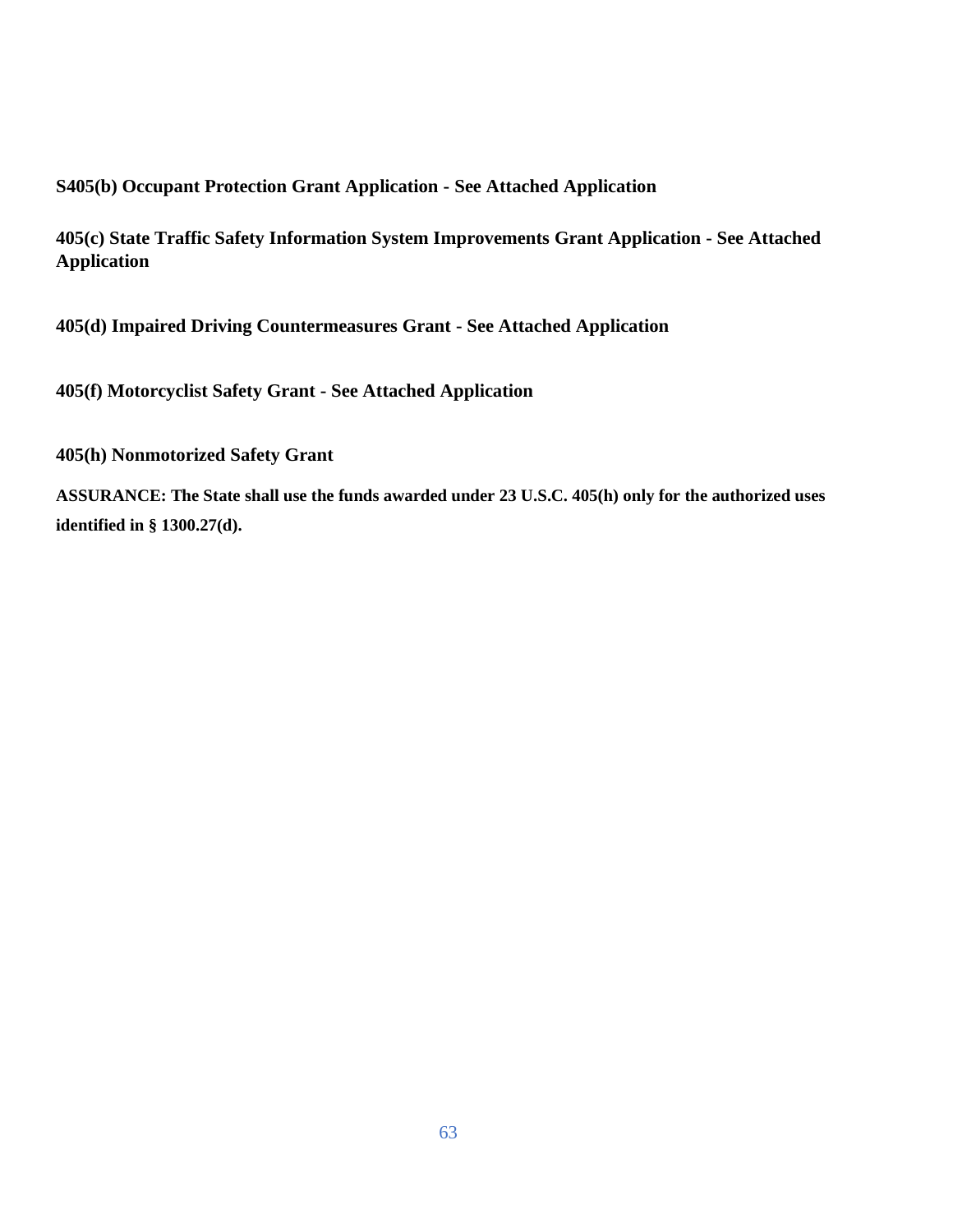# **S405(b) Occupant Protection Grant Application - See Attached Application**

**405(c) State Traffic Safety Information System Improvements Grant Application - See Attached Application**

**405(d) Impaired Driving Countermeasures Grant - See Attached Application**

**405(f) Motorcyclist Safety Grant - See Attached Application**

**405(h) Nonmotorized Safety Grant**

**ASSURANCE: The State shall use the funds awarded under 23 U.S.C. 405(h) only for the authorized uses identified in § 1300.27(d).**